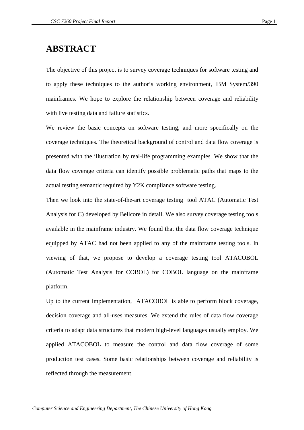# **ABSTRACT**

The objective of this project is to survey coverage techniques for software testing and to apply these techniques to the author's working environment, IBM System/390 mainframes. We hope to explore the relationship between coverage and reliability with live testing data and failure statistics.

We review the basic concepts on software testing, and more specifically on the coverage techniques. The theoretical background of control and data flow coverage is presented with the illustration by real-life programming examples. We show that the data flow coverage criteria can identify possible problematic paths that maps to the actual testing semantic required by Y2K compliance software testing.

Then we look into the state-of-the-art coverage testing tool ATAC (Automatic Test Analysis for C) developed by Bellcore in detail. We also survey coverage testing tools available in the mainframe industry. We found that the data flow coverage technique equipped by ATAC had not been applied to any of the mainframe testing tools. In viewing of that, we propose to develop a coverage testing tool ATACOBOL (Automatic Test Analysis for COBOL) for COBOL language on the mainframe platform.

Up to the current implementation, ATACOBOL is able to perform block coverage, decision coverage and all-uses measures. We extend the rules of data flow coverage criteria to adapt data structures that modern high-level languages usually employ. We applied ATACOBOL to measure the control and data flow coverage of some production test cases. Some basic relationships between coverage and reliability is reflected through the measurement.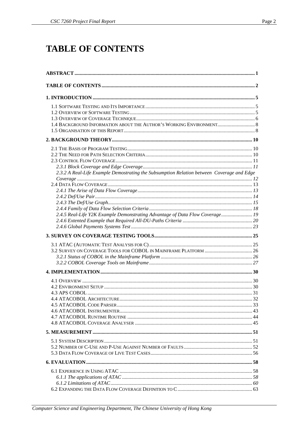# **TABLE OF CONTENTS**

| 2.3.2 A Real-Life Example Demostrating the Subsumption Relation between Coverage and Edge<br>2.4.5 Real-Life Y2K Example Demonstrating Advantage of Data Flow Coverage 19 |  |
|---------------------------------------------------------------------------------------------------------------------------------------------------------------------------|--|
|                                                                                                                                                                           |  |
|                                                                                                                                                                           |  |
|                                                                                                                                                                           |  |
|                                                                                                                                                                           |  |
|                                                                                                                                                                           |  |
|                                                                                                                                                                           |  |
|                                                                                                                                                                           |  |
|                                                                                                                                                                           |  |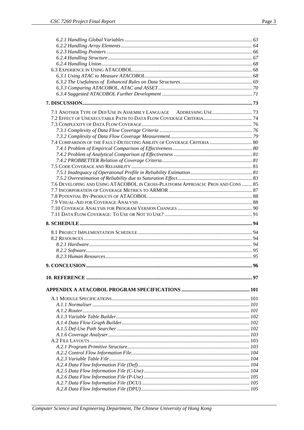| 7.1 ANOTHER TYPE OF DEF/USE IN ASSEMBLY LANGUAGE - ADDRESSING USE 73            |    |
|---------------------------------------------------------------------------------|----|
|                                                                                 |    |
|                                                                                 |    |
|                                                                                 |    |
|                                                                                 |    |
| 7.4 COMPARISON OF THE FAULT-DETECTING ABILITY OF COVERAGE CRITERIA  80          |    |
|                                                                                 |    |
|                                                                                 |    |
|                                                                                 |    |
|                                                                                 |    |
|                                                                                 |    |
|                                                                                 |    |
| 7.6 DEVELOPING AND USING ATACOBOL IN CROSS-PLATFORM APPROACH: PROS AND CONS  85 |    |
|                                                                                 |    |
|                                                                                 |    |
|                                                                                 |    |
|                                                                                 |    |
|                                                                                 |    |
|                                                                                 |    |
|                                                                                 |    |
|                                                                                 |    |
|                                                                                 |    |
|                                                                                 |    |
|                                                                                 |    |
|                                                                                 |    |
|                                                                                 |    |
|                                                                                 | 96 |
|                                                                                 |    |
|                                                                                 |    |
|                                                                                 |    |
|                                                                                 |    |
|                                                                                 |    |
|                                                                                 |    |
|                                                                                 |    |
|                                                                                 |    |
|                                                                                 |    |
|                                                                                 |    |
|                                                                                 |    |
|                                                                                 |    |
|                                                                                 |    |
|                                                                                 |    |
|                                                                                 |    |
|                                                                                 |    |
|                                                                                 |    |
|                                                                                 |    |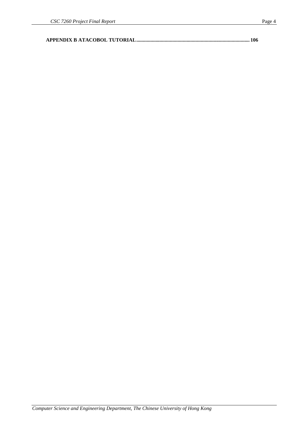**APPENDIX B ATACOBOL TUTORIAL........................................................................................ 106**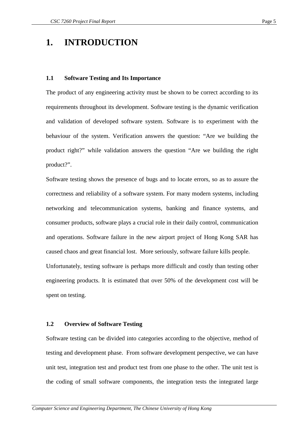# **1. INTRODUCTION**

# **1.1 Software Testing and Its Importance**

The product of any engineering activity must be shown to be correct according to its requirements throughout its development. Software testing is the dynamic verification and validation of developed software system. Software is to experiment with the behaviour of the system. Verification answers the question: "Are we building the product right?" while validation answers the question "Are we building the right product?".

Software testing shows the presence of bugs and to locate errors, so as to assure the correctness and reliability of a software system. For many modern systems, including networking and telecommunication systems, banking and finance systems, and consumer products, software plays a crucial role in their daily control, communication and operations. Software failure in the new airport project of Hong Kong SAR has caused chaos and great financial lost. More seriously, software failure kills people. Unfortunately, testing software is perhaps more difficult and costly than testing other engineering products. It is estimated that over 50% of the development cost will be spent on testing.

# **1.2 Overview of Software Testing**

Software testing can be divided into categories according to the objective, method of testing and development phase. From software development perspective, we can have unit test, integration test and product test from one phase to the other. The unit test is the coding of small software components, the integration tests the integrated large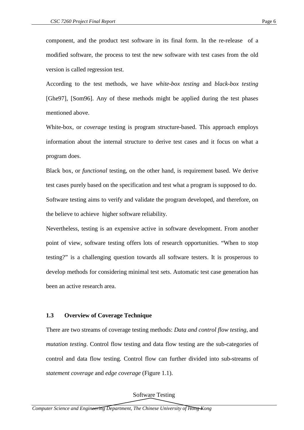component, and the product test software in its final form. In the re-release of a modified software, the process to test the new software with test cases from the old version is called regression test.

According to the test methods, we have *white-box testing* and *black-box testing* [Ghe97], [Som96]. Any of these methods might be applied during the test phases mentioned above.

White-box, or *coverage* testing is program structure-based. This approach employs information about the internal structure to derive test cases and it focus on what a program does.

Black box, or *functional* testing, on the other hand, is requirement based. We derive test cases purely based on the specification and test what a program is supposed to do. Software testing aims to verify and validate the program developed, and therefore, on the believe to achieve higher software reliability.

Nevertheless, testing is an expensive active in software development. From another point of view, software testing offers lots of research opportunities. "When to stop testing?" is a challenging question towards all software testers. It is prosperous to develop methods for considering minimal test sets. Automatic test case generation has been an active research area.

# **1.3 Overview of Coverage Technique**

There are two streams of coverage testing methods: *Data and control flow testing*, and *mutation testing*. Control flow testing and data flow testing are the sub-categories of control and data flow testing. Control flow can further divided into sub-streams of *statement coverage* and *edge coverage* (Figure 1.1).

Software Testing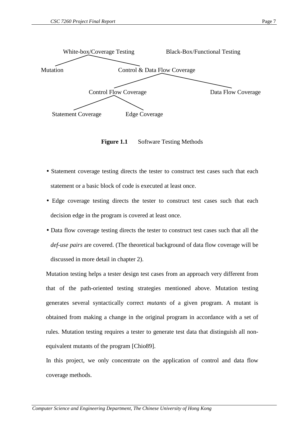

**Figure 1.1** Software Testing Methods

- Statement coverage testing directs the tester to construct test cases such that each statement or a basic block of code is executed at least once.
- Edge coverage testing directs the tester to construct test cases such that each decision edge in the program is covered at least once.
- Data flow coverage testing directs the tester to construct test cases such that all the *def-use pairs* are covered. (The theoretical background of data flow coverage will be discussed in more detail in chapter 2).

Mutation testing helps a tester design test cases from an approach very different from that of the path-oriented testing strategies mentioned above. Mutation testing generates several syntactically correct *mutants* of a given program. A mutant is obtained from making a change in the original program in accordance with a set of rules. Mutation testing requires a tester to generate test data that distinguish all nonequivalent mutants of the program [Chio89].

In this project, we only concentrate on the application of control and data flow coverage methods.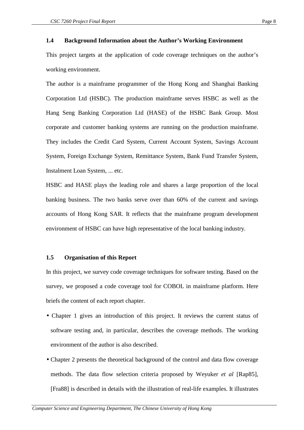#### **1.4 Background Information about the Author's Working Environment**

This project targets at the application of code coverage techniques on the author's working environment.

The author is a mainframe programmer of the Hong Kong and Shanghai Banking Corporation Ltd (HSBC). The production mainframe serves HSBC as well as the Hang Seng Banking Corporation Ltd (HASE) of the HSBC Bank Group. Most corporate and customer banking systems are running on the production mainframe. They includes the Credit Card System, Current Account System, Savings Account System, Foreign Exchange System, Remittance System, Bank Fund Transfer System, Instalment Loan System, ... etc.

HSBC and HASE plays the leading role and shares a large proportion of the local banking business. The two banks serve over than 60% of the current and savings accounts of Hong Kong SAR. It reflects that the mainframe program development environment of HSBC can have high representative of the local banking industry.

# **1.5 Organisation of this Report**

In this project, we survey code coverage techniques for software testing. Based on the survey, we proposed a code coverage tool for COBOL in mainframe platform. Here briefs the content of each report chapter.

- Chapter 1 gives an introduction of this project. It reviews the current status of software testing and, in particular, describes the coverage methods. The working environment of the author is also described.
- Chapter 2 presents the theoretical background of the control and data flow coverage methods. The data flow selection criteria proposed by Weyuker *et al* [Rap85], [Fra88] is described in details with the illustration of real-life examples. It illustrates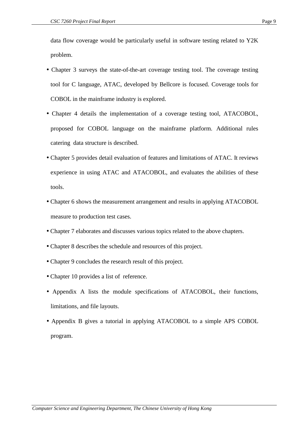data flow coverage would be particularly useful in software testing related to Y2K problem.

- Chapter 3 surveys the state-of-the-art coverage testing tool. The coverage testing tool for C language, ATAC, developed by Bellcore is focused. Coverage tools for COBOL in the mainframe industry is explored.
- Chapter 4 details the implementation of a coverage testing tool, ATACOBOL, proposed for COBOL language on the mainframe platform. Additional rules catering data structure is described.
- Chapter 5 provides detail evaluation of features and limitations of ATAC. It reviews experience in using ATAC and ATACOBOL, and evaluates the abilities of these tools.
- Chapter 6 shows the measurement arrangement and results in applying ATACOBOL measure to production test cases.
- Chapter 7 elaborates and discusses various topics related to the above chapters.
- Chapter 8 describes the schedule and resources of this project.
- Chapter 9 concludes the research result of this project.
- Chapter 10 provides a list of reference.
- Appendix A lists the module specifications of ATACOBOL, their functions, limitations, and file layouts.
- Appendix B gives a tutorial in applying ATACOBOL to a simple APS COBOL program.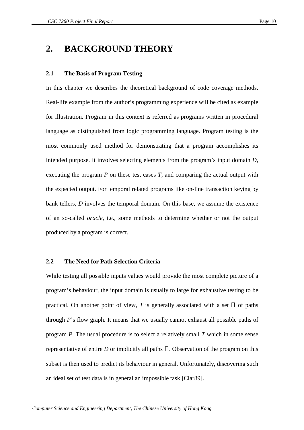# **2. BACKGROUND THEORY**

#### **2.1 The Basis of Program Testing**

In this chapter we describes the theoretical background of code coverage methods. Real-life example from the author's programming experience will be cited as example for illustration. Program in this context is referred as programs written in procedural language as distinguished from logic programming language. Program testing is the most commonly used method for demonstrating that a program accomplishes its intended purpose. It involves selecting elements from the program's input domain *D*, executing the program *P* on these test cases *T*, and comparing the actual output with the expected output. For temporal related programs like on-line transaction keying by bank tellers, *D* involves the temporal domain. On this base, we assume the existence of an so-called *oracle*, i.e., some methods to determine whether or not the output produced by a program is correct.

# **2.2 The Need for Path Selection Criteria**

While testing all possible inputs values would provide the most complete picture of a program's behaviour, the input domain is usually to large for exhaustive testing to be practical. On another point of view,  $T$  is generally associated with a set  $\Pi$  of paths through *P*'s flow graph. It means that we usually cannot exhaust all possible paths of program *P*. The usual procedure is to select a relatively small *T* which in some sense representative of entire *D* or implicitly all paths Π. Observation of the program on this subset is then used to predict its behaviour in general. Unfortunately, discovering such an ideal set of test data is in general an impossible task [Clar89].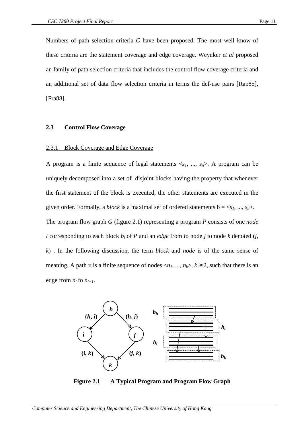Numbers of path selection criteria *C* have been proposed. The most well know of these criteria are the statement coverage and edge coverage. Weyuker *et al* proposed an family of path selection criteria that includes the control flow coverage criteria and an additional set of data flow selection criteria in terms the def-use pairs [Rap85], [Fra88].

#### **2.3 Control Flow Coverage**

#### 2.3.1 Block Coverage and Edge Coverage

A program is a finite sequence of legal statements  $\langle s_1, ..., s_n \rangle$ . A program can be uniquely decomposed into a set of disjoint blocks having the property that whenever the first statement of the block is executed, the other statements are executed in the given order. Formally, a *block* is a maximal set of ordered statements  $b = \langle s_1, ..., s_b \rangle$ . The program flow graph *G* (figure 2.1) representing a program *P* consists of one *node i* corresponding to each block *b<sup>i</sup>* of *P* and an *edge* from to node *j* to node *k* denoted (*j*, *k*) . In the following discussion, the term *block* and *node* is of the same sense of meaning. A path  $\pi$  is a finite sequence of nodes  $\langle n_1, ..., n_k \rangle$ ,  $k \ge 2$ , such that there is an edge from  $n_i$  to  $n_{i+1}$ .



**Figure 2.1 A Typical Program and Program Flow Graph**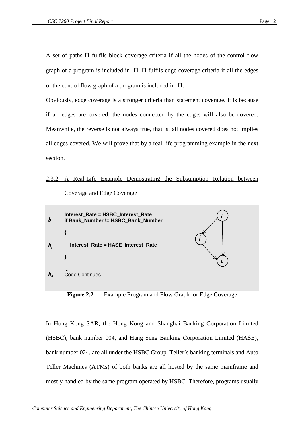A set of paths Π fulfils block coverage criteria if all the nodes of the control flow graph of a program is included in Π. Π fulfils edge coverage criteria if all the edges of the control flow graph of a program is included in Π.

Obviously, edge coverage is a stronger criteria than statement coverage. It is because if all edges are covered, the nodes connected by the edges will also be covered. Meanwhile, the reverse is not always true, that is, all nodes covered does not implies all edges covered. We will prove that by a real-life programming example in the next section.

# 2.3.2 A Real-Life Example Demostrating the Subsumption Relation between Coverage and Edge Coverage



**Figure 2.2** Example Program and Flow Graph for Edge Coverage

In Hong Kong SAR, the Hong Kong and Shanghai Banking Corporation Limited (HSBC), bank number 004, and Hang Seng Banking Corporation Limited (HASE), bank number 024, are all under the HSBC Group. Teller's banking terminals and Auto Teller Machines (ATMs) of both banks are all hosted by the same mainframe and mostly handled by the same program operated by HSBC. Therefore, programs usually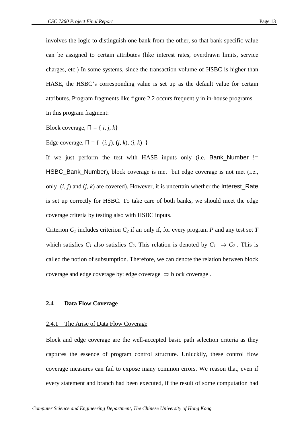involves the logic to distinguish one bank from the other, so that bank specific value can be assigned to certain attributes (like interest rates, overdrawn limits, service charges, etc.) In some systems, since the transaction volume of HSBC is higher than HASE, the HSBC's corresponding value is set up as the default value for certain attributes. Program fragments like figure 2.2 occurs frequently in in-house programs. In this program fragment:

Block coverage,  $\Pi = \{i, j, k\}$ 

Edge coverage,  $\Pi = \{ (i, j), (i, k), (i, k) \}$ 

If we just perform the test with HASE inputs only (i.e. Bank Number  $! =$ HSBC\_Bank\_Number), block coverage is met but edge coverage is not met (i.e., only  $(i, j)$  and  $(j, k)$  are covered). However, it is uncertain whether the Interest Rate is set up correctly for HSBC. To take care of both banks, we should meet the edge coverage criteria by testing also with HSBC inputs.

Criterion  $C_1$  includes criterion  $C_2$  if an only if, for every program  $P$  and any test set  $T$ which satisfies  $C_1$  also satisfies  $C_2$ . This relation is denoted by  $C_1 \Rightarrow C_2$ . This is called the notion of subsumption. Therefore, we can denote the relation between block coverage and edge coverage by: edge coverage  $\Rightarrow$  block coverage.

#### **2.4 Data Flow Coverage**

#### 2.4.1 The Arise of Data Flow Coverage

Block and edge coverage are the well-accepted basic path selection criteria as they captures the essence of program control structure. Unluckily, these control flow coverage measures can fail to expose many common errors. We reason that, even if every statement and branch had been executed, if the result of some computation had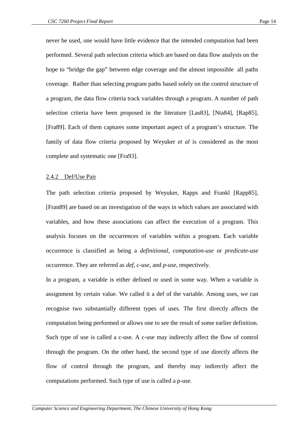never be used, one would have little evidence that the intended computation had been performed. Several path selection criteria which are based on data flow analysis on the hope to "bridge the gap" between edge coverage and the almost impossible all paths coverage. Rather than selecting program paths based solely on the control structure of a program, the data flow criteria track variables through a program. A number of path selection criteria have been proposed in the literature [Las83], [Nta84], [Rap85], [Fra89]. Each of them captures some important aspect of a program's structure. The family of data flow criteria proposed by Weyuker *et al* is considered as the most complete and systematic one [Fra93].

#### 2.4.2 Def/Use Pair

The path selection criteria proposed by Weyuker, Rapps and Frankl [Rapp85], [Fran89] are based on an investigation of the ways in which values are associated with variables, and how these associations can affect the execution of a program. This analysis focuses on the occurrences of variables within a program. Each variable occurrence is classified as being a *definitional*, *computation-use* or *predicate-use* occurrence. They are referred as *def*, *c-use*, and *p-use*, respectively.

In a program, a variable is either defined or used in some way. When a variable is assignment by certain value. We called it a def of the variable. Among uses, we can recognise two substantially different types of uses. The first directly affects the computation being performed or allows one to see the result of some earlier definition. Such type of use is called a c-use. A c-use may indirectly affect the flow of control through the program. On the other hand, the second type of use directly affects the flow of control through the program, and thereby may indirectly affect the computations performed. Such type of use is called a p-use.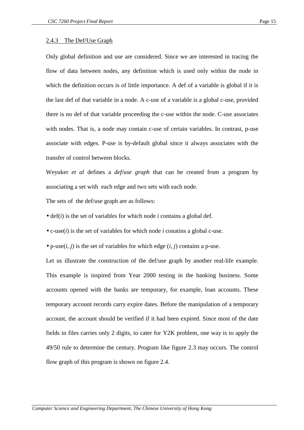#### 2.4.3 The Def/Use Graph

Only global definition and use are considered. Since we are interested in tracing the flow of data between nodes, any definition which is used only within the node in which the definition occurs is of little importance. A def of a variable is global if it is the last def of that variable in a node. A c-use of a variable is a global c-use, provided there is no def of that variable proceeding the c-use within the node. C-use associates with nodes. That is, a node may contain c-use of certain variables. In contrast, p-use associate with edges. P-use is by-default global since it always associates with the transfer of control between blocks.

Weyuker *et al* defines a *def/use graph* that can be created from a program by associating a set with each edge and two sets with each node.

The sets of the def/use graph are as follows:

- def(*i*) is the set of variables for which node *i* contains a global def.
- c-use(*i*) is the set of variables for which node *i* conatins a global c-use.
- $p$ -use(*i*, *j*) is the set of variables for which edge (*i*, *j*) contains a p-use.

Let us illustrate the construction of the def/use graph by another real-life example. This example is inspired from Year 2000 testing in the banking business. Some accounts opened with the banks are temporary, for example, loan accounts. These temporary account records carry expire dates. Before the manipulation of a temporary account, the account should be verified if it had been expired. Since most of the date fields in files carries only 2 digits, to cater for Y2K problem, one way is to apply the 49/50 rule to determine the century. Program like figure 2.3 may occurs. The control flow graph of this program is shown on figure 2.4.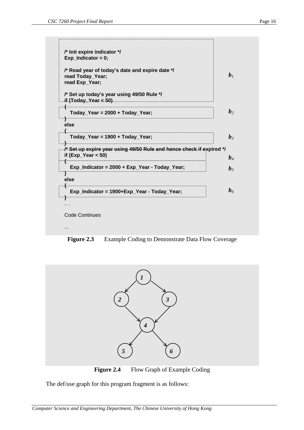

**Figure 2.3** Example Coding to Demonstrate Data Flow Coverage



**Figure 2.4** Flow Graph of Example Coding

The def/use graph for this program fragment is as follows: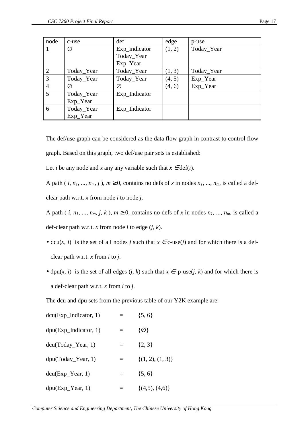| node           | c-use      | def           | edge   | p-use      |
|----------------|------------|---------------|--------|------------|
|                | Ø          | Exp_indicator | (1, 2) | Today_Year |
|                |            | Today_Year    |        |            |
|                |            | Exp_Year      |        |            |
| 2              | Today_Year | Today_Year    | (1, 3) | Today_Year |
| $\overline{3}$ | Today_Year | Today_Year    | (4, 5) | Exp_Year   |
| $\overline{4}$ | Ø          | Ø             | (4, 6) | Exp_Year   |
| 5              | Today_Year | Exp_Indicator |        |            |
|                | Exp_Year   |               |        |            |
| 6              | Today_Year | Exp_Indicator |        |            |
|                | Exp_Year   |               |        |            |

The def/use graph can be considered as the data flow graph in contrast to control flow graph. Based on this graph, two def/use pair sets is established:

Let *i* be any node and *x* any any variable such that  $x \in \text{def}(i)$ .

A path (*i*, *n*<sub>1</sub>, ..., *n*<sub>*m*</sub>, *j*),  $m \ge 0$ , contains no defs of *x* in nodes  $n_1$ , ...,  $n_m$ , is called a defclear path w.r.t. *x* from node *i* to node *j*.

A path (*i*, *n*<sub>1</sub>, ..., *n*<sub>m</sub>, *j*, *k*),  $m \ge 0$ , contains no defs of *x* in nodes  $n_1$ , ...,  $n_m$ , is called a def-clear path w.r.t. *x* from node *i* to edge (*j*, *k*).

- dcu(*x*, *i*) is the set of all nodes *j* such that  $x \in c$ -use(*j*) and for which there is a defclear path w.r.t. *x* from *i* to *j*.
- dpu(*x*, *i*) is the set of all edges (*j*, *k*) such that  $x \in p$ -use(*j*, *k*) and for which there is a def-clear path w.r.t. *x* from *i* to *j*.

The dcu and dpu sets from the previous table of our Y2K example are:

| $dcu(Exp_Indicator, 1)$  |          | $\{5, 6\}$            |
|--------------------------|----------|-----------------------|
| $dpu(Exp_Indication, 1)$ | $=$      | $\{\varnothing\}$     |
| $dcu(Today_Year, 1)$     |          | $\{2, 3\}$            |
| dpu(Today_Year, 1)       | $=$      | $\{(1, 2), (1, 3)\}\$ |
| $dcu(Exp_Year, 1)$       | $\equiv$ | $\{5, 6\}$            |
| $dpu(Exp_Year, 1)$       |          | $\{(4,5), (4,6)\}\$   |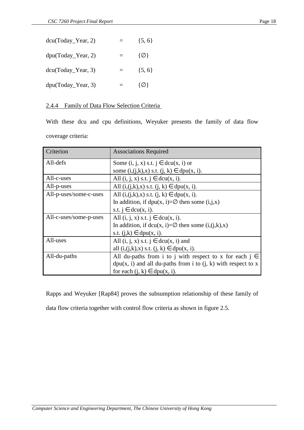| $dcu(Today_Year, 2)$ | $\equiv$ | $\{5, 6\}$        |
|----------------------|----------|-------------------|
| dpu(Today_Year, 2)   | $\equiv$ | $\{\varnothing\}$ |
| dcu(Today_Year, 3)   | $=$      | $\{5, 6\}$        |
| $dpu(Today_Year, 3)$ |          | {∖⊘∤              |

# 2.4.4 Family of Data Flow Selection Criteria

With these dcu and cpu definitions, Weyuker presents the family of data flow coverage criteria:

| Criterion              | <b>Associations Required</b>                                      |
|------------------------|-------------------------------------------------------------------|
| All-defs               | Some $(i, j, x)$ s.t. $j \in dcu(x, i)$ or                        |
|                        | some $(i,(j,k),x)$ s.t. $(j, k) \in dpu(x, i)$ .                  |
| All-c-uses             | All $(i, j, x)$ s.t. $j \in dcu(x, i)$ .                          |
| All-p-uses             | All $(i,(j,k),x)$ s.t. $(j, k) \in dpu(x, i)$ .                   |
| All-p-uses/some-c-uses | All $(i,(j,k),x)$ s.t. $(j, k) \in dpu(x, i)$ .                   |
|                        | In addition, if dpu(x, i)= $\varnothing$ then some (i,j,x)        |
|                        | s.t. $j \in dcu(x, i)$ .                                          |
| All-c-uses/some-p-uses | All $(i, j, x)$ s.t. $j \in dcu(x, i)$ .                          |
|                        | In addition, if dcu(x, i)= $\varnothing$ then some (i,(j,k),x)    |
|                        | s.t. $(j,k) \in dpu(x, i)$ .                                      |
| All-uses               | All $(i, j, x)$ s.t. $j \in dcu(x, i)$ and                        |
|                        | all $(i,(j,k),x)$ s.t. $(j, k) \in dpu(x, i)$ .                   |
| All-du-paths           | All du-paths from i to j with respect to x for each $j \in$       |
|                        | $dpu(x, i)$ and all du-paths from i to $(i, k)$ with respect to x |
|                        | for each $(i, k) \in dpu(x, i)$ .                                 |

Rapps and Weyuker [Rap84] proves the subsumption relationship of these family of data flow criteria together with control flow criteria as shown in figure 2.5.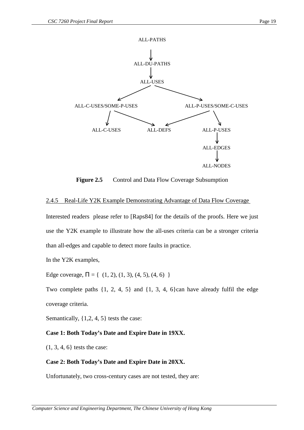

**Figure 2.5** Control and Data Flow Coverage Subsumption

#### 2.4.5 Real-Life Y2K Example Demonstrating Advantage of Data Flow Coverage

Interested readers please refer to [Raps84] for the details of the proofs. Here we just use the Y2K example to illustrate how the all-uses criteria can be a stronger criteria than all-edges and capable to detect more faults in practice.

In the Y2K examples,

Edge coverage,  $\Pi = \{ (1, 2), (1, 3), (4, 5), (4, 6) \}$ 

Two complete paths  $\{1, 2, 4, 5\}$  and  $\{1, 3, 4, 6\}$ can have already fulfil the edge coverage criteria.

Semantically, {1,2, 4, 5} tests the case:

# **Case 1: Both Today's Date and Expire Date in 19XX.**

(1, 3, 4, 6} tests the case:

# **Case 2: Both Today's Date and Expire Date in 20XX.**

Unfortunately, two cross-century cases are not tested, they are: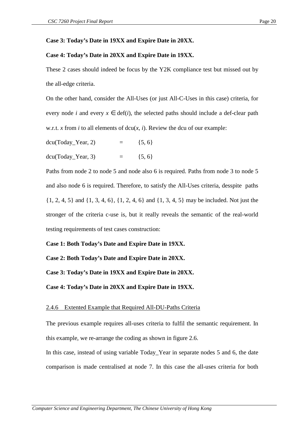# **Case 3: Today's Date in 19XX and Expire Date in 20XX.**

### **Case 4: Today's Date in 20XX and Expire Date in 19XX.**

These 2 cases should indeed be focus by the Y2K compliance test but missed out by the all-edge criteria.

On the other hand, consider the All-Uses (or just All-C-Uses in this case) criteria, for every node *i* and every  $x \in \text{def}(i)$ , the selected paths should include a def-clear path w.r.t. *x* from *i* to all elements of  $dcu(x, i)$ . Review the dcu of our example:

 $dcu(Today_Year, 2) = {5, 6}$ dcu(Today\_Year, 3)  $=$  {5, 6}

Paths from node 2 to node 5 and node also 6 is required. Paths from node 3 to node 5 and also node 6 is required. Therefore, to satisfy the All-Uses criteria, desspite paths {1, 2, 4, 5} and {1, 3, 4, 6}, {1, 2, 4, 6} and {1, 3, 4, 5} may be included. Not just the stronger of the criteria c-use is, but it really reveals the semantic of the real-world testing requirements of test cases construction:

# **Case 1: Both Today's Date and Expire Date in 19XX.**

**Case 2: Both Today's Date and Expire Date in 20XX.**

**Case 3: Today's Date in 19XX and Expire Date in 20XX.**

**Case 4: Today's Date in 20XX and Expire Date in 19XX.**

# 2.4.6 Extented Example that Required All-DU-Paths Criteria

The previous example requires all-uses criteria to fulfil the semantic requirement. In this example, we re-arrange the coding as shown in figure 2.6.

In this case, instead of using variable Today\_Year in separate nodes 5 and 6, the date comparison is made centralised at node 7. In this case the all-uses criteria for both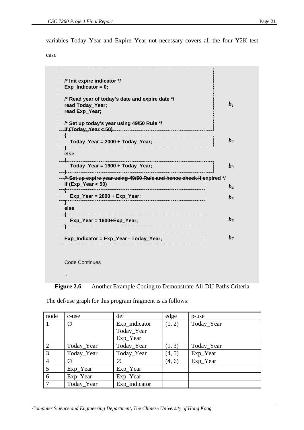variables Today\_Year and Expire\_Year not necessary covers all the four Y2K test

case



**Figure 2.6** Another Example Coding to Demonstrate All-DU-Paths Criteria

The def/use graph for this program fragment is as follows:

| node           | c-use      | def           | edge   | p-use      |
|----------------|------------|---------------|--------|------------|
|                | Ø          | Exp_indicator | (1, 2) | Today_Year |
|                |            | Today_Year    |        |            |
|                |            | Exp_Year      |        |            |
| 2              | Today_Year | Today_Year    | (1, 3) | Today_Year |
| 3              | Today_Year | Today_Year    | (4, 5) | Exp_Year   |
| $\overline{4}$ | Ø          | Ø             | (4, 6) | Exp_Year   |
| 5              | Exp_Year   | Exp_Year      |        |            |
| 6              | Exp_Year   | Exp_Year      |        |            |
| $\overline{7}$ | Today_Year | Exp_indicator |        |            |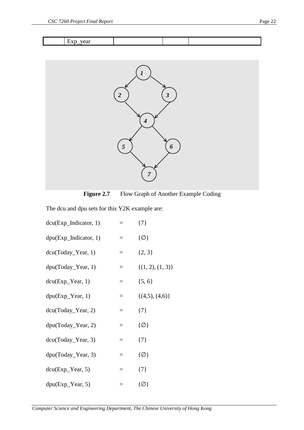



**Figure 2.7** Flow Graph of Another Example Coding

The dcu and dpu sets for this Y2K example are:

| dcu(Exp_Indicator, 1) |          | ${7}$                 |
|-----------------------|----------|-----------------------|
| dpu(Exp_Indicator, 1) | $\equiv$ | $\{\emptyset\}$       |
| $dcu(Today_Year, 1)$  | $\equiv$ | $\{2, 3\}$            |
| dpu(Today_Year, 1)    | $\equiv$ | $\{(1, 2), (1, 3)\}\$ |
| dcu(Exp_Year, 1)      | $\equiv$ | $\{5, 6\}$            |
| $dpu(Exp_Year, 1)$    | $\equiv$ | $\{(4,5), (4,6)\}\$   |
| dcu(Today_Year, 2)    | $\equiv$ | ${7}$                 |
| dpu(Today_Year, 2)    | $\equiv$ | $\{\emptyset\}$       |
| dcu(Today_Year, 3)    | $=$      | ${7}$                 |
| dpu(Today_Year, 3)    | $\equiv$ | $\{\emptyset\}$       |
| dcu(Exp_Year, 5)      | $\equiv$ | ${7}$                 |
| dpu(Exp_Year, 5)      |          | $\{\varnothing\}$     |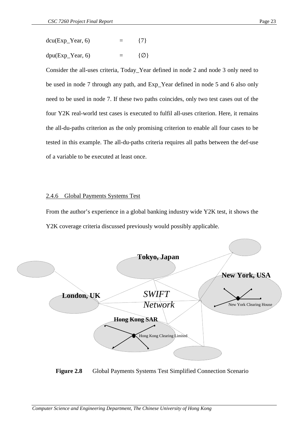$dcu(Exp_Year, 6)$  = {7}  $dpu(Exp_Year, 6)$  = { $\varnothing$ }

Consider the all-uses criteria, Today\_Year defined in node 2 and node 3 only need to be used in node 7 through any path, and Exp\_Year defined in node 5 and 6 also only need to be used in node 7. If these two paths coincides, only two test cases out of the four Y2K real-world test cases is executed to fulfil all-uses criterion. Here, it remains the all-du-paths criterion as the only promising criterion to enable all four cases to be tested in this example. The all-du-paths criteria requires all paths between the def-use of a variable to be executed at least once.

# 2.4.6 Global Payments Systems Test

From the author's experience in a global banking industry wide Y2K test, it shows the Y2K coverage criteria discussed previously would possibly applicable.



**Figure 2.8** Global Payments Systems Test Simplified Connection Scenario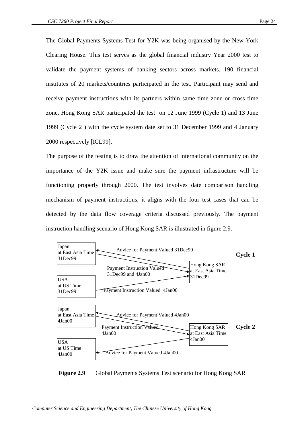The Global Payments Systems Test for Y2K was being organised by the New York Clearing House. This test serves as the global financial industry Year 2000 test to validate the payment systems of banking sectors across markets. 190 financial institutes of 20 markets/countries participated in the test. Participant may send and receive payment instructions with its partners within same time zone or cross time zone. Hong Kong SAR participated the test on 12 June 1999 (Cycle 1) and 13 June 1999 (Cycle 2 ) with the cycle system date set to 31 December 1999 and 4 January 2000 respectively [ICL99].

The purpose of the testing is to draw the attention of international community on the importance of the Y2K issue and make sure the payment infrastructure will be functioning properly through 2000. The test involves date comparison handling mechanism of payment instructions, it aligns with the four test cases that can be detected by the data flow coverage criteria discussed previously. The payment instruction handling scenario of Hong Kong SAR is illustrated in figure 2.9.



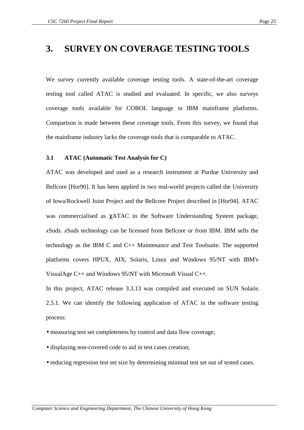# **3. SURVEY ON COVERAGE TESTING TOOLS**

We survey currently available coverage testing tools. A state-of-the-art coverage testing tool called ATAC is studied and evaluated. In specific, we also surveys coverage tools available for COBOL language in IBM mainframe platforms. Comparison is made between these coverage tools. From this survey, we found that the mainframe industry lacks the coverage tools that is comparable to ATAC.

#### **3.1 ATAC (Automatic Test Analysis for C)**

ATAC was developed and used as a research instrument at Purdue University and Bellcore [Hor90]. It has been applied in two real-world projects called the University of Iowa/Rockwell Joint Project and the Bellcore Project described in [Hor94]. ATAC was commercialised as χATAC in the Software Understanding System package, *x*Suds. *x*Suds technology can be licensed from Bellcore or from IBM. IBM sells the technology as the IBM C and C++ Maintenance and Test Toolsuite. The supported platforms covers HPUX, AIX, Solaris, Linux and Windows 95/NT with IBM's VisualAge C++ and Windows 95/NT with Microsoft Visual C++.

In this project, ATAC release 3.3.13 was compiled and executed on SUN Solaris 2.5.1. We can identify the following application of ATAC in the software testing process:

- measuring test set completeness by control and data flow coverage;
- displaying non-covered code to aid in test cases creation;
- reducing regression test set size by determining minimal test set out of tested cases.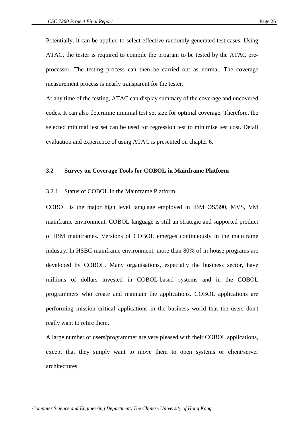Potentially, it can be applied to select effective randomly generated test cases. Using ATAC, the tester is required to compile the program to be tested by the ATAC preprocessor. The testing process can then be carried out as normal. The coverage measurement process is nearly transparent for the tester.

At any time of the testing, ATAC can display summary of the coverage and uncovered codes. It can also determine minimal test set size for optimal coverage. Therefore, the selected minimal test set can be used for regression test to minimise test cost. Detail evaluation and experience of using ATAC is presented on chapter 6.

#### **3.2 Survey on Coverage Tools for COBOL in Mainframe Platform**

#### 3.2.1 Status of COBOL in the Mainframe Platform

COBOL is the major high level language employed in IBM OS/390, MVS, VM mainframe environment. COBOL language is still an strategic and supported product of IBM mainframes. Versions of COBOL emerges continuously in the mainframe industry. In HSBC mainframe environment, more than 80% of in-house programs are developed by COBOL. Many organisations, especially the business sector, have millions of dollars invested in COBOL-based systems and in the COBOL programmers who create and maintain the applications. COBOL applications are performing mission critical applications in the business world that the users don't really want to retire them.

A large number of users/programmer are very pleased with their COBOL applications, except that they simply want to move them to open systems or client/server architectures.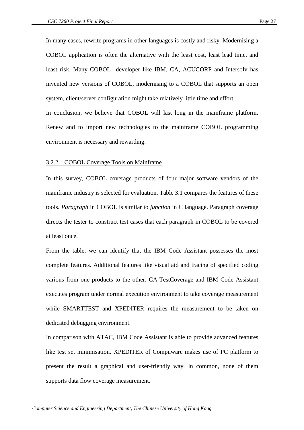In many cases, rewrite programs in other languages is costly and risky. Modernising a COBOL application is often the alternative with the least cost, least lead time, and least risk. Many COBOL developer like IBM, CA, ACUCORP and Intersolv has invented new versions of COBOL, modernising to a COBOL that supports an open system, client/server configuration might take relatively little time and effort. In conclusion, we believe that COBOL will last long in the mainframe platform. Renew and to import new technologies to the mainframe COBOL programming environment is necessary and rewarding.

#### 3.2.2 COBOL Coverage Tools on Mainframe

In this survey, COBOL coverage products of four major software vendors of the mainframe industry is selected for evaluation. Table 3.1 compares the features of these tools. *Paragraph* in COBOL is similar to *function* in C language. Paragraph coverage directs the tester to construct test cases that each paragraph in COBOL to be covered at least once.

From the table, we can identify that the IBM Code Assistant possesses the most complete features. Additional features like visual aid and tracing of specified coding various from one products to the other. CA-TestCoverage and IBM Code Assistant executes program under normal execution environment to take coverage measurement while SMARTTEST and XPEDITER requires the measurement to be taken on dedicated debugging environment.

In comparison with ATAC, IBM Code Assistant is able to provide advanced features like test set minimisation. XPEDITER of Compuware makes use of PC platform to present the result a graphical and user-friendly way. In common, none of them supports data flow coverage measurement.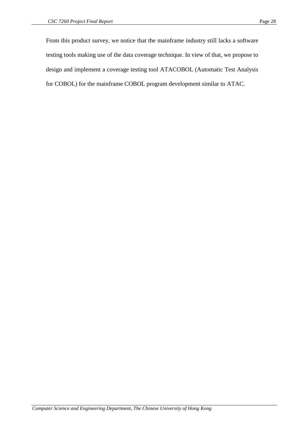From this product survey, we notice that the mainframe industry still lacks a software testing tools making use of the data coverage technique. In view of that, we propose to design and implement a coverage testing tool ATACOBOL (Automatic Test Analysis for COBOL) for the mainframe COBOL program development similar to ATAC.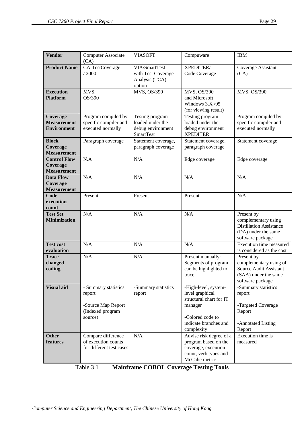| <b>Vendor</b>                                         | Computer Associate<br>(CA)                                                          | <b>VIASOFT</b>                                                               | Compuware                                                                                                                                | <b>IBM</b>                                                                                                     |
|-------------------------------------------------------|-------------------------------------------------------------------------------------|------------------------------------------------------------------------------|------------------------------------------------------------------------------------------------------------------------------------------|----------------------------------------------------------------------------------------------------------------|
| <b>Product Name</b>                                   | CA-TestCoverage<br>/2000                                                            | VIA/SmartTest<br>with Test Coverage<br>Analysis (TCA)<br>option              | XPEDITER/<br>Code Coverage                                                                                                               | Coverage Assistant<br>(CA)                                                                                     |
| <b>Execution</b><br><b>Platform</b>                   | MVS,<br>OS/390                                                                      | MVS, OS/390                                                                  | MVS, OS/390<br>and Microsoft<br>Windows $3.X/95$<br>(for viewing result)                                                                 | MVS, OS/390                                                                                                    |
| Coverage<br><b>Measurement</b><br><b>Environment</b>  | Program compiled by<br>specific compiler and<br>executed normally                   | Testing program<br>loaded under the<br>debug environment<br><b>SmartTest</b> | Testing program<br>loaded under the<br>debug environment<br><b>XPEDITER</b>                                                              | Program compiled by<br>specific compiler and<br>executed normally                                              |
| <b>Block</b><br>Coverage<br><b>Measurement</b>        | Paragraph coverage                                                                  | Statement coverage,<br>paragraph coverage                                    | Statement coverage,<br>paragraph coverage                                                                                                | Statement coverage                                                                                             |
| <b>Control Flow</b><br>Coverage<br><b>Measurement</b> | N.A                                                                                 | N/A                                                                          | Edge coverage                                                                                                                            | Edge coverage                                                                                                  |
| <b>Data Flow</b><br>Coverage<br><b>Measurement</b>    | N/A                                                                                 | N/A                                                                          | N/A                                                                                                                                      | N/A                                                                                                            |
| Code<br>execution<br>count                            | Present                                                                             | Present                                                                      | Present                                                                                                                                  | N/A                                                                                                            |
| <b>Test Set</b><br><b>Minimization</b>                | N/A                                                                                 | N/A                                                                          | N/A                                                                                                                                      | Present by<br>complementary using<br><b>Distillation Assistance</b><br>(DA) under the same<br>software package |
| <b>Test cost</b><br>evaluation                        | N/A                                                                                 | N/A                                                                          | N/A                                                                                                                                      | Execution time measured<br>is considered as the cost                                                           |
| <b>Trace</b><br>changed<br>coding                     | N/A                                                                                 | N/A                                                                          | Present manually:<br>Segments of program<br>can be highlighted to<br>trace                                                               | Present by<br>complementary using of<br>Source Audit Assistant<br>(SAA) under the same<br>software package     |
| <b>Visual aid</b>                                     | - Summary statistics<br>report<br>-Source Map Report<br>(Indexed program<br>source) | -Summary statistics<br>report                                                | -High-level, system-<br>level graphical<br>structural chart for IT<br>manager<br>-Colored code to<br>indicate branches and<br>complexity | -Summary statistics<br>report<br>-Targeted Coverage<br>Report<br>-Annotated Listing<br>Report                  |
| <b>Other</b><br>features                              | Compare difference<br>of execution counts<br>for different test cases               | N/A                                                                          | Advise risk degree of a<br>program based on the<br>coverage, execution<br>count, verb types and<br>McCabe metric                         | Execution time is<br>measured                                                                                  |

Table 3.1 **Mainframe COBOL Coverage Testing Tools**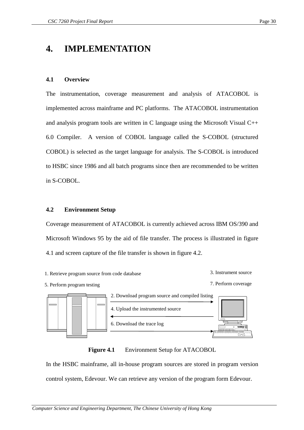# **4. IMPLEMENTATION**

# **4.1 Overview**

The instrumentation, coverage measurement and analysis of ATACOBOL is implemented across mainframe and PC platforms. The ATACOBOL instrumentation and analysis program tools are written in C language using the Microsoft Visual C++ 6.0 Compiler. A version of COBOL language called the S-COBOL (structured COBOL) is selected as the target language for analysis. The S-COBOL is introduced to HSBC since 1986 and all batch programs since then are recommended to be written in S-COBOL.

# **4.2 Environment Setup**

Coverage measurement of ATACOBOL is currently achieved across IBM OS/390 and Microsoft Windows 95 by the aid of file transfer. The process is illustrated in figure 4.1 and screen capture of the file transfer is shown in figure 4.2.



**Figure 4.1** Environment Setup for ATACOBOL

In the HSBC mainframe, all in-house program sources are stored in program version control system, Edevour. We can retrieve any version of the program form Edevour.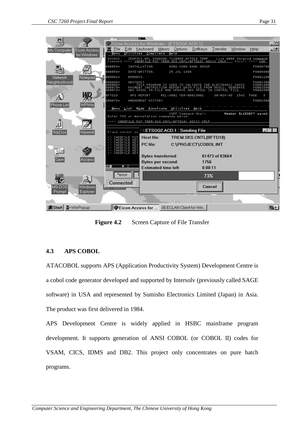

**Figure 4.2** Screen Capture of File Transfer

# **4.3 APS COBOL**

ATACOBOL supports APS (Application Productivity System) Development Centre is a cobol code generator developed and supported by Intersolv (previously called SAGE software) in USA and represented by Sumisho Electronics Limited (Japan) in Asia. The product was first delivered in 1984.

APS Development Centre is widely applied in HSBC mainframe program development. It supports generation of ANSI COBOL (or COBOL II) codes for VSAM, CICS, IDMS and DB2. This project only concentrates on pure batch programs.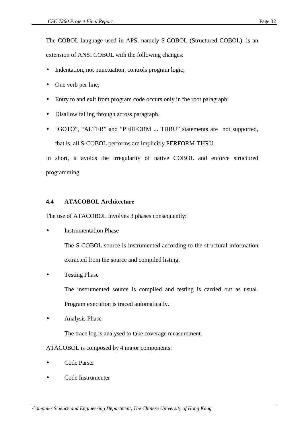The COBOL language used in APS, namely S-COBOL (Structured COBOL), is an extension of ANSI COBOL with the following changes:

- Indentation, not punctuation, controls program logic;
- One verb per line;
- Entry to and exit from program code occurs only in the root paragraph;
- Disallow falling through across paragraph.
- "GOTO", "ALTER" and "PERFORM ... THRU" statements are not supported, that is, all S-COBOL performs are implicitly PERFORM-THRU.

In short, it avoids the irregularity of native COBOL and enforce structured programming.

# **4.4 ATACOBOL Architecture**

The use of ATACOBOL involves 3 phases consequently:

**Instrumentation Phase** 

The S-COBOL source is instrumented according to the structural information extracted from the source and compiled listing.

• Testing Phase

The instrumented source is compiled and testing is carried out as usual. Program execution is traced automatically.

• Analysis Phase

The trace log is analysed to take coverage measurement.

ATACOBOL is composed by 4 major components:

- Code Parser
- Code Instrumenter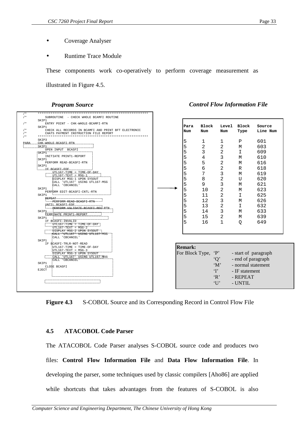- Coverage Analyser
- Runtime Trace Module

These components work co-operatively to perform coverage measurement as

illustrated in Figure 4.5.

#### *Program Source Control Flow Information File*

| $/$ *<br>SUBROUTINE - CHECK WHOLE BCAMFI ROUTINE<br>SKIP1<br>$/$ *<br>ENTRY POINT - CHK-WHOLE-BCAMFI-RTN<br>Level Block<br><b>Block</b><br>Source<br>Para<br>SKIP1<br>$/$ *<br>CHECK ALL RECORDS IN BCAMFI AND PRINT BFT ELECTRONIC<br>Line Num<br>Num<br>Num<br>Num<br>Type<br>$/$ *<br>CHATS PAYMENT INSTRUCTION FILE REPORT<br>$/$ *<br>SKIP3<br>601<br>5<br>1<br>1<br>Ρ<br>PARA.<br>CHK-WHOLE-BCASFI-RTN<br>2<br>5<br>2<br>603<br>SKIP1<br>М<br>OPEN INPUT BCASFI<br>5<br>3<br>$\overline{2}$<br>609<br>T.<br>SKIP1<br>INITIATE PRINT1-REPORT<br>3<br>5<br>4<br>610<br>M<br>SKIP1<br>5<br>$\overline{2}$<br>5<br>616<br>PERFORM READ-BCASFI-RTN<br>М<br>SKIP1<br>5<br>6<br>2<br>618<br>R<br>.IF BCASFI-EOF<br>$UTL167 - TIME = TIME - OF - DAY$<br>5<br>3<br>7<br>619<br>M<br>$UTL167-TEXT = MSG-1$<br>2<br>5<br>8<br>620<br>U<br>DISPLAY MSG-1 UPON SYSOUT<br>CALL 'UTL167' USING UTL167-MSG<br>3<br>5<br>9<br>621<br>M<br>CALL 'CBCANCEL'<br>SKIP1<br>2<br>5<br>623<br>10<br>M<br>PERFORM EDIT-BCASFI-CNTL-RTN<br>$\overline{2}$<br>5<br>625<br>11<br>I.<br>SKIP1<br>REPEAT-<br>5<br>3<br>12<br>626<br>M<br>PERFORM READ-BCASFI-RTN<br>UNTIL BCASFI-EOF<br>5<br>$\overline{2}$<br>13<br>632<br>I.<br>{}#RFQRM~J@LLD@TE~BQ&SFL~REQ~RTN<br>5<br>3<br>14<br>633<br>SKIP1<br>M<br>TERMINATE PRINT1-REPORT<br>5<br>639<br>15<br>2<br>M<br>SKIP1<br>IF BCASFI-INVALID<br>5<br>16<br>1<br>649<br>Q<br>UTL167-TIME = TIME-OF-DAY<br>$UTL167-TEXT = MSG-2$<br>DISPLAY MSG-2 UPON SYSOUT<br>CALL UTLI67 USING UTLI67 MSG<br>CALL 'CBCANCEL'<br>SKTP1<br>IF BCASFI-TRLR-NOT-READ<br><b>Remark:</b><br>UTL167-TIME = TIME-OF-DAY<br>UTL167-TEXT = MSG-3<br>For Block Type, 'P'<br>- start of paragraph<br>DISPLAY MSG-3 UPON SYSOUT<br>CALL 'UTL167' USING UTL167-MSG<br>Q'<br>- end of paragraph<br>CALL 'CBCANCEL'<br>SKIP1<br>$^{\circ}$ M'<br>- normal statement<br>CLOSE BCASFI<br>EJECT<br>$\mathbf{T}$<br>- IF statement<br>- REPEAT<br>R<br>- UNTIL<br>`U` | $/$ * |  |  |  |  |
|--------------------------------------------------------------------------------------------------------------------------------------------------------------------------------------------------------------------------------------------------------------------------------------------------------------------------------------------------------------------------------------------------------------------------------------------------------------------------------------------------------------------------------------------------------------------------------------------------------------------------------------------------------------------------------------------------------------------------------------------------------------------------------------------------------------------------------------------------------------------------------------------------------------------------------------------------------------------------------------------------------------------------------------------------------------------------------------------------------------------------------------------------------------------------------------------------------------------------------------------------------------------------------------------------------------------------------------------------------------------------------------------------------------------------------------------------------------------------------------------------------------------------------------------------------------------------------------------------------------------------------------------------------------------------------------------------------------------------------------------------------------------------------------------------------------------------------------------------------------------------------------------------------------------------------------------------------------|-------|--|--|--|--|
|                                                                                                                                                                                                                                                                                                                                                                                                                                                                                                                                                                                                                                                                                                                                                                                                                                                                                                                                                                                                                                                                                                                                                                                                                                                                                                                                                                                                                                                                                                                                                                                                                                                                                                                                                                                                                                                                                                                                                              |       |  |  |  |  |
|                                                                                                                                                                                                                                                                                                                                                                                                                                                                                                                                                                                                                                                                                                                                                                                                                                                                                                                                                                                                                                                                                                                                                                                                                                                                                                                                                                                                                                                                                                                                                                                                                                                                                                                                                                                                                                                                                                                                                              |       |  |  |  |  |
|                                                                                                                                                                                                                                                                                                                                                                                                                                                                                                                                                                                                                                                                                                                                                                                                                                                                                                                                                                                                                                                                                                                                                                                                                                                                                                                                                                                                                                                                                                                                                                                                                                                                                                                                                                                                                                                                                                                                                              |       |  |  |  |  |
|                                                                                                                                                                                                                                                                                                                                                                                                                                                                                                                                                                                                                                                                                                                                                                                                                                                                                                                                                                                                                                                                                                                                                                                                                                                                                                                                                                                                                                                                                                                                                                                                                                                                                                                                                                                                                                                                                                                                                              |       |  |  |  |  |
|                                                                                                                                                                                                                                                                                                                                                                                                                                                                                                                                                                                                                                                                                                                                                                                                                                                                                                                                                                                                                                                                                                                                                                                                                                                                                                                                                                                                                                                                                                                                                                                                                                                                                                                                                                                                                                                                                                                                                              |       |  |  |  |  |
|                                                                                                                                                                                                                                                                                                                                                                                                                                                                                                                                                                                                                                                                                                                                                                                                                                                                                                                                                                                                                                                                                                                                                                                                                                                                                                                                                                                                                                                                                                                                                                                                                                                                                                                                                                                                                                                                                                                                                              |       |  |  |  |  |
|                                                                                                                                                                                                                                                                                                                                                                                                                                                                                                                                                                                                                                                                                                                                                                                                                                                                                                                                                                                                                                                                                                                                                                                                                                                                                                                                                                                                                                                                                                                                                                                                                                                                                                                                                                                                                                                                                                                                                              |       |  |  |  |  |
|                                                                                                                                                                                                                                                                                                                                                                                                                                                                                                                                                                                                                                                                                                                                                                                                                                                                                                                                                                                                                                                                                                                                                                                                                                                                                                                                                                                                                                                                                                                                                                                                                                                                                                                                                                                                                                                                                                                                                              |       |  |  |  |  |
|                                                                                                                                                                                                                                                                                                                                                                                                                                                                                                                                                                                                                                                                                                                                                                                                                                                                                                                                                                                                                                                                                                                                                                                                                                                                                                                                                                                                                                                                                                                                                                                                                                                                                                                                                                                                                                                                                                                                                              |       |  |  |  |  |
|                                                                                                                                                                                                                                                                                                                                                                                                                                                                                                                                                                                                                                                                                                                                                                                                                                                                                                                                                                                                                                                                                                                                                                                                                                                                                                                                                                                                                                                                                                                                                                                                                                                                                                                                                                                                                                                                                                                                                              |       |  |  |  |  |
|                                                                                                                                                                                                                                                                                                                                                                                                                                                                                                                                                                                                                                                                                                                                                                                                                                                                                                                                                                                                                                                                                                                                                                                                                                                                                                                                                                                                                                                                                                                                                                                                                                                                                                                                                                                                                                                                                                                                                              |       |  |  |  |  |
|                                                                                                                                                                                                                                                                                                                                                                                                                                                                                                                                                                                                                                                                                                                                                                                                                                                                                                                                                                                                                                                                                                                                                                                                                                                                                                                                                                                                                                                                                                                                                                                                                                                                                                                                                                                                                                                                                                                                                              |       |  |  |  |  |
|                                                                                                                                                                                                                                                                                                                                                                                                                                                                                                                                                                                                                                                                                                                                                                                                                                                                                                                                                                                                                                                                                                                                                                                                                                                                                                                                                                                                                                                                                                                                                                                                                                                                                                                                                                                                                                                                                                                                                              |       |  |  |  |  |
|                                                                                                                                                                                                                                                                                                                                                                                                                                                                                                                                                                                                                                                                                                                                                                                                                                                                                                                                                                                                                                                                                                                                                                                                                                                                                                                                                                                                                                                                                                                                                                                                                                                                                                                                                                                                                                                                                                                                                              |       |  |  |  |  |
|                                                                                                                                                                                                                                                                                                                                                                                                                                                                                                                                                                                                                                                                                                                                                                                                                                                                                                                                                                                                                                                                                                                                                                                                                                                                                                                                                                                                                                                                                                                                                                                                                                                                                                                                                                                                                                                                                                                                                              |       |  |  |  |  |
|                                                                                                                                                                                                                                                                                                                                                                                                                                                                                                                                                                                                                                                                                                                                                                                                                                                                                                                                                                                                                                                                                                                                                                                                                                                                                                                                                                                                                                                                                                                                                                                                                                                                                                                                                                                                                                                                                                                                                              |       |  |  |  |  |
|                                                                                                                                                                                                                                                                                                                                                                                                                                                                                                                                                                                                                                                                                                                                                                                                                                                                                                                                                                                                                                                                                                                                                                                                                                                                                                                                                                                                                                                                                                                                                                                                                                                                                                                                                                                                                                                                                                                                                              |       |  |  |  |  |
|                                                                                                                                                                                                                                                                                                                                                                                                                                                                                                                                                                                                                                                                                                                                                                                                                                                                                                                                                                                                                                                                                                                                                                                                                                                                                                                                                                                                                                                                                                                                                                                                                                                                                                                                                                                                                                                                                                                                                              |       |  |  |  |  |
|                                                                                                                                                                                                                                                                                                                                                                                                                                                                                                                                                                                                                                                                                                                                                                                                                                                                                                                                                                                                                                                                                                                                                                                                                                                                                                                                                                                                                                                                                                                                                                                                                                                                                                                                                                                                                                                                                                                                                              |       |  |  |  |  |
|                                                                                                                                                                                                                                                                                                                                                                                                                                                                                                                                                                                                                                                                                                                                                                                                                                                                                                                                                                                                                                                                                                                                                                                                                                                                                                                                                                                                                                                                                                                                                                                                                                                                                                                                                                                                                                                                                                                                                              |       |  |  |  |  |
|                                                                                                                                                                                                                                                                                                                                                                                                                                                                                                                                                                                                                                                                                                                                                                                                                                                                                                                                                                                                                                                                                                                                                                                                                                                                                                                                                                                                                                                                                                                                                                                                                                                                                                                                                                                                                                                                                                                                                              |       |  |  |  |  |
|                                                                                                                                                                                                                                                                                                                                                                                                                                                                                                                                                                                                                                                                                                                                                                                                                                                                                                                                                                                                                                                                                                                                                                                                                                                                                                                                                                                                                                                                                                                                                                                                                                                                                                                                                                                                                                                                                                                                                              |       |  |  |  |  |
|                                                                                                                                                                                                                                                                                                                                                                                                                                                                                                                                                                                                                                                                                                                                                                                                                                                                                                                                                                                                                                                                                                                                                                                                                                                                                                                                                                                                                                                                                                                                                                                                                                                                                                                                                                                                                                                                                                                                                              |       |  |  |  |  |
|                                                                                                                                                                                                                                                                                                                                                                                                                                                                                                                                                                                                                                                                                                                                                                                                                                                                                                                                                                                                                                                                                                                                                                                                                                                                                                                                                                                                                                                                                                                                                                                                                                                                                                                                                                                                                                                                                                                                                              |       |  |  |  |  |
|                                                                                                                                                                                                                                                                                                                                                                                                                                                                                                                                                                                                                                                                                                                                                                                                                                                                                                                                                                                                                                                                                                                                                                                                                                                                                                                                                                                                                                                                                                                                                                                                                                                                                                                                                                                                                                                                                                                                                              |       |  |  |  |  |
|                                                                                                                                                                                                                                                                                                                                                                                                                                                                                                                                                                                                                                                                                                                                                                                                                                                                                                                                                                                                                                                                                                                                                                                                                                                                                                                                                                                                                                                                                                                                                                                                                                                                                                                                                                                                                                                                                                                                                              |       |  |  |  |  |
|                                                                                                                                                                                                                                                                                                                                                                                                                                                                                                                                                                                                                                                                                                                                                                                                                                                                                                                                                                                                                                                                                                                                                                                                                                                                                                                                                                                                                                                                                                                                                                                                                                                                                                                                                                                                                                                                                                                                                              |       |  |  |  |  |
|                                                                                                                                                                                                                                                                                                                                                                                                                                                                                                                                                                                                                                                                                                                                                                                                                                                                                                                                                                                                                                                                                                                                                                                                                                                                                                                                                                                                                                                                                                                                                                                                                                                                                                                                                                                                                                                                                                                                                              |       |  |  |  |  |
|                                                                                                                                                                                                                                                                                                                                                                                                                                                                                                                                                                                                                                                                                                                                                                                                                                                                                                                                                                                                                                                                                                                                                                                                                                                                                                                                                                                                                                                                                                                                                                                                                                                                                                                                                                                                                                                                                                                                                              |       |  |  |  |  |
|                                                                                                                                                                                                                                                                                                                                                                                                                                                                                                                                                                                                                                                                                                                                                                                                                                                                                                                                                                                                                                                                                                                                                                                                                                                                                                                                                                                                                                                                                                                                                                                                                                                                                                                                                                                                                                                                                                                                                              |       |  |  |  |  |
|                                                                                                                                                                                                                                                                                                                                                                                                                                                                                                                                                                                                                                                                                                                                                                                                                                                                                                                                                                                                                                                                                                                                                                                                                                                                                                                                                                                                                                                                                                                                                                                                                                                                                                                                                                                                                                                                                                                                                              |       |  |  |  |  |
|                                                                                                                                                                                                                                                                                                                                                                                                                                                                                                                                                                                                                                                                                                                                                                                                                                                                                                                                                                                                                                                                                                                                                                                                                                                                                                                                                                                                                                                                                                                                                                                                                                                                                                                                                                                                                                                                                                                                                              |       |  |  |  |  |
|                                                                                                                                                                                                                                                                                                                                                                                                                                                                                                                                                                                                                                                                                                                                                                                                                                                                                                                                                                                                                                                                                                                                                                                                                                                                                                                                                                                                                                                                                                                                                                                                                                                                                                                                                                                                                                                                                                                                                              |       |  |  |  |  |
|                                                                                                                                                                                                                                                                                                                                                                                                                                                                                                                                                                                                                                                                                                                                                                                                                                                                                                                                                                                                                                                                                                                                                                                                                                                                                                                                                                                                                                                                                                                                                                                                                                                                                                                                                                                                                                                                                                                                                              |       |  |  |  |  |
|                                                                                                                                                                                                                                                                                                                                                                                                                                                                                                                                                                                                                                                                                                                                                                                                                                                                                                                                                                                                                                                                                                                                                                                                                                                                                                                                                                                                                                                                                                                                                                                                                                                                                                                                                                                                                                                                                                                                                              |       |  |  |  |  |
|                                                                                                                                                                                                                                                                                                                                                                                                                                                                                                                                                                                                                                                                                                                                                                                                                                                                                                                                                                                                                                                                                                                                                                                                                                                                                                                                                                                                                                                                                                                                                                                                                                                                                                                                                                                                                                                                                                                                                              |       |  |  |  |  |
|                                                                                                                                                                                                                                                                                                                                                                                                                                                                                                                                                                                                                                                                                                                                                                                                                                                                                                                                                                                                                                                                                                                                                                                                                                                                                                                                                                                                                                                                                                                                                                                                                                                                                                                                                                                                                                                                                                                                                              |       |  |  |  |  |
|                                                                                                                                                                                                                                                                                                                                                                                                                                                                                                                                                                                                                                                                                                                                                                                                                                                                                                                                                                                                                                                                                                                                                                                                                                                                                                                                                                                                                                                                                                                                                                                                                                                                                                                                                                                                                                                                                                                                                              |       |  |  |  |  |
|                                                                                                                                                                                                                                                                                                                                                                                                                                                                                                                                                                                                                                                                                                                                                                                                                                                                                                                                                                                                                                                                                                                                                                                                                                                                                                                                                                                                                                                                                                                                                                                                                                                                                                                                                                                                                                                                                                                                                              |       |  |  |  |  |
|                                                                                                                                                                                                                                                                                                                                                                                                                                                                                                                                                                                                                                                                                                                                                                                                                                                                                                                                                                                                                                                                                                                                                                                                                                                                                                                                                                                                                                                                                                                                                                                                                                                                                                                                                                                                                                                                                                                                                              |       |  |  |  |  |
|                                                                                                                                                                                                                                                                                                                                                                                                                                                                                                                                                                                                                                                                                                                                                                                                                                                                                                                                                                                                                                                                                                                                                                                                                                                                                                                                                                                                                                                                                                                                                                                                                                                                                                                                                                                                                                                                                                                                                              |       |  |  |  |  |
|                                                                                                                                                                                                                                                                                                                                                                                                                                                                                                                                                                                                                                                                                                                                                                                                                                                                                                                                                                                                                                                                                                                                                                                                                                                                                                                                                                                                                                                                                                                                                                                                                                                                                                                                                                                                                                                                                                                                                              |       |  |  |  |  |
|                                                                                                                                                                                                                                                                                                                                                                                                                                                                                                                                                                                                                                                                                                                                                                                                                                                                                                                                                                                                                                                                                                                                                                                                                                                                                                                                                                                                                                                                                                                                                                                                                                                                                                                                                                                                                                                                                                                                                              |       |  |  |  |  |
|                                                                                                                                                                                                                                                                                                                                                                                                                                                                                                                                                                                                                                                                                                                                                                                                                                                                                                                                                                                                                                                                                                                                                                                                                                                                                                                                                                                                                                                                                                                                                                                                                                                                                                                                                                                                                                                                                                                                                              |       |  |  |  |  |

**Figure 4.3** S-COBOL Source and its Corresponding Record in Control Flow File

#### **4.5 ATACOBOL Code Parser**

The ATACOBOL Code Parser analyses S-COBOL source code and produces two files: **Control Flow Information File** and **Data Flow Information File**. In developing the parser, some techniques used by classic compilers [Aho86] are applied while shortcuts that takes advantages from the features of S-COBOL is also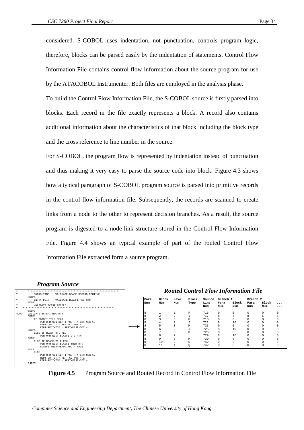considered. S-COBOL uses indentation, not punctuation, controls program logic, therefore, blocks can be parsed easily by the indentation of statements. Control Flow Information File contains control flow information about the source program for use by the ATACOBOL Instrumenter. Both files are employed in the analysis phase. To build the Control Flow Information File, the S-COBOL source is firstly parsed into blocks. Each record in the file exactly represents a block. A record also contains additional information about the characteristics of that block including the block type and the cross reference to line number in the source.

For S-COBOL, the program flow is represented by indentation instead of punctuation and thus making it very easy to parse the source code into block. Figure 4.3 shows how a typical paragraph of S-COBOL program source is parsed into primitive records in the control flow information file. Subsequently, the records are scanned to create links from a node to the other to represent decision branches. As a result, the source program is digested to a node-link structure stored in the Control Flow Information File. Figure 4.4 shows an typical example of part of the routed Control Flow Information File extracted form a source program.

#### *Program Source*

| $1*$<br>$1*$         | SUBROUTINE - VALIDATE BCASF RECORD ROUTINE                                                                                                                                                                                                                                                                                                                     |               |                    |              |                                                           | <b>Routed Control Flow Information File</b>                               |                                                                                            |                                                                            |                                    |                                       |                                                 |
|----------------------|----------------------------------------------------------------------------------------------------------------------------------------------------------------------------------------------------------------------------------------------------------------------------------------------------------------------------------------------------------------|---------------|--------------------|--------------|-----------------------------------------------------------|---------------------------------------------------------------------------|--------------------------------------------------------------------------------------------|----------------------------------------------------------------------------|------------------------------------|---------------------------------------|-------------------------------------------------|
| $1*$<br>$1*$<br>$1*$ | SKIP1<br>ENTRY POINT - VALIDATE-BCASFI-REC-RTN<br>SKIP1<br>VALIDATE BCASF RECORD                                                                                                                                                                                                                                                                               | Para<br>l Num | Block<br>Num       | Level<br>Num | Block<br>Type                                             | Source<br>Line<br>Num                                                     | Branch 1<br>Para<br>Num                                                                    | Block<br>Num                                                               | Branch <sub>2</sub><br>Para<br>Num | Block<br>Num                          | $\ddotsc$<br>$\cdots$                           |
| PARA                 | SKIP3<br>VALIDATE-BCASFI-REC-RTN<br>SKIP1<br>IF BCASFI-TRLR-READ<br>PERFORM GEN-REPT1-MSG-RTN(ERR-MSG-13)<br>$REPT-CD-TOT = REPT-CD-TOT + 1$<br>REPT-REJT-TOT = REPT-REJT-TOT + 1<br>SKIP1<br>ELSE-IF BCASF-DTL-REC<br>PERFORM EDIT-BCASFI-DTL-RTN<br>SKIP1<br>ELSE-IF BCASE-TRLR-REC<br>PERFORM EDIT-BCASFI-TRLR-RTN<br>BCASFI-TRLR-READ-INDC = TRUZ<br>SKIP1 |               | $\sim$<br>10<br>11 | 2            | P<br>M<br>$\cdot$ T<br>М<br>$\cdot$ T<br>M<br>M<br>D<br>O | 715<br>717<br>718<br>722<br>723<br>725<br>726<br>729<br>730<br>742<br>742 | $\Omega$<br>8<br>$\Omega$<br>8<br>$\Omega$<br>8<br>0<br>R<br><sup>n</sup><br>0<br>$\Omega$ | $\Omega$<br>10<br>$\Omega$<br>10<br>$\Omega$<br>10<br>$\Omega$<br>$\Omega$ | $\Omega$<br>8<br>O<br>O            | 0<br>$\Omega$<br>$\Omega$<br>$\Omega$ | $\Omega$<br>8<br>$\Omega$<br>$\Omega$<br>0<br>0 |
|                      | <b>ELSE</b><br>PERFORM GEN-REPT1-MSG-RTN (ERR-MSG-12)<br>$REPT-CD-TOT = REPT-CD-TOT + 1$<br>REPT-REJT-TOT = REPT-REJT-TOT + 1<br>EJECT                                                                                                                                                                                                                         |               |                    |              |                                                           |                                                                           |                                                                                            |                                                                            |                                    |                                       |                                                 |



**Figure 4.5** Program Source and Routed Record in Control Flow Information File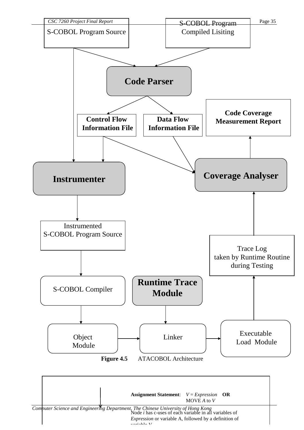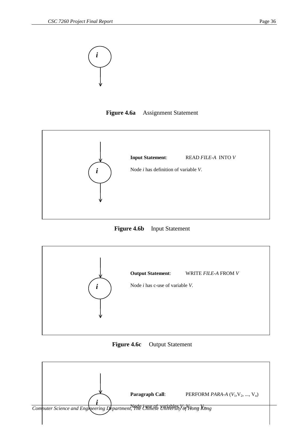

**Figure 4.6a** Assignment Statement



**Figure 4.6b** Input Statement



**Figure 4.6c** Output Statement

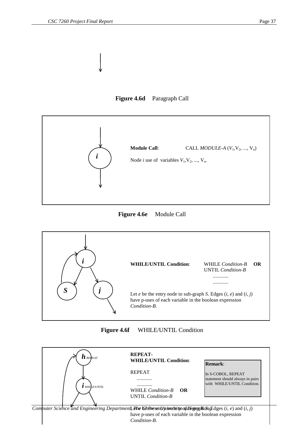

**Figure 4.6d** Paragraph Call



**Figure 4.6e** Module Call



## **Figure 4.6f** WHILE/UNTIL Condition



have p-uses of each variable in the boolean expression *Condition-B*.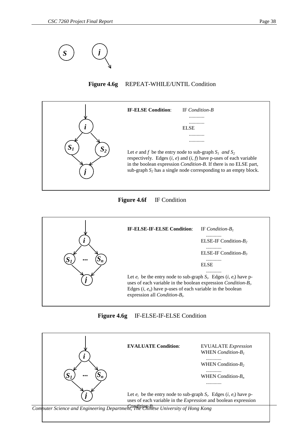

**Figure 4.6g** REPEAT-WHILE/UNTIL Condition



**Figure 4.6f** IF Condition





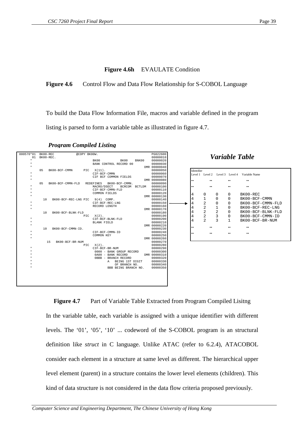# **Figure 4.6h** EVAULATE Condition

## **Figure 4.6** Control Flow and Data Flow Relationship for S-COBOL Language

To build the Data Flow Information File, macros and variable defined in the program listing is parsed to form a variable table as illustrated in figure 4.7.

| 000570*01 | BK00-REC       |                       | @COPY BK00W. |                                 |                                                |               | PG022600                 |            |                                 |                |                  | Variable Table   |                   |  |
|-----------|----------------|-----------------------|--------------|---------------------------------|------------------------------------------------|---------------|--------------------------|------------|---------------------------------|----------------|------------------|------------------|-------------------|--|
| 01        | BK00-REC.      |                       |              |                                 |                                                |               | 00000010                 |            |                                 |                |                  |                  |                   |  |
|           |                |                       |              | BK00                            | BK00                                           | BNK00         | 00000020                 |            |                                 |                |                  |                  |                   |  |
|           |                |                       |              |                                 | BANK CONTROL RECORD 00                         |               | 00000030                 |            |                                 |                |                  |                  |                   |  |
|           |                |                       |              |                                 |                                                |               | DMR 00000040             |            |                                 |                |                  |                  |                   |  |
|           | 0 <sub>5</sub> | BK00-BCF-CMMN         | PIC          | $X(11)$ .                       |                                                |               | 00000050                 | Identifier |                                 |                |                  |                  |                   |  |
|           |                |                       |              | CIF-BCF-CMMN                    |                                                |               | 00000060                 |            | Level 1 Level 2 Level 3 Level 4 |                |                  | Variable Name    |                   |  |
|           |                |                       |              |                                 | CIF BCF COMMON FIELDS                          |               | 00000070                 |            |                                 |                |                  |                  |                   |  |
|           | 05             |                       |              |                                 |                                                |               | DMR 00000080<br>00000090 |            | $\bullet\bullet$                |                | $\bullet\bullet$ | $\bullet\bullet$ |                   |  |
|           |                | BK00-BCF-CMMN-FLD     |              | <b>REDEFINES</b><br>MACRO/DSECT | BK00-BCF-CMMN.                                 |               | 00000100                 |            | $\bullet\bullet$                |                | $\bullet\bullet$ | $\bullet\bullet$ |                   |  |
|           |                |                       |              | CIF-BCF-CMMN-FLD                |                                                | BCRCOM BCTLDM | 00000110                 |            |                                 |                |                  |                  |                   |  |
|           |                |                       |              | <b>COMMON FIELDS</b>            |                                                |               | 00000120                 |            |                                 |                |                  |                  |                   |  |
|           |                |                       |              |                                 |                                                |               | DMR 00000130             | 4          | 0                               | 0              | $\mathbf 0$      | BK00-REC         |                   |  |
|           | 10             | BK00-BCF-REC-LNG PIC  |              | $9(4)$ COMP.                    |                                                |               | 00000140                 | 4          |                                 | $\mathbf 0$    | $\mathbf 0$      | BK00-BCF-CMMN    |                   |  |
|           |                |                       |              | CIF-BCF-REC-LNG                 |                                                |               | 00000150                 | 4          | $\overline{2}$                  | 0              | $\mathbf{0}$     |                  | BK00-BCF-CMMN-FLD |  |
|           |                |                       |              | RECORD LENGTH                   |                                                |               | 00000160                 |            |                                 |                |                  |                  |                   |  |
|           |                |                       |              |                                 |                                                |               | DMR 00000170             | 4          | $\overline{2}$                  |                | 0                |                  | BK00-BCF-REC-LNG  |  |
|           | 10             | BK00-BCF-BLNK-FLD     |              |                                 |                                                |               | 00000180                 | 4          | $\overline{2}$                  | $\overline{2}$ | $\Omega$         |                  | BK00-BCF-BLNK-FLD |  |
|           |                |                       | PIC          | $X(2)$ .                        |                                                |               | 00000190                 | 4          | $\overline{2}$                  | 3              | $\mathbf 0$      |                  | BK00-BCF-CMMN-ID  |  |
| $\star$   |                |                       |              | CIF-BCF-BLNK-FLD                |                                                |               | 00000200                 | 4          | $\mathfrak{D}$                  | 3              | $\mathbf{1}$     | BK00-BCF-BR-NUM  |                   |  |
|           |                |                       |              | <b>BLANK FIELD</b>              |                                                |               | 00000210                 |            |                                 |                |                  |                  |                   |  |
|           |                |                       |              |                                 |                                                |               | DMR 00000220             |            | $\bullet\bullet$                |                | $\bullet\bullet$ | $\bullet\bullet$ |                   |  |
|           | 10             | BK00-BCF-CMMN-ID.     |              |                                 |                                                |               | 00000230                 |            |                                 |                |                  |                  |                   |  |
|           |                |                       |              | CIF-BCF-CMMN-ID                 |                                                |               | 00000240                 |            | $\bullet\bullet$                |                | $\bullet\bullet$ | $\bullet\bullet$ |                   |  |
|           |                |                       |              | COMMON KEY                      |                                                |               | 00000250                 |            |                                 |                |                  |                  |                   |  |
|           |                |                       |              |                                 |                                                |               | DMR 00000260             |            |                                 |                |                  |                  |                   |  |
|           |                | BK00-BCF-BR-NUM<br>15 |              |                                 |                                                |               | 00000270                 |            |                                 |                |                  |                  |                   |  |
|           |                |                       | PIC          | $X(2)$ .                        |                                                |               | 00000280                 |            |                                 |                |                  |                  |                   |  |
|           |                |                       |              | CIF-BCF-BR-NUM                  |                                                |               | 00000290                 |            |                                 |                |                  |                  |                   |  |
|           |                |                       |              |                                 | 0000 - BANK GROUP RECORD<br>0A00 - BANK RECORD |               | 00000300                 |            |                                 |                |                  |                  |                   |  |
|           |                |                       |              |                                 | <b>OBBB - BRANCH RECORD</b>                    |               | DMR 00000310<br>00000320 |            |                                 |                |                  |                  |                   |  |
|           |                |                       |              | A                               | BEING 1ST DIGIT                                |               | 00000330                 |            |                                 |                |                  |                  |                   |  |
|           |                |                       |              |                                 | OF BRANCH NO.                                  |               | 00000340                 |            |                                 |                |                  |                  |                   |  |
|           |                |                       |              |                                 | BBB BEING BRANCH NO.                           |               | 00000350                 |            |                                 |                |                  |                  |                   |  |
|           |                |                       |              |                                 |                                                |               |                          |            |                                 |                |                  |                  |                   |  |
|           |                |                       |              |                                 |                                                |               |                          |            |                                 |                |                  |                  |                   |  |
|           |                |                       |              |                                 |                                                |               |                          |            |                                 |                |                  |                  |                   |  |
|           |                |                       |              |                                 |                                                |               |                          |            |                                 |                |                  |                  |                   |  |

## *Program Compiled Listing*

**Figure 4.7** Part of Variable Table Extracted from Program Compiled Lisitng In the variable table, each variable is assigned with a unique identifier with different levels. The '01', '05', '10' ... codeword of the S-COBOL program is an structural definition like *struct* in C language. Unlike ATAC (refer to 6.2.4), ATACOBOL consider each element in a structure at same level as different. The hierarchical upper level element (parent) in a structure contains the lower level elements (children). This kind of data structure is not considered in the data flow criteria proposed previously.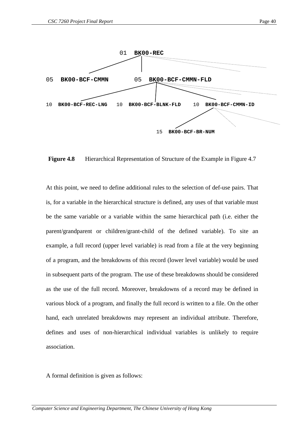



**Figure 4.8** Hierarchical Representation of Structure of the Example in Figure 4.7

At this point, we need to define additional rules to the selection of def-use pairs. That is, for a variable in the hierarchical structure is defined, any uses of that variable must be the same variable or a variable within the same hierarchical path (i.e. either the parent/grandparent or children/grant-child of the defined variable). To site an example, a full record (upper level variable) is read from a file at the very beginning of a program, and the breakdowns of this record (lower level variable) would be used in subsequent parts of the program. The use of these breakdowns should be considered as the use of the full record. Moreover, breakdowns of a record may be defined in various block of a program, and finally the full record is written to a file. On the other hand, each unrelated breakdowns may represent an individual attribute. Therefore, defines and uses of non-hierarchical individual variables is unlikely to require association.

A formal definition is given as follows: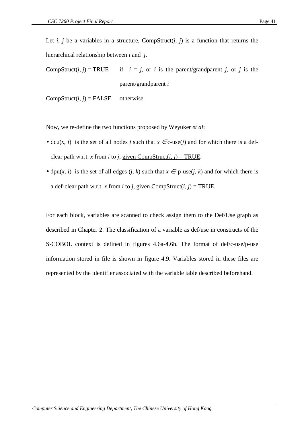Let *i*, *j* be a variables in a structure, CompStruct(*i*, *j*) is a function that returns the hierarchical relationship between *i* and *j*.

CompStruct(*i*, *j*) = TRUE if  $i = j$ , or *i* is the parent/grandparent *j*, or *j* is the parent/grandparent *i*

 $CompStruct(i, j) = FALSE$  otherwise

Now, we re-define the two functions proposed by Weyuker *et al*:

- dcu(*x*, *i*) is the set of all nodes *j* such that  $x \in c$ -use(*j*) and for which there is a defclear path w.r.t. *x* from *i* to *j*, given CompStruct(*i*, *j*) = TRUE.
- dpu(*x*, *i*) is the set of all edges (*j*, *k*) such that  $x \in p$ -use(*j*, *k*) and for which there is a def-clear path w.r.t. *x* from *i* to *j*, given CompStruct(*i*, *j*) = TRUE.

For each block, variables are scanned to check assign them to the Def/Use graph as described in Chapter 2. The classification of a variable as def/use in constructs of the S-COBOL context is defined in figures 4.6a-4.6h. The format of def/c-use/p-use information stored in file is shown in figure 4.9. Variables stored in these files are represented by the identifier associated with the variable table described beforehand.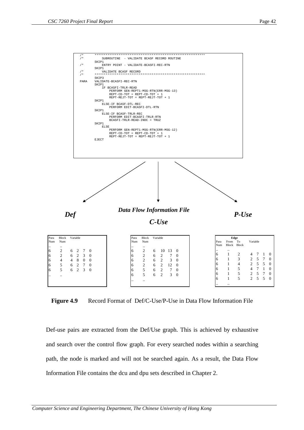



**Figure 4.9** Record Format of Def/C-Use/P-Use in Data Flow Information File

Def-use pairs are extracted from the Def/Use graph. This is achieved by exhaustive and search over the control flow graph. For every searched nodes within a searching path, the node is marked and will not be searched again. As a result, the Data Flow Information File contains the dcu and dpu sets described in Chapter 2.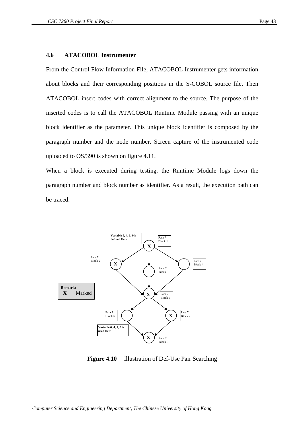## **4.6 ATACOBOL Instrumenter**

From the Control Flow Information File, ATACOBOL Instrumenter gets information about blocks and their corresponding positions in the S-COBOL source file. Then ATACOBOL insert codes with correct alignment to the source. The purpose of the inserted codes is to call the ATACOBOL Runtime Module passing with an unique block identifier as the parameter. This unique block identifier is composed by the paragraph number and the node number. Screen capture of the instrumented code uploaded to OS/390 is shown on figure 4.11.

When a block is executed during testing, the Runtime Module logs down the paragraph number and block number as identifier. As a result, the execution path can be traced.



**Figure 4.10** Illustration of Def-Use Pair Searching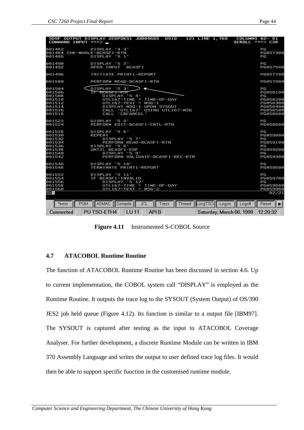| COMMAND INPUT $==>$                                                          | SDSF OUTPUT DISPLAY ZEDPSKS1 JOB04665 DSID                                                            |                                                                                            | 121 LINE 1,769             | $COLUMNS$ 02- 81<br>$SCROLL = = = > CSR$                                         |
|------------------------------------------------------------------------------|-------------------------------------------------------------------------------------------------------|--------------------------------------------------------------------------------------------|----------------------------|----------------------------------------------------------------------------------|
| 001482<br>001486                                                             | DISPLAY '4 3'<br>001484 CHK-WHOLE-BCASFI-RTN<br>DISPLAY '5 1'                                         |                                                                                            |                            | PG<br>PG057300<br>PG                                                             |
| 001490<br>001492                                                             | DISPLAY '5 2'<br>OPEN INPUT BCASFI                                                                    |                                                                                            |                            | PG<br>PG057500                                                                   |
| 001496                                                                       | INITIATE PRINT1-REPORT                                                                                |                                                                                            |                            | PG057700                                                                         |
| 001500                                                                       | PERFORM READ-BCASFI-RTN                                                                               |                                                                                            |                            | PG057900                                                                         |
| 001504<br>001506<br>001508<br>001510<br>001512<br>001514<br>001516<br>001518 | DISPLAY '5 3'<br>IF BCASFI-EOF<br>DISPLAY '5 4'<br>$UTL167-TEXT = MSG-1$<br>CALL 'CBCANCEL'           | $UTL167-TIME = TIME-OF-DAY$<br>DISPLAY MSG-1 UPON SYSOUT<br>CALL 'UTL167' USING UTL167-MSG |                            | PG<br>PG058100<br>PG<br>PG058200<br>PG058300<br>PG058400<br>PG058500<br>PG058600 |
| 001522<br>001524                                                             | DISPLAY '5 5'<br>PERFORM EDIT-BCASFI-CNTL-RTN                                                         |                                                                                            |                            | PG<br>PG058800                                                                   |
| 001528<br>001530<br>001532<br>001534<br>001536<br>001538<br>001540<br>001542 | DISPLAY '5 6'<br><b>REPEAT</b><br>DISPLAY '5 7'<br>DISPLAY '5 8'<br>UNTIL BCASFI-EOF<br>DISPLAY '5 9' | PERFORM READ-BCASFI-RTN<br>PERFORM VALIDATE-BCASFI-REC-RTN                                 |                            | PG<br>PG059000<br>PG<br>PG059100<br>PG<br>PG059200<br>PG<br>PG059300             |
| 001546<br>001548                                                             | DISPLAY '5 10'<br>TERMINATE PRINT1-REPORT                                                             |                                                                                            |                            | PG<br>PG059500                                                                   |
| 001552<br>001554<br>001556<br>001558<br>001560<br>40 I                       | DISPLAY '5 11'<br>IF BCASFI-INVALID<br>DISPLAY '5 12'<br>$UTL167-TEXT = MSG-2$                        | $UTL167-TIME = TIME-OF-DAY$                                                                |                            | PG<br>PG059700<br>PG<br>PG059800<br>PG059900<br>02/21                            |
| *error<br><b>PGM</b>                                                         | <b>I</b> ASMAC<br><b>Compile</b>                                                                      | <b>JCL</b><br>Tracs                                                                        | Thread<br>LongTSO<br>Logon | Reset<br>Logoff<br>E                                                             |
| Connected                                                                    | PU TSO-ETH4<br>$LU$ 11                                                                                | API B                                                                                      | Saturday, March 06, 1999   | 12:20:32                                                                         |

**Figure 4.11** Instrumented S-COBOL Source

## **4.7 ATACOBOL Runtime Routine**

The function of ATACOBOL Runtime Routine has been discussed in section 4.6. Up to current implementation, the COBOL system call "DISPLAY" is employed as the Runtime Routine. It outputs the trace log to the SYSOUT (System Output) of OS/390 JES2 job held queue (Figure 4.12). Its function is similar to a output file [IBM97]. The SYSOUT is captured after testing as the input to ATACOBOL Coverage Analyser. For further development, a discrete Runtime Module can be written in IBM 370 Assembly Language and writes the output to user defined trace log files. It would then be able to support specific function in the customised runtime module.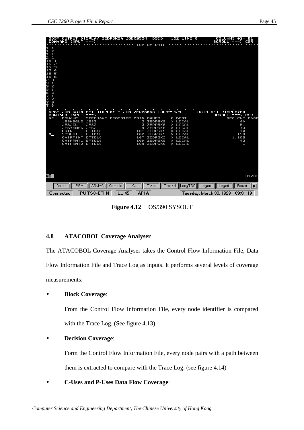|                                                           | $COMMAND$ INPUT $==$               | SDSF OUTPUT DISPLAY ZEDPSKSA JOB09524                 |                              |        | <b>DSID</b>                                     |        | 102 LINE 0                          |                         | <b>COLUMNS 02-81</b><br>$SCROLL = = = > CSR$ |                    |
|-----------------------------------------------------------|------------------------------------|-------------------------------------------------------|------------------------------|--------|-------------------------------------------------|--------|-------------------------------------|-------------------------|----------------------------------------------|--------------------|
|                                                           |                                    | ****************************** TOP OF DATA ********** |                              |        |                                                 |        |                                     |                         | * * * * * * * * * * * *                      |                    |
| $11212$<br>$21515$<br>$155$<br>$15$                       |                                    |                                                       |                              |        |                                                 |        |                                     |                         |                                              |                    |
|                                                           |                                    |                                                       |                              |        |                                                 |        |                                     |                         |                                              |                    |
| 15 4<br>15 5                                              |                                    |                                                       |                              |        |                                                 |        |                                     |                         |                                              |                    |
|                                                           |                                    |                                                       |                              |        |                                                 |        |                                     |                         |                                              |                    |
|                                                           |                                    |                                                       |                              |        |                                                 |        |                                     |                         |                                              |                    |
|                                                           |                                    |                                                       |                              |        |                                                 |        |                                     |                         |                                              |                    |
| 15 5 3 1 2 1 2 3 5 5 7 7 7 7<br>5 3 3 3 5 5 7 7 7 7 7 7 7 |                                    |                                                       |                              |        |                                                 |        |                                     |                         |                                              |                    |
| <b>SDSF</b>                                               | $COMMAND$ INPUT $==$               | JOB DATA SET DISPLAY - JOB ZEDPSKSA (JOB09524)        |                              |        |                                                 |        |                                     |                         | DATA SET DISPLAYED<br>$SCROLL = = = > CSR$   |                    |
| <b>NP</b>                                                 | <b>DDNAME</b><br>JESMSGLG JES2     |                                                       | STEPNAME PROCSTEP DSID OWNER | 2      | <b>ZEDPSKS</b>                                  |        | C DEST<br>X LOCAL                   |                         |                                              | REC-CNT PAGE<br>40 |
|                                                           | JESJCL<br>JESYSMSG JES2<br>PRINT   | JES <sub>2</sub><br>BFTD18                            |                              | з<br>4 | <b>ZEDPSKS</b><br><b>ZEDPSKS</b><br>101 ZEDPSKS |        | X LOCAL<br>X LOCAL<br>X LOCAL       |                         |                                              | 51<br>73<br>14     |
| S –                                                       | <b>SYSOUT</b><br>CAIPRINT BFTD18   | BFTD18                                                |                              | 102    | <b>ZEDPSKS</b><br>107 ZEDPSKS                   |        | X LOCAL<br>X LOCAL                  |                         |                                              | 159<br>1,166       |
|                                                           | CAIPRNT1 BFTD18<br>CAIPRNT2 BFTD18 |                                                       |                              | 108    | <b>ZEDPSKS</b><br>109 ZEDPSKS                   |        | X LOCAL<br>X LOCAL                  |                         |                                              | 43<br>1            |
|                                                           |                                    |                                                       |                              |        |                                                 |        |                                     |                         |                                              |                    |
|                                                           |                                    |                                                       |                              |        |                                                 |        |                                     |                         |                                              |                    |
|                                                           |                                    |                                                       |                              |        |                                                 |        |                                     |                         |                                              |                    |
| 4B I                                                      |                                    |                                                       |                              |        |                                                 |        |                                     |                         |                                              | 31/03              |
|                                                           | <b>PGM</b><br>*error               | <b>ASMAC</b>                                          | Compile                      | JCL    | Tracs                                           | Thread | $\lfloor$ Long $\text{TSO} \rfloor$ | Logon                   | Logoff                                       | Reset              |
| Connected                                                 |                                    | PU TSO-ETH4                                           | LU 45                        | API A  |                                                 |        |                                     | Tuesday, March 30, 1999 |                                              | 09:31:19           |

**Figure 4.12** OS/390 SYSOUT

## **4.8 ATACOBOL Coverage Analyser**

The ATACOBOL Coverage Analyser takes the Control Flow Information File, Data Flow Information File and Trace Log as inputs. It performs several levels of coverage measurements:

## • **Block Coverage**:

From the Control Flow Information File, every node identifier is compared with the Trace Log. (See figure 4.13)

## • **Decision Coverage**:

Form the Control Flow Information File, every node pairs with a path between them is extracted to compare with the Trace Log. (see figure 4.14)

• **C-Uses and P-Uses Data Flow Coverage**: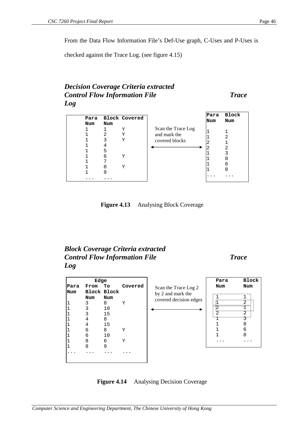checked against the Trace Log. (see figure 4.15)

# *Decision Coverage Criteria extracted Control Flow Information File Trace Log*



**Figure 4.13** Analysing Block Coverage

# *Block Coverage Criteria extracted Control Flow Information File Trace Log*



**Figure 4.14** Analysing Decision Coverage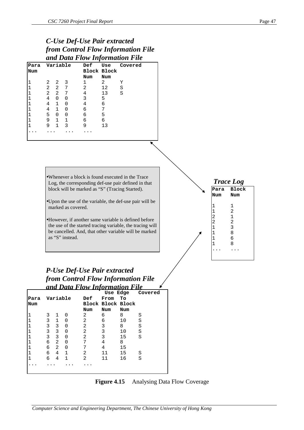# *C-Use Def-Use Pair extracted from Control Flow Information File and Data Flow Information File*

|              |                |                              |                    |                   |                                  | ana Daia 1 iow 1njormanon 1 ne                            |  |                |                         |
|--------------|----------------|------------------------------|--------------------|-------------------|----------------------------------|-----------------------------------------------------------|--|----------------|-------------------------|
| Para<br>Num  |                |                              | Variable           | <b>Def</b><br>Num | Use<br><b>Block Block</b><br>Num | Covered                                                   |  |                |                         |
| 1            | 2              | 2                            | 3                  | 1                 | 2                                | Υ                                                         |  |                |                         |
| 1            | $\overline{a}$ | $\overline{a}$               | $7\phantom{.}$     | $\overline{a}$    | 12                               | $\rm S$                                                   |  |                |                         |
| 1            | $\overline{a}$ | $\overline{a}$               | 7                  | $\overline{4}$    | 13                               | S                                                         |  |                |                         |
|              | $\overline{4}$ | $\mathsf 0$                  | $\mathbf 0$        | 3                 |                                  |                                                           |  |                |                         |
| $\mathbf{1}$ | 4              |                              | $\mathbf 0$        |                   | 5<br>$\epsilon$                  |                                                           |  |                |                         |
| 1            | 4              | $\mathbf{1}$<br>$\mathbf{1}$ | $\mathbf 0$        | 4<br>$\epsilon$   |                                  |                                                           |  |                |                         |
| 1<br>1       | 5              | $\mathbf 0$                  | $\mathbf 0$        | $\epsilon$        | 7<br>5                           |                                                           |  |                |                         |
| $\mathbf{1}$ | 9              | $\mathbf{1}$                 | $\mathbf{1}$       | 6                 | $\epsilon$                       |                                                           |  |                |                         |
| $\mathbf 1$  | 9              | $\mathbf{1}$                 | 3                  | 9                 | 13                               |                                                           |  |                |                         |
|              |                |                              |                    |                   |                                  |                                                           |  |                |                         |
|              |                |                              |                    |                   |                                  |                                                           |  |                |                         |
|              |                |                              |                    |                   |                                  |                                                           |  |                |                         |
|              |                |                              |                    |                   |                                  | ▼                                                         |  |                |                         |
|              |                |                              |                    |                   |                                  |                                                           |  |                |                         |
|              |                |                              |                    |                   |                                  |                                                           |  |                |                         |
|              |                |                              |                    |                   |                                  |                                                           |  |                |                         |
|              |                |                              |                    |                   |                                  |                                                           |  |                |                         |
|              |                |                              |                    |                   |                                  | • Whenever a block is found executed in the Trace         |  |                |                         |
|              |                |                              |                    |                   |                                  | Log, the corresponding def-use pair defined in that       |  |                | <b>Trace Log</b>        |
|              |                |                              |                    |                   |                                  | block will be marked as "S" (Tracing Started).            |  | Para           | <b>Block</b>            |
|              |                |                              |                    |                   |                                  |                                                           |  | Num            | Num                     |
|              |                |                              |                    |                   |                                  |                                                           |  |                |                         |
|              |                |                              |                    |                   |                                  | •Upon the use of the variable, the def-use pair will be   |  | 1              | 1                       |
|              |                |                              | marked as covered. |                   |                                  |                                                           |  | $\mathbf 1$    | 2                       |
|              |                |                              |                    |                   |                                  |                                                           |  | $\overline{c}$ | $\mathbf 1$             |
|              |                |                              |                    |                   |                                  | •However, if another same variable is defined before      |  | $\overline{c}$ | $\overline{\mathbf{c}}$ |
|              |                |                              |                    |                   |                                  | the use of the started tracing variable, the tracing will |  | $\mathbf 1$    | 3                       |
|              |                |                              |                    |                   |                                  | be cancelled. And, that other variable will be marked     |  | $\mathbf 1$    | 8                       |
|              |                |                              | as "S" instead.    |                   |                                  |                                                           |  | $\mathbf 1$    | б                       |
|              |                |                              |                    |                   |                                  |                                                           |  | $\overline{1}$ | 8                       |
|              |                |                              |                    |                   |                                  |                                                           |  |                |                         |
|              |                |                              |                    |                   |                                  |                                                           |  |                |                         |

# *P-Use Def-Use Pair extracted from Control Flow Information File and Data Flow Information File*

|      |   |                |   | v              | Use Edge          |     | Covered |
|------|---|----------------|---|----------------|-------------------|-----|---------|
| Para |   | Variable       |   | Def            | From              | Tо  |         |
| Num  |   |                |   |                | Block Block Block |     |         |
|      |   |                |   | Num            | Num               | Num |         |
|      | 3 | 1              | O | 2              | 6                 | 8   | S       |
|      | 3 | 1              | U | 2              | 6                 | 10  | S       |
|      | 3 | 3              | 0 | $\overline{2}$ | 3                 | 8   | S       |
|      | 3 | 3              | U | 2              | 3                 | 10  | S       |
|      | 3 | 3              | 0 | $\overline{2}$ | 3                 | 15  | S       |
|      | 6 | 2              | ∩ | 7              | 4                 | 8   |         |
|      | 6 | $\overline{2}$ | 0 | 7              | 4                 | 15  |         |
|      | 6 | 4              | 1 | 2              | 11                | 15  | S       |
|      | 6 | 4              | 1 | 2              | 11                | 16  | S       |
|      |   |                |   |                |                   |     |         |

**Figure 4.15** Analysing Data Flow Coverage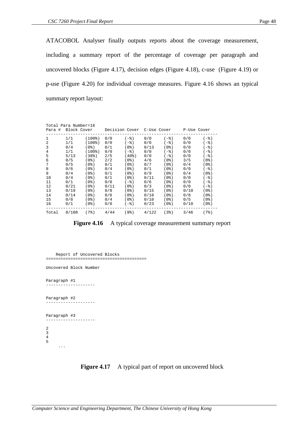ATACOBOL Analyser finally outputs reports about the coverage measurement, including a summary report of the percentage of coverage per paragraph and uncovered blocks (Figure 4.17), decision edges (Figure 4.18), c-use (Figure 4.19) or p-use (Figure 4.20) for individual coverage measures. Figure 4.16 shows an typical summary report layout:

|       | Total Para Number=16 |                    |      |                  |                            |          |             |          |  |
|-------|----------------------|--------------------|------|------------------|----------------------------|----------|-------------|----------|--|
|       | Para # Block Cover   |                    |      |                  | Decision Cover C-Use Cover |          | P-Use Cover |          |  |
| 1     | 1/1                  | $(100$ $)$         | 0/0  | $(-\frac{6}{9})$ | 0/0                        | $(-\xi)$ | 0/0         | $(-\xi)$ |  |
| 2     | 1/1                  | $(100$ $)$         | 0/0  | $(-\xi)$         | 0/0                        | $(-\xi)$ | 0/0         | (-응)     |  |
| 3     | 0/4                  | (0.8)              | 0/1  | (0.8)            | 0/13                       | $(0$ %)  | 0/0         | (-응)     |  |
| 4     | 1/1                  | $(100$ $)$         | 0/0  | $(-\xi)$         | 0/0                        | $(-\xi)$ | 0/0         | $(-\xi)$ |  |
| 5     | 5/13                 | (38 <sup>8</sup> ) | 2/5  | $(40$ $)$        | 0/0                        | ( -응 )   | 0/0         | ( -응 )   |  |
| 6     | 0/5                  | (0.8)              | 2/2  | (0.8)            | 4/6                        | $(0$ %)  | 3/5         | (0%)     |  |
| 7     | 0/5                  | $(0$ $)$           | 0/1  | $(0$ $)$         | 0/7                        | $(0$ $)$ | 0/4         | (0응)     |  |
| 8     | 0/6                  | $(0$ %)            | 0/4  | $(0$ %)          | 0/1                        | (0%)     | 0/0         | ( -응 )   |  |
| 9     | 0/4                  | $(0$ %)            | 0/1  | $(0$ %)          | 0/9                        | (0%)     | 0/4         | ( 0 % )  |  |
| 10    | 0/4                  | $(0$ %)            | 0/1  | $(0$ $)$         | 0/11                       | $(0$ $)$ | 0/0         | (-응)     |  |
| 11    | 0/1                  | (0.8)              | 0/0  | $(-\xi)$         | 0/6                        | $(0$ %)  | 0/0         | (-응)     |  |
| 12    | 0/21                 | $(0$ %)            | 0/11 | $(0$ %)          | 0/3                        | (0%)     | 0/0         | (-응)     |  |
| 13    | 0/19                 | $(0$ %)            | 0/8  | (0.8)            | 0/15                       | $(0$ %)  | 0/10        | ( 0 % )  |  |
| 14    | 0/14                 | $(0$ %)            | 0/6  | $(0$ $)$         | 0/18                       | $(0$ $)$ | 0/8         | (0응)     |  |
| 15    | 0/8                  | $(0$ %)            | 0/4  | $(0$ %)          | 0/10                       | (0%)     | 0/5         | (0%)     |  |
| 16    | 0/1                  | $(0$ %)            | 0/0  | $(-\mathcal{E})$ | 0/23                       | (0%)     | 0/10        | (0%)     |  |
| Total | 8/108                | (7)                | 4/44 | $(9$ $)$         | 4/122                      | (3)      | 3/46        | (7%)     |  |



Report of Uncovered Blocks =========================================

Uncovered Block Number

Paragraph #1 --------------------

Paragraph #2 --------------------

Paragraph #3 --------------------

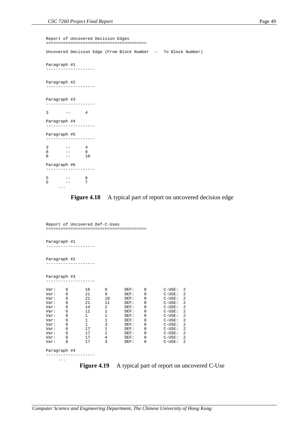Report of Uncovered Decision Edges ========================================= Uncovered Decision Edge (From Block Number -- To Block Number) Paragraph #1 -------------------- Paragraph #2 -------------------- Paragraph #3 --------------------  $3 \qquad -- \qquad 4$ Paragraph #4 -------------------- Paragraph #5 --------------------  $3 \qquad -- \qquad 4$ 8 -- 9 8 -- 10 Paragraph #6 --------------------  $5 - - - 6$  $5 - -7$ ...

## **Figure 4.18** A typical part of report on uncovered decision edge

|              |   | ------------------------- | Report of Uncovered Def-C-Uses | ============== |                                                                                                                                                                                                                                    |            |                |
|--------------|---|---------------------------|--------------------------------|----------------|------------------------------------------------------------------------------------------------------------------------------------------------------------------------------------------------------------------------------------|------------|----------------|
|              |   |                           |                                |                |                                                                                                                                                                                                                                    |            |                |
| Paragraph #1 |   |                           |                                |                |                                                                                                                                                                                                                                    |            |                |
|              |   |                           |                                |                |                                                                                                                                                                                                                                    |            |                |
| Paragraph #2 |   |                           |                                |                |                                                                                                                                                                                                                                    |            |                |
|              |   |                           |                                |                |                                                                                                                                                                                                                                    |            |                |
| Paragraph #3 |   |                           |                                |                |                                                                                                                                                                                                                                    |            |                |
|              |   |                           |                                |                |                                                                                                                                                                                                                                    |            |                |
| Var:         | 6 | 16                        | $\mathbf 0$                    | DEF:           | 0                                                                                                                                                                                                                                  | $C-USE:$   | 2              |
| Var:         | 6 | 21                        | 9                              | DEF:           | 0                                                                                                                                                                                                                                  | $C-USE:$   | 2              |
| Var:         | 6 | 21                        | 10                             | DEF:           | 0                                                                                                                                                                                                                                  | $C-USE:$   | $\overline{2}$ |
| Var:         | 6 | 21                        | 11                             | DEF:           | 0                                                                                                                                                                                                                                  | $C-USE:$   | $\overline{a}$ |
| Var:         | 6 | 14                        | 2                              | DEF:           | 0                                                                                                                                                                                                                                  | $C-USE:$   | $\overline{2}$ |
| Var:         | 6 | 11                        | 1                              | DEF:           | 0                                                                                                                                                                                                                                  | $C-USE:$   | $\overline{a}$ |
| Var:         | 6 | $\mathbf{1}$              | $\mathbf{1}$                   | DEF:           | 0                                                                                                                                                                                                                                  | $C-USE:$   | 2              |
| Var:         | 6 | $\mathbf{1}$              | $\mathbf{1}$                   | DEF:           | 0                                                                                                                                                                                                                                  | $C-USE:$   | 2              |
| Var:         | 6 | $\mathbf{1}$              | 3                              | DEF:           | 0                                                                                                                                                                                                                                  | $C-USE:$   | $\overline{a}$ |
| Var:         | 6 | 17                        | $\mathbf{1}$                   | DEF:           | 0                                                                                                                                                                                                                                  | $C-USE:$   | $\overline{a}$ |
| Var:         | 6 | 17                        | $\overline{2}$                 | DEF:           | 0                                                                                                                                                                                                                                  | $C-USE:$   | $\overline{2}$ |
| Var:         | 6 | 17                        | 4                              | DEF:           | 0                                                                                                                                                                                                                                  | $C-USE:$   | $\overline{2}$ |
| Var:         | 6 | 17                        | 3                              | DEF:           | 0                                                                                                                                                                                                                                  | $C-USE:$   | $\overline{2}$ |
| Paragraph #4 |   |                           |                                |                |                                                                                                                                                                                                                                    |            |                |
|              | . |                           |                                |                |                                                                                                                                                                                                                                    |            |                |
|              |   | $\blacksquare$            | $\blacksquare$                 |                | $\bullet$ and the set of the set of the set of the set of the set of the set of the set of the set of the set of the set of the set of the set of the set of the set of the set of the set of the set of the set of the set of the | $\epsilon$ |                |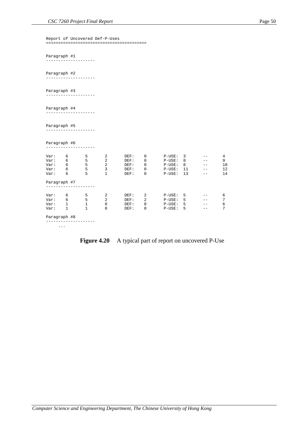Report of Uncovered Def-P-Uses =========================================

Paragraph #1 --------------------

Paragraph #2 --------------------

Paragraph #3 --------------------

## Paragraph #4

--------------------

#### Paragraph #5

--------------------

#### Paragraph #6 --------------------

| Var: | 6            | 5 | $\overline{2}$ | DEF: | 0 | $P-USE:$ | 3  | 4  |
|------|--------------|---|----------------|------|---|----------|----|----|
| Var: | 6            | 5 | 2              | DEF: | 0 | $P-USE:$ | 8  | 9  |
| Var: | 6            | 5 | 2              | DEF: | 0 | $P-USE:$ | 8  | 10 |
| Var: | 6            | 5 | 3              | DEF: | 0 | $P-USE:$ | 11 | 12 |
| Var: | 6            | 5 |                | DEF: | 0 | $P-USE:$ | 13 | 14 |
|      | Paragraph #7 |   |                |      |   |          |    |    |
| Var: | 6            | 5 | 2              | DEF: | 2 | $P-USE:$ | 5  | 6  |
| Var: | 6            | 5 | 2              | DEF: | 2 | $P-USE:$ | 5  | 7  |
| Var: | 1            |   | 0              | DEF: | 0 | $P-USE:$ | 5  | 6  |
| Var: |              |   | 0              | DEF: | 0 | $P-USE:$ | 5  | 7  |
|      | Paragraph #8 |   |                |      |   |          |    |    |
|      | $\cdots$     |   |                |      |   |          |    |    |

## **Figure 4.20** A typical part of report on uncovered P-Use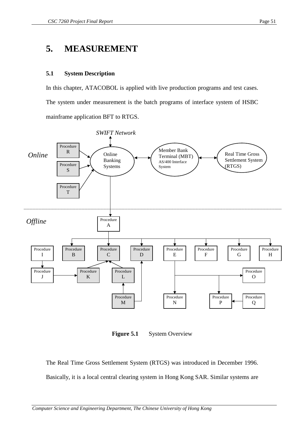# **5.1 System Description**

In this chapter, ATACOBOL is applied with live production programs and test cases. The system under measurement is the batch programs of interface system of HSBC mainframe application BFT to RTGS.



**Figure 5.1** System Overview

The Real Time Gross Settlement System (RTGS) was introduced in December 1996. Basically, it is a local central clearing system in Hong Kong SAR. Similar systems are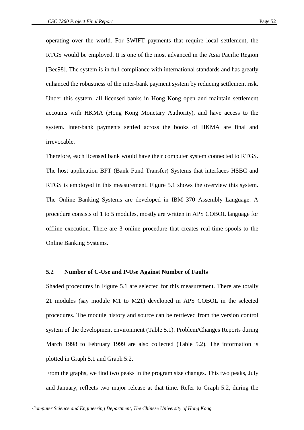operating over the world. For SWIFT payments that require local settlement, the RTGS would be employed. It is one of the most advanced in the Asia Pacific Region [Bee98]. The system is in full compliance with international standards and has greatly enhanced the robustness of the inter-bank payment system by reducing settlement risk. Under this system, all licensed banks in Hong Kong open and maintain settlement accounts with HKMA (Hong Kong Monetary Authority), and have access to the system. Inter-bank payments settled across the books of HKMA are final and irrevocable.

Therefore, each licensed bank would have their computer system connected to RTGS. The host application BFT (Bank Fund Transfer) Systems that interfaces HSBC and RTGS is employed in this measurement. Figure 5.1 shows the overview this system. The Online Banking Systems are developed in IBM 370 Assembly Language. A procedure consists of 1 to 5 modules, mostly are written in APS COBOL language for offline execution. There are 3 online procedure that creates real-time spools to the Online Banking Systems.

## **5.2 Number of C-Use and P-Use Against Number of Faults**

Shaded procedures in Figure 5.1 are selected for this measurement. There are totally 21 modules (say module M1 to M21) developed in APS COBOL in the selected procedures. The module history and source can be retrieved from the version control system of the development environment (Table 5.1). Problem/Changes Reports during March 1998 to February 1999 are also collected (Table 5.2). The information is plotted in Graph 5.1 and Graph 5.2.

From the graphs, we find two peaks in the program size changes. This two peaks, July and January, reflects two major release at that time. Refer to Graph 5.2, during the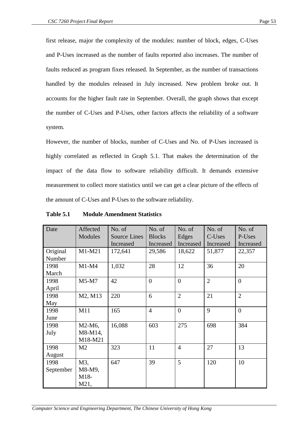first release, major the complexity of the modules: number of block, edges, C-Uses and P-Uses increased as the number of faults reported also increases. The number of faults reduced as program fixes released. In September, as the number of transactions handled by the modules released in July increased. New problem broke out. It accounts for the higher fault rate in September. Overall, the graph shows that except the number of C-Uses and P-Uses, other factors affects the reliability of a software system.

However, the number of blocks, number of C-Uses and No. of P-Uses increased is highly correlated as reflected in Graph 5.1. That makes the determination of the impact of the data flow to software reliability difficult. It demands extensive measurement to collect more statistics until we can get a clear picture of the effects of the amount of C-Uses and P-Uses to the software reliability.

| Date      | Affected       | No. of              | No. of         | No. of         | No. of         | No. of         |
|-----------|----------------|---------------------|----------------|----------------|----------------|----------------|
|           | Modules        | <b>Source Lines</b> | <b>Blocks</b>  | Edges          | C-Uses         | P-Uses         |
|           |                | Increased           | Increased      | Increased      | Increased      | Increased      |
| Original  | $M1-M21$       | 172,641             | 29,586         | 18,622         | 51,877         | 22,357         |
| Number    |                |                     |                |                |                |                |
| 1998      | $M1-M4$        | 1,032               | 28             | 12             | 36             | 20             |
| March     |                |                     |                |                |                |                |
| 1998      | $M5-M7$        | 42                  | $\overline{0}$ | $\overline{0}$ | $\overline{2}$ | $\overline{0}$ |
| April     |                |                     |                |                |                |                |
| 1998      | M2, M13        | 220                 | 6              | $\overline{2}$ | 21             | $\overline{2}$ |
| May       |                |                     |                |                |                |                |
| 1998      | M11            | 165                 | $\overline{4}$ | $\overline{0}$ | 9              | $\overline{0}$ |
| June      |                |                     |                |                |                |                |
| 1998      | M2-M6,         | 16,088              | 603            | 275            | 698            | 384            |
| July      | M8-M14,        |                     |                |                |                |                |
|           | M18-M21        |                     |                |                |                |                |
| 1998      | M <sub>2</sub> | 323                 | 11             | $\overline{4}$ | 27             | 13             |
| August    |                |                     |                |                |                |                |
| 1998      | M3,            | 647                 | 39             | 5              | 120            | 10             |
| September | M8-M9,         |                     |                |                |                |                |
|           | M18-           |                     |                |                |                |                |
|           | M21,           |                     |                |                |                |                |

**Table 5.1 Module Amendment Statistics**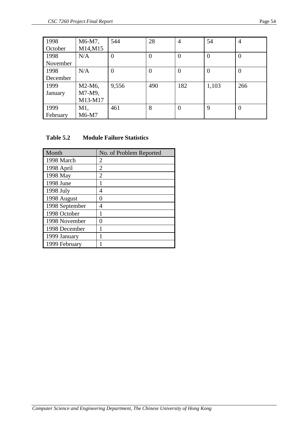| 1998     | M6-M7,   | 544            | 28             | $\overline{4}$ | 54             | $\overline{4}$   |
|----------|----------|----------------|----------------|----------------|----------------|------------------|
| October  | M14, M15 |                |                |                |                |                  |
| 1998     | N/A      | $\overline{0}$ | $\overline{0}$ | $\overline{0}$ | $\overline{0}$ | $\boldsymbol{0}$ |
| November |          |                |                |                |                |                  |
| 1998     | N/A      | $\theta$       | $\theta$       | $\overline{0}$ | $\overline{0}$ | $\theta$         |
| December |          |                |                |                |                |                  |
| 1999     | M2-M6,   | 9,556          | 490            | 182            | 1,103          | 266              |
| January  | M7-M9,   |                |                |                |                |                  |
|          | M13-M17  |                |                |                |                |                  |
| 1999     | M1,      | 461            | 8              | $\theta$       | 9              | $\theta$         |
| February | M6-M7    |                |                |                |                |                  |

# **Table 5.2 Module Failure Statistics**

| Month          | No. of Problem Reported |
|----------------|-------------------------|
| 1998 March     | $\mathfrak{D}$          |
| 1998 April     | 2                       |
| 1998 May       | 2                       |
| 1998 June      | 1                       |
| 1998 July      | 4                       |
| 1998 August    | $\mathcal{O}$           |
| 1998 September | 4                       |
| 1998 October   |                         |
| 1998 November  | ∩                       |
| 1998 December  |                         |
| 1999 January   | 1                       |
| 1999 February  |                         |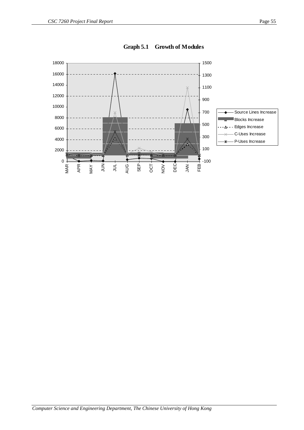

**Graph 5.1 Growth of Modules**

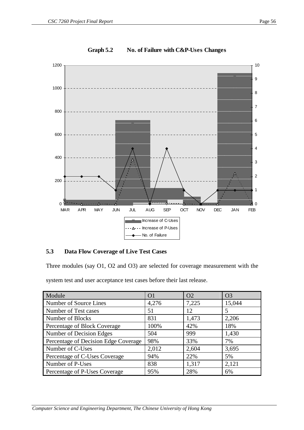

**Graph 5.2 No. of Failure with C&P-Uses Changes**

# **5.3 Data Flow Coverage of Live Test Cases**

Three modules (say O1, O2 and O3) are selected for coverage measurement with the system test and user acceptance test cases before their last release.

| Module                               | O <sub>1</sub> | O <sub>2</sub> | O <sub>3</sub> |
|--------------------------------------|----------------|----------------|----------------|
| Number of Source Lines               | 4,276          | 7,225          | 15,044         |
| Number of Test cases                 | 51             | 12             | 5              |
| Number of Blocks                     | 831            | 1,473          | 2,206          |
| Percentage of Block Coverage         | 100%           | 42%            | 18%            |
| Number of Decision Edges             | 504            | 999            | 1,430          |
| Percentage of Decision Edge Coverage | 98%            | 33%            | 7%             |
| Number of C-Uses                     | 2,012          | 2,604          | 3,695          |
| Percentage of C-Uses Coverage        | 94%            | 22%            | 5%             |
| Number of P-Uses                     | 838            | 1,317          | 2,121          |
| Percentage of P-Uses Coverage        | 95%            | 28%            | 6%             |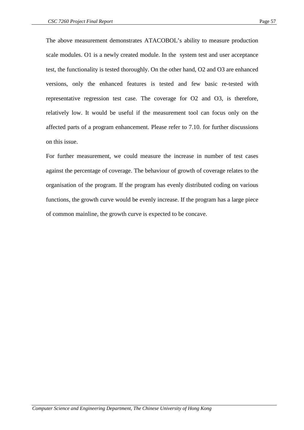The above measurement demonstrates ATACOBOL's ability to measure production scale modules. O1 is a newly created module. In the system test and user acceptance test, the functionality is tested thoroughly. On the other hand, O2 and O3 are enhanced versions, only the enhanced features is tested and few basic re-tested with representative regression test case. The coverage for O2 and O3, is therefore, relatively low. It would be useful if the measurement tool can focus only on the affected parts of a program enhancement. Please refer to 7.10. for further discussions on this issue.

For further measurement, we could measure the increase in number of test cases against the percentage of coverage. The behaviour of growth of coverage relates to the organisation of the program. If the program has evenly distributed coding on various functions, the growth curve would be evenly increase. If the program has a large piece of common mainline, the growth curve is expected to be concave.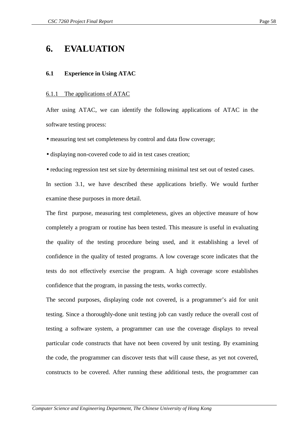# **6. EVALUATION**

## **6.1 Experience in Using ATAC**

## 6.1.1 The applications of ATAC

After using ATAC, we can identify the following applications of ATAC in the software testing process:

- measuring test set completeness by control and data flow coverage;
- displaying non-covered code to aid in test cases creation;
- reducing regression test set size by determining minimal test set out of tested cases.

In section 3.1, we have described these applications briefly. We would further examine these purposes in more detail.

The first purpose, measuring test completeness, gives an objective measure of how completely a program or routine has been tested. This measure is useful in evaluating the quality of the testing procedure being used, and it establishing a level of confidence in the quality of tested programs. A low coverage score indicates that the tests do not effectively exercise the program. A high coverage score establishes confidence that the program, in passing the tests, works correctly.

The second purposes, displaying code not covered, is a programmer's aid for unit testing. Since a thoroughly-done unit testing job can vastly reduce the overall cost of testing a software system, a programmer can use the coverage displays to reveal particular code constructs that have not been covered by unit testing. By examining the code, the programmer can discover tests that will cause these, as yet not covered, constructs to be covered. After running these additional tests, the programmer can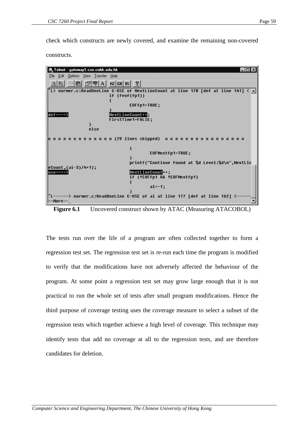check which constructs are newly covered, and examine the remaining non-covered constructs.

| $ \Box$ $\times$<br>  羲, Telnet - gateway1.cse.cuhk.edu.hk                                                                                                                                                                                                                                                                                                                                    |
|-----------------------------------------------------------------------------------------------------------------------------------------------------------------------------------------------------------------------------------------------------------------------------------------------------------------------------------------------------------------------------------------------|
| File Edit Options View Transfer Help                                                                                                                                                                                                                                                                                                                                                          |
| $\mathbb{Z}[\mathbb{Z}][\mathbb{Z}][\mathbb{Z}][\mathbb{Z}][\mathbb{Z}][\mathbb{Z}][\mathbb{Z}][\mathbb{Z}][\mathbb{Z}][\mathbb{Z}][\mathbb{Z}][\mathbb{Z}][\mathbb{Z}][\mathbb{Z}][\mathbb{Z}][\mathbb{Z}][\mathbb{Z}][\mathbb{Z}][\mathbb{Z}][\mathbb{Z}][\mathbb{Z}][\mathbb{Z}][\mathbb{Z}][\mathbb{Z}][\mathbb{Z}][\mathbb{Z}][\mathbb{Z}][\mathbb{Z}][\mathbb{Z}][\mathbb{Z}][\mathbb{$ |
| `L> normer.c:ReadOneLine C-USE of NextLineCount at line 178 [def at line 141] < ▲                                                                                                                                                                                                                                                                                                             |
| if (feof(fp1))                                                                                                                                                                                                                                                                                                                                                                                |
| EOFfp1=TRUE;                                                                                                                                                                                                                                                                                                                                                                                  |
|                                                                                                                                                                                                                                                                                                                                                                                               |
| <b>NextLineCount++R</b><br>$dep == =>$                                                                                                                                                                                                                                                                                                                                                        |
| FirstTime1=FALSE;                                                                                                                                                                                                                                                                                                                                                                             |
| else                                                                                                                                                                                                                                                                                                                                                                                          |
|                                                                                                                                                                                                                                                                                                                                                                                               |
|                                                                                                                                                                                                                                                                                                                                                                                               |
|                                                                                                                                                                                                                                                                                                                                                                                               |
| EOFNextfp1=TRUE;                                                                                                                                                                                                                                                                                                                                                                              |
|                                                                                                                                                                                                                                                                                                                                                                                               |
| printf("Continue found at %d Level:%d\n",NextLin<br> eCount,(ai-3)/4+1);                                                                                                                                                                                                                                                                                                                      |
| <b>NextLineCount<del>++:</del></b><br> use====>                                                                                                                                                                                                                                                                                                                                               |
| if (!EOFfp1 && !EOFNextfp1)                                                                                                                                                                                                                                                                                                                                                                   |
| $ai=-1$ :                                                                                                                                                                                                                                                                                                                                                                                     |
|                                                                                                                                                                                                                                                                                                                                                                                               |
| ----> normer.c:ReadOneLine C-USE of ai at line 177 [def at line 162] <-<br>-More-                                                                                                                                                                                                                                                                                                             |

**Figure 6.1** Uncovered construct shown by ATAC (Measuring ATACOBOL)

The tests run over the life of a program are often collected together to form a regression test set. The regression test set is re-run each time the program is modified to verify that the modifications have not adversely affected the behaviour of the program. At some point a regression test set may grow large enough that it is not practical to run the whole set of tests after small program modifications. Hence the third purpose of coverage testing uses the coverage measure to select a subset of the regression tests which together achieve a high level of coverage. This technique may identify tests that add no coverage at all to the regression tests, and are therefore candidates for deletion.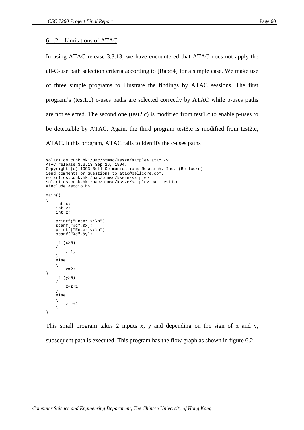## 6.1.2 Limitations of ATAC

In using ATAC release 3.3.13, we have encountered that ATAC does not apply the all-C-use path selection criteria according to [Rap84] for a simple case. We make use of three simple programs to illustrate the findings by ATAC sessions. The first program's (test1.c) c-uses paths are selected correctly by ATAC while p-uses paths are not selected. The second one (test2.c) is modified from test1.c to enable p-uses to be detectable by ATAC. Again, the third program test3.c is modified from test2.c, ATAC. It this program, ATAC fails to identify the c-uses paths

```
solar1.cs.cuhk.hk:/uac/ptmsc/kssze/sample> atac -v
ATAC release 3.3.13 Sep 26, 1994.
Copyright (c) 1993 Bell Communications Research, Inc. (Bellcore)
Send comments or questions to atac@bellcore.com.
solar1.cs.cuhk.hk:/uac/ptmsc/kssze/sample>
solar1.cs.cuhk.hk:/uac/ptmsc/kssze/sample> cat test1.c
#include <stdio.h>
main()
{
    int x;
    int y;
    int z;
    printf("Enter x:\n");
    scanf("%d",&x);
    printf("Enter y:\n");
    scanf("%d",&y);
    if (x>0)
    {
        z=1;}
    else
    {
        z=2;}
    if (y>0)
    {
        z=z+1;}
    else
    {
        z=z+2;}
}
```
This small program takes 2 inputs x, y and depending on the sign of x and y, subsequent path is executed. This program has the flow graph as shown in figure 6.2.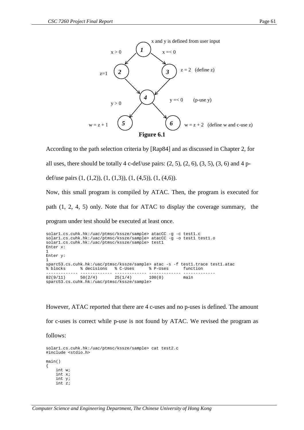

According to the path selection criteria by [Rap84] and as discussed in Chapter 2, for all uses, there should be totally 4 c-def/use pairs:  $(2, 5)$ ,  $(2, 6)$ ,  $(3, 5)$ ,  $(3, 6)$  and 4 pdef/use pairs (1, (1,2)), (1, (1,3)), (1, (4,5)), (1, (4,6)). Now, this small program is compiled by ATAC. Then, the program is executed for path (1, 2, 4, 5) only. Note that for ATAC to display the coverage summary, the

program under test should be executed at least once.

```
solar1.cs.cuhk.hk:/uac/ptmsc/kssze/sample> atacCC -g -c test1.c
solar1.cs.cuhk.hk:/uac/ptmsc/kssze/sample> atacCC -g -o test1 test1.o
solar1.cs.cuhk.hk:/uac/ptmsc/kssze/sample> test1
Enter x:
1
Enter y:
1
sparc53.cs.cuhk.hk:/uac/ptmsc/kssze/sample> atac -s -f test1.trace test1.atac
% blocks % decisions % C-Uses % P-Uses function
------------- ------------- ------------- ------------- -------------
82(9/11) 50(2/4) 25(1/4) 100(0) main
sparc53.cs.cuhk.hk:/uac/ptmsc/kssze/sample>
```
However, ATAC reported that there are 4 c-uses and no p-uses is defined. The amount

for c-uses is correct while p-use is not found by ATAC. We revised the program as

follows:

int z;

```
solar1.cs.cuhk.hk:/uac/ptmsc/kssze/sample> cat test2.c
#include <stdio.h>
main()
{
    int w;
    int x;
    int y;
```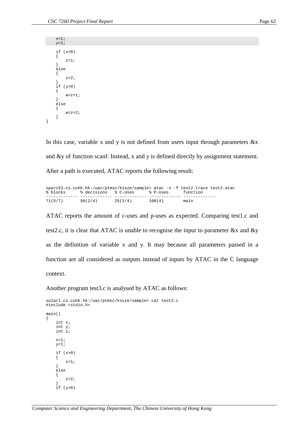```
x=1;y=1;if (x>0)
     \left\{ \right.z=1;}
      else
     {
           z=2;}
      if (y>0)
     {
           w = z + 1;
     }
     else
     {
           w=z+2;}
}
```
In this case, variable x and y is not defined from users input through parameters  $&x$ and &y of function scanf. Instead, x and y is defined directly by assignment statement. After a path is executed, ATAC reports the following result:

|          |                      |         |          | sparc53.cs.cuhk.hk:/uac/ptmsc/kssze/sample> atac -s -f test2.trace test2.atac |
|----------|----------------------|---------|----------|-------------------------------------------------------------------------------|
| % blocks | % decisions % C-Uses |         | % P-Uses | function                                                                      |
| 71(5/7)  | 50(2/4)              | 25(1/4) | 100(4)   | main                                                                          |

ATAC reports the amount of c-uses and p-uses as expected. Comparing test1.c and test2.c, it is clear that ATAC is unable to recognise the input to parameter &x and &y as the definition of variable x and y. It may because all parameters passed in a function are all considered as outputs instead of inputs by ATAC in the C language context.

Another program test3.c is analysed by ATAC as follows:

```
solar1.cs.cuhk.hk:/uac/ptmsc/kssze/sample> cat test3.c
#include <stdio.h>
main()
{
    int x;
    int y;
    int \space z;
    x=1;y=1;if (x>0)
    {
        z=1;}
    else
    {
        z=2;
    }
    if (y>0)
```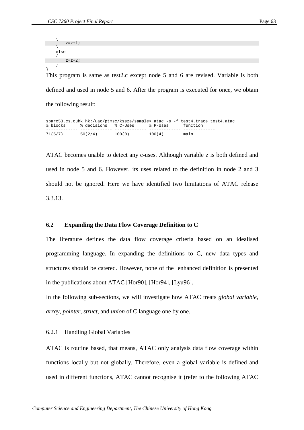{  $z=z+1;$ } else {  $z=z+2i$ }

} This program is same as test2.c except node 5 and 6 are revised. Variable is both defined and used in node 5 and 6. After the program is executed for once, we obtain the following result:

sparc53.cs.cuhk.hk:/uac/ptmsc/kssze/sample> atac -s -f test4.trace test4.atac<br>% blocks % decisions % C-Uses % P-Uses function % decisions % C-Uses ------------- ------------- ------------- ------------- ------------- 71(5/7) 50(2/4) 100(0) 100(4) main

ATAC becomes unable to detect any c-uses. Although variable z is both defined and used in node 5 and 6. However, its uses related to the definition in node 2 and 3 should not be ignored. Here we have identified two limitations of ATAC release 3.3.13.

## **6.2 Expanding the Data Flow Coverage Definition to C**

The literature defines the data flow coverage criteria based on an idealised programming language. In expanding the definitions to C, new data types and structures should be catered. However, none of the enhanced definition is presented in the publications about ATAC [Hor90], [Hor94], [Lyu96].

In the following sub-sections, we will investigate how ATAC treats *global variable*, *array*, *pointer*, *struct*, and *union* of C language one by one.

## 6.2.1 Handling Global Variables

ATAC is routine based, that means, ATAC only analysis data flow coverage within functions locally but not globally. Therefore, even a global variable is defined and used in different functions, ATAC cannot recognise it (refer to the following ATAC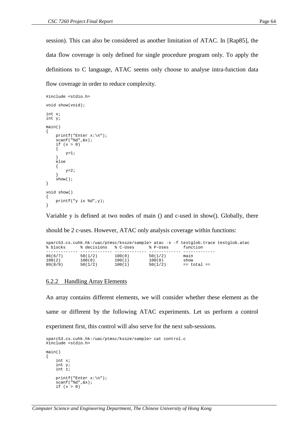session). This can also be considered as another limitation of ATAC. In [Rap85], the data flow coverage is only defined for single procedure program only. To apply the definitions to C language, ATAC seems only choose to analyse intra-function data flow coverage in order to reduce complexity.

```
#include <stdio.h>
void show(void);
int x;
int y;
main()
{
    printf("Enter x:\n");
    scanf("%d",&x);
    if (x > 0)
    {
        y=1;}
    else
    {
        y=2;}
    show();
}
void show()
{
    printf("y is d", y);
}
```
Variable y is defined at two nodes of main () and c-used in show(). Globally, there

should be 2 c-uses. However, ATAC only analysis coverage within functions:

| % blocks | % decisions % C-Uses |        | % P-Uses | sparc53.cs.cuhk.hk:/uac/ptmsc/kssze/sample> atac -s -f testqlob.trace testqlob.atac<br>function |
|----------|----------------------|--------|----------|-------------------------------------------------------------------------------------------------|
| 86(6/7)  | 50(1/2)              | 100(0) | 50(1/2)  | main                                                                                            |
| 100(2)   | 100(0)               | 100(1) | 100(0)   | show                                                                                            |
| 89(8/9)  | 50(1/2)              | 100(1) | 50(1/2)  | $==$ total $==$                                                                                 |

#### 6.2.2 Handling Array Elements

An array contains different elements, we will consider whether these element as the same or different by the following ATAC experiments. Let us perform a control experiment first, this control will also serve for the next sub-sessions.

```
sparc53.cs.cuhk.hk:/uac/ptmsc/kssze/sample> cat control.c
#include <stdio.h>
main()
{
    int x;
    int y;
    int z;
    printf("Enter x:\n");
    scanf("%d",&x);
    if (x > 0)
```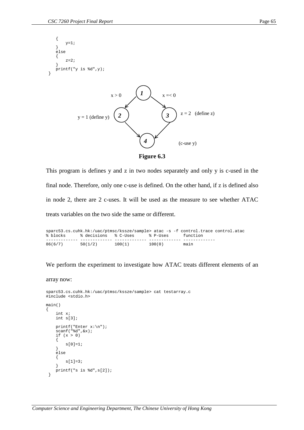}





**Figure 6.3**

This program is defines y and z in two nodes separately and only y is c-used in the final node. Therefore, only one c-use is defined. On the other hand, if z is defined also in node 2, there are 2 c-uses. It will be used as the measure to see whether ATAC treats variables on the two side the same or different.

|          |                      |        |          | sparc53.cs.cuhk.hk:/uac/ptmsc/kssze/sample> atac -s -f control.trace control.atac |  |
|----------|----------------------|--------|----------|-----------------------------------------------------------------------------------|--|
| % blocks | % decisions % C-Uses |        | % P-Uses | function                                                                          |  |
| 86(6/7)  | 50(1/2)              | 100(1) | 100(0)   | main                                                                              |  |

We perform the experiment to investigate how ATAC treats different elements of an

array now:

```
sparc53.cs.cuhk.hk:/uac/ptmsc/kssze/sample> cat testarray.c
#include <stdio.h>
main()
{
    int x;
    int s[3];
    printf("Enter x:\n");
    \bar{\text{scant}}(\text{"ad",\&x});if (x > 0){
         s[0]=1;}
    else
    {
         s[1]=3;}
     printf("s is %d",s[2]);
 }
```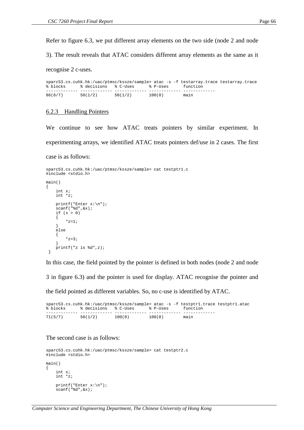Refer to figure 6.3, we put different array elements on the two side (node 2 and node

3). The result reveals that ATAC considers different array elements as the same as it

recognise 2 c-uses.

sparc53.cs.cuhk.hk:/uac/ptmsc/kssze/sample> atac -s -f testarray.trace testarray.trace<br>% blocks % decisions % C-Uses % P-Uses function % blocks % decisions % C-Uses % P-Uses function ------------- ------------- ------------- ------------- ------------- 86(6/7) 50(1/2) 50(1/2) 100(0) main

#### 6.2.3 Handling Pointers

We continue to see how ATAC treats pointers by similar experiment. In experimenting arrays, we identified ATAC treats pointers def/use in 2 cases. The first case is as follows:

```
sparc53.cs.cuhk.hk:/uac/ptmsc/kssze/sample> cat testptr1.c
#include <stdio.h>
main()
{
    int x;
    int *z;
    printf("Enter x:\n");
    scanf('%d", &x);
    if (x > 0){
        *z=1;}
    else
    {
        *_{z=3};
    }
    printf("z is %d",z);
 }
```
In this case, the field pointed by the pointer is defined in both nodes (node 2 and node

3 in figure 6.3) and the pointer is used for display. ATAC recognise the pointer and

the field pointed as different variables. So, no c-use is identified by ATAC.

|          |                      |        |          | sparc53.cs.cuhk.hk:/uac/ptmsc/kssze/sample> atac -s -f testptr1.trace testptr1.atac |  |
|----------|----------------------|--------|----------|-------------------------------------------------------------------------------------|--|
| % blocks | % decisions % C-Uses |        | % P-Uses | function                                                                            |  |
| 71(5/7)  | 50(1/2)              | 100(0) | 100(0)   | main                                                                                |  |
|          |                      |        |          |                                                                                     |  |

The second case is as follows:

```
sparc53.cs.cuhk.hk:/uac/ptmsc/kssze/sample> cat testptr2.c
#include <stdio.h>
main()
{
    int x;
    int *z;
    printf("Enter x:\n");
    scanf('%d", &x);
```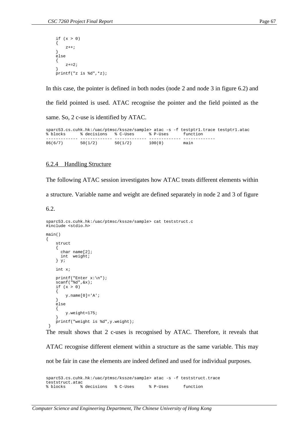```
if (x > 0){
   z++;}
else
{
   z+=2;}
printf("z is %d",*z);
```
In this case, the pointer is defined in both nodes (node 2 and node 3 in figure 6.2) and the field pointed is used. ATAC recognise the pointer and the field pointed as the same. So, 2 c-use is identified by ATAC.

sparc53.cs.cuhk.hk:/uac/ptmsc/kssze/sample> atac -s -f testptr1.trace testptr1.atac<br>% blocks % decisions % C-Uses % P-Uses function % blocks % decisions % C-Uses % P-Uses function ------------- ------------- ------------- ------------- ------------- 86(6/7) 50(1/2) 50(1/2) 100(0) main

#### 6.2.4 Handling Structure

The following ATAC session investigates how ATAC treats different elements within

a structure. Variable name and weight are defined separately in node 2 and 3 of figure

6.2.

```
sparc53.cs.cuhk.hk:/uac/ptmsc/kssze/sample> cat teststruct.c
#include <stdio.h>
main()
{
    struct
    {
     char name[2];
     int weight;
    } y;
    int x;
    printf("Enter x:\n");
    scanf("ad", \&x);if (x > 0){
        y.name[0]='A';
    }
    else
    {
        y.weight=175;
    }
    printf("weight is %d",y.weight);
 }
```
The result shows that 2 c-uses is recognised by ATAC. Therefore, it reveals that

ATAC recognise different element within a structure as the same variable. This may

not be fair in case the elements are indeed defined and used for individual purposes.

sparc53.cs.cuhk.hk:/uac/ptmsc/kssze/sample> atac -s -f teststruct.trace teststruct.atac<br>% blocks % % blocks % decisions % C-Uses % P-Uses function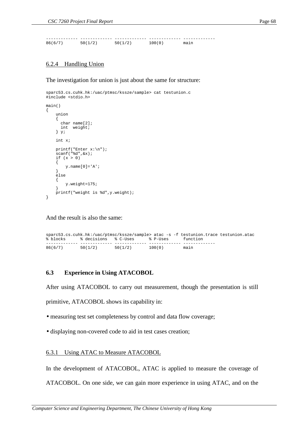------------- ------------- ------------- ------------- ------------- 86(6/7) 50(1/2) 50(1/2) 100(0) main

## 6.2.4 Handling Union

The investigation for union is just about the same for structure:

```
sparc53.cs.cuhk.hk:/uac/ptmsc/kssze/sample> cat testunion.c
#include <stdio.h>
```

```
main()
{
    union
    {
      char name[2];
     int weight;
    } y;
    int x;
   printf("Enter x:\n");
    scanf("d", \&x);if (x > 0)
    {
        y.name[0] = 'A';
    }
    else
    {
        y.weight=175;
    }
    printf("weight is %d",y.weight);
}
```
And the result is also the same:

|                               |         |         |          | $sparc53.cs.cuhk.hk'/uac/ptmsc/kssze/sample> atac -s -f testunion.trace testunion. atac$ |  |
|-------------------------------|---------|---------|----------|------------------------------------------------------------------------------------------|--|
| % blocks % decisions % C-Uses |         |         | % P-Uses | function                                                                                 |  |
| 86(6/7)                       | 50(1/2) | 50(1/2) | 100(0)   | main                                                                                     |  |

## **6.3 Experience in Using ATACOBOL**

After using ATACOBOL to carry out measurement, though the presentation is still

primitive, ATACOBOL shows its capability in:

- measuring test set completeness by control and data flow coverage;
- displaying non-covered code to aid in test cases creation;

## 6.3.1 Using ATAC to Measure ATACOBOL

In the development of ATACOBOL, ATAC is applied to measure the coverage of

ATACOBOL. On one side, we can gain more experience in using ATAC, and on the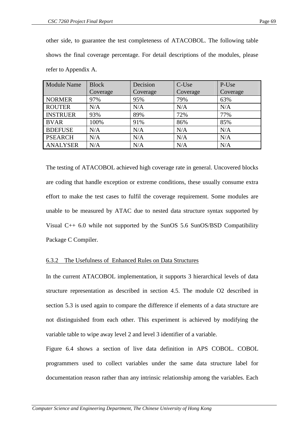other side, to guarantee the test completeness of ATACOBOL. The following table shows the final coverage percentage. For detail descriptions of the modules, please refer to Appendix A.

| <b>Module Name</b> | <b>Block</b> | Decision | C-Use    | P-Use    |
|--------------------|--------------|----------|----------|----------|
|                    | Coverage     | Coverage | Coverage | Coverage |
| <b>NORMER</b>      | 97%          | 95%      | 79%      | 63%      |
| <b>ROUTER</b>      | N/A          | N/A      | N/A      | N/A      |
| <b>INSTRUER</b>    | 93%          | 89%      | 72%      | 77%      |
| <b>BVAR</b>        | 100%         | 91%      | 86%      | 85%      |
| <b>BDEFUSE</b>     | N/A          | N/A      | N/A      | N/A      |
| <b>PSEARCH</b>     | N/A          | N/A      | N/A      | N/A      |
| <b>ANALYSER</b>    | N/A          | N/A      | N/A      | N/A      |

The testing of ATACOBOL achieved high coverage rate in general. Uncovered blocks are coding that handle exception or extreme conditions, these usually consume extra effort to make the test cases to fulfil the coverage requirement. Some modules are unable to be measured by ATAC due to nested data structure syntax supported by Visual C++ 6.0 while not supported by the SunOS 5.6 SunOS/BSD Compatibility Package C Compiler.

## 6.3.2 The Usefulness of Enhanced Rules on Data Structures

In the current ATACOBOL implementation, it supports 3 hierarchical levels of data structure representation as described in section 4.5. The module O2 described in section 5.3 is used again to compare the difference if elements of a data structure are not distinguished from each other. This experiment is achieved by modifying the variable table to wipe away level 2 and level 3 identifier of a variable.

Figure 6.4 shows a section of live data definition in APS COBOL. COBOL programmers used to collect variables under the same data structure label for documentation reason rather than any intrinsic relationship among the variables. Each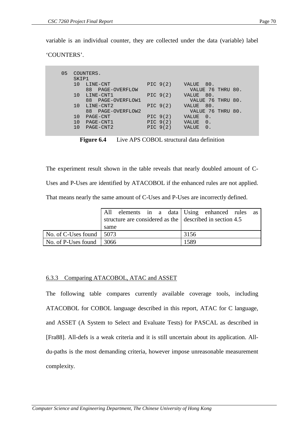variable is an individual counter, they are collected under the data (variable) label

## 'COUNTERS'.

| 05 | SKIP1 | COUNTERS.         |            |              |                  |                   |  |
|----|-------|-------------------|------------|--------------|------------------|-------------------|--|
|    | 1 O   | LINE-CNT          | PIC $9(2)$ | <b>VALUE</b> | 80.              |                   |  |
|    |       | 88 PAGE-OVERFLOW  |            |              |                  | VALUE 76 THRU 80. |  |
|    | 10    | LINE-CNT1         | PIC $9(2)$ | <b>VALUE</b> | 80.              |                   |  |
|    |       | 88 PAGE-OVERFLOW1 |            |              |                  | VALUE 76 THRU 80. |  |
|    | 10    | LINE-CNT2         | PIC $9(2)$ | <b>VALUE</b> | 80.              |                   |  |
|    |       | 88 PAGE-OVERFLOW2 |            |              |                  | VALUE 76 THRU 80. |  |
|    | 1 O   | PAGE-CNT          | PIC $9(2)$ | <b>VALUE</b> | $0$ .            |                   |  |
|    | 10    | PAGE-CNT1         | PIC $9(2)$ | VALUE        | $\overline{0}$ . |                   |  |
|    | 10    | PAGE-CNT2         | PIC $9(2)$ | <b>VALUE</b> | $0$ .            |                   |  |
|    |       |                   |            |              |                  |                   |  |

**Figure 6.4** Live APS COBOL structural data definition

The experiment result shown in the table reveals that nearly doubled amount of C-Uses and P-Uses are identified by ATACOBOL if the enhanced rules are not applied. That means nearly the same amount of C-Uses and P-Uses are incorrectly defined.

|                                  |      |  |  |      | All elements in a data Using enhanced rules as           |  |
|----------------------------------|------|--|--|------|----------------------------------------------------------|--|
|                                  |      |  |  |      | structure are considered as the described in section 4.5 |  |
|                                  | same |  |  |      |                                                          |  |
| No. of C-Uses found $\vert$ 5073 |      |  |  | 3156 |                                                          |  |
| No. of P-Uses found $\vert$ 3066 |      |  |  | 1589 |                                                          |  |

## 6.3.3 Comparing ATACOBOL, ATAC and ASSET

The following table compares currently available coverage tools, including ATACOBOL for COBOL language described in this report, ATAC for C language, and ASSET (A System to Select and Evaluate Tests) for PASCAL as described in [Fra88]. All-defs is a weak criteria and it is still uncertain about its application. Alldu-paths is the most demanding criteria, however impose unreasonable measurement complexity.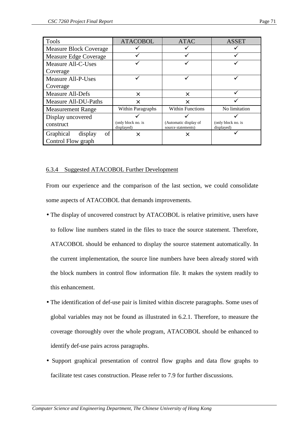| <b>Tools</b>                  | <b>ATACOBOL</b>                  | <b>ATAC</b>                                 | <b>ASSET</b>                     |
|-------------------------------|----------------------------------|---------------------------------------------|----------------------------------|
| <b>Measure Block Coverage</b> |                                  |                                             |                                  |
| Measure Edge Coverage         |                                  |                                             |                                  |
| <b>Measure All-C-Uses</b>     |                                  |                                             |                                  |
| Coverage                      |                                  |                                             |                                  |
| <b>Measure All-P-Uses</b>     |                                  |                                             |                                  |
| Coverage                      |                                  |                                             |                                  |
| <b>Measure All-Defs</b>       | $\times$                         | $\times$                                    |                                  |
| Measure All-DU-Paths          | X                                | ×                                           |                                  |
| <b>Measurement Range</b>      | Within Paragraphs                | <b>Within Functions</b>                     | No limitation                    |
| Display uncovered             |                                  |                                             |                                  |
| construct                     | (only block no. is<br>displayed) | (Automatic display of<br>source statements) | (only block no. is<br>displayed) |
| of<br>Graphical<br>display    | ×                                | ×                                           |                                  |
| Control Flow graph            |                                  |                                             |                                  |

## 6.3.4 Suggested ATACOBOL Further Development

From our experience and the comparison of the last section, we could consolidate some aspects of ATACOBOL that demands improvements.

- The display of uncovered construct by ATACOBOL is relative primitive, users have to follow line numbers stated in the files to trace the source statement. Therefore, ATACOBOL should be enhanced to display the source statement automatically. In the current implementation, the source line numbers have been already stored with the block numbers in control flow information file. It makes the system readily to this enhancement.
- The identification of def-use pair is limited within discrete paragraphs. Some uses of global variables may not be found as illustrated in 6.2.1. Therefore, to measure the coverage thoroughly over the whole program, ATACOBOL should be enhanced to identify def-use pairs across paragraphs.
- Support graphical presentation of control flow graphs and data flow graphs to facilitate test cases construction. Please refer to 7.9 for further discussions.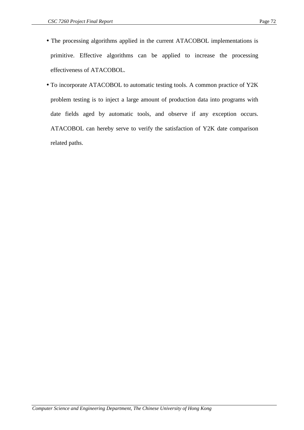- The processing algorithms applied in the current ATACOBOL implementations is primitive. Effective algorithms can be applied to increase the processing effectiveness of ATACOBOL.
- To incorporate ATACOBOL to automatic testing tools. A common practice of Y2K problem testing is to inject a large amount of production data into programs with date fields aged by automatic tools, and observe if any exception occurs. ATACOBOL can hereby serve to verify the satisfaction of Y2K date comparison related paths.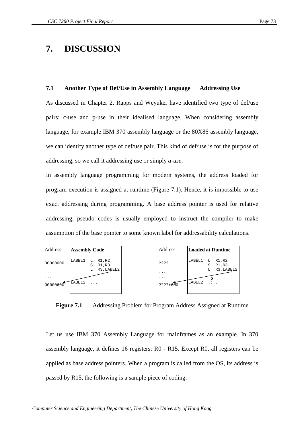# **7. DISCUSSION**

### **7.1 Another Type of Def/Use in Assembly Language Addressing Use**

As discussed in Chapter 2, Rapps and Weyuker have identified two type of def/use pairs: c-use and p-use in their idealised language. When considering assembly language, for example IBM 370 assembly language or the 80X86 assembly language, we can identify another type of def/use pair. This kind of def/use is for the purpose of addressing, so we call it addressing use or simply *a-use*.

In assembly language programming for modern systems, the address loaded for program execution is assigned at runtime (Figure 7.1). Hence, it is impossible to use exact addressing during programming. A base address pointer is used for relative addressing, pseudo codes is usually employed to instruct the compiler to make assumption of the base pointer to some known label for addressability calculations.



**Figure 7.1** Addressing Problem for Program Address Assigned at Runtime

Let us use IBM 370 Assembly Language for mainframes as an example. In 370 assembly language, it defines 16 registers: R0 - R15. Except R0, all registers can be applied as base address pointers. When a program is called from the OS, its address is passed by R15, the following is a sample piece of coding: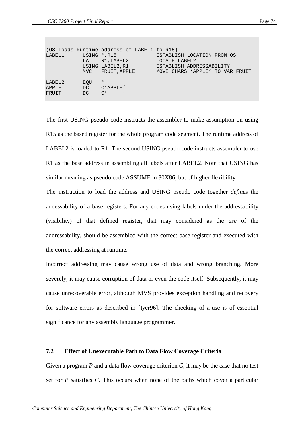| LABEL1                   | USING $\star$ , R15<br>LA<br>MVC | (OS loads Runtime address of LABEL1 to R15)<br>R1, LABEL2<br>USING LABEL2, R1<br>FRUIT, APPLE | ESTABLISH LOCATION FROM OS<br>LOCATE LABEL2<br>ESTABLISH ADDRESSABILITY<br>MOVE CHARS 'APPLE' TO VAR FRUIT |
|--------------------------|----------------------------------|-----------------------------------------------------------------------------------------------|------------------------------------------------------------------------------------------------------------|
| LABEL2<br>APPLE<br>FRUIT | EOU<br>DC<br>DC                  | $\star$<br>$C'$ APPLE'<br>$\sqrt{ }$<br>$\bigcap$                                             |                                                                                                            |

The first USING pseudo code instructs the assembler to make assumption on using R15 as the based register for the whole program code segment. The runtime address of LABEL2 is loaded to R1. The second USING pseudo code instructs assembler to use R1 as the base address in assembling all labels after LABEL2. Note that USING has similar meaning as pseudo code ASSUME in 80X86, but of higher flexibility.

The instruction to load the address and USING pseudo code together *defines* the addessability of a base registers. For any codes using labels under the addressability (visibility) of that defined register, that may considered as the *use* of the addressability, should be assembled with the correct base register and executed with the correct addressing at runtime.

Incorrect addressing may cause wrong use of data and wrong branching. More severely, it may cause corruption of data or even the code itself. Subsequently, it may cause unrecoverable error, although MVS provides exception handling and recovery for software errors as described in [Iyer96]. The checking of a-use is of essential significance for any assembly language programmer.

## **7.2 Effect of Unexecutable Path to Data Flow Coverage Criteria**

Given a program *P* and a data flow coverage criterion *C*, it may be the case that no test set for *P* satisifies *C*. This occurs when none of the paths which cover a particular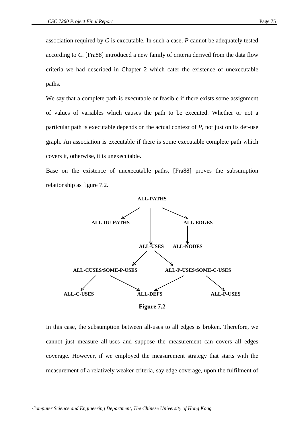association required by *C* is executable. In such a case, *P* cannot be adequately tested according to *C*. [Fra88] introduced a new family of criteria derived from the data flow criteria we had described in Chapter 2 which cater the existence of unexecutable paths.

We say that a complete path is executable or feasible if there exists some assignment of values of variables which causes the path to be executed. Whether or not a particular path is executable depends on the actual context of *P*, not just on its def-use graph. An association is executable if there is some executable complete path which covers it, otherwise, it is unexecutable.

Base on the existence of unexecutable paths, [Fra88] proves the subsumption relationship as figure 7.2.



**Figure 7.2**

In this case, the subsumption between all-uses to all edges is broken. Therefore, we cannot just measure all-uses and suppose the measurement can covers all edges coverage. However, if we employed the measurement strategy that starts with the measurement of a relatively weaker criteria, say edge coverage, upon the fulfilment of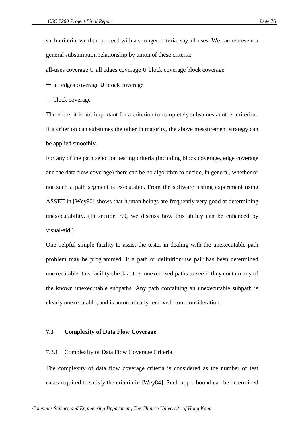such criteria, we than proceed with a stronger criteria, say all-uses. We can represent a general subsumption relationship by union of these criteria:

all-uses coverage ∪ all edges coverage ∪ block coverage block coverage

all edges coverage ∪ block coverage

 $\Rightarrow$  block coverage

Therefore, it is not important for a criterion to completely subsumes another criterion. If a criterion can subsumes the other in majority, the above measurement strategy can be applied smoothly.

For any of the path selection testing criteria (including block coverage, edge coverage and the data flow coverage) there can be no algorithm to decide, in general, whether or not such a path segment is executable. From the software testing experiment using ASSET in [Wey90] shows that human beings are frequently very good at determining unexecutability. (In section 7.9, we discuss how this ability can be enhanced by visual-aid.)

One helpful simple facility to assist the tester in dealing with the unexecutable path problem may be programmed. If a path or definition/use pair has been determined unexecutable, this facility checks other unexercised paths to see if they contain any of the known unexecutable subpaths. Any path containing an unexecutable subpath is clearly unexecutable, and is automatically removed from consideration.

#### **7.3 Complexity of Data Flow Coverage**

#### 7.3.1 Complexity of Data Flow Coverage Criteria

The complexity of data flow coverage criteria is considered as the number of test cases required to satisfy the criteria in [Wey84]. Such upper bound can be determined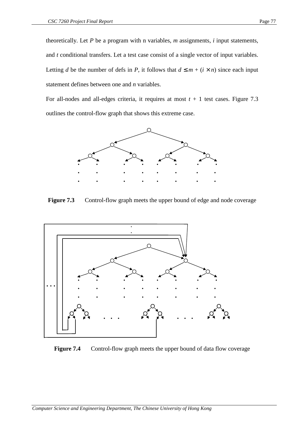theoretically. Let *P* be a program with n variables, *m* assignments, *i* input statements, and *t* conditional transfers. Let a test case consist of a single vector of input variables. Letting *d* be the number of defs in *P*, it follows that  $d \leq m + (i \times n)$  since each input statement defines between one and *n* variables.

For all-nodes and all-edges criteria, it requires at most  $t + 1$  test cases. Figure 7.3 outlines the control-flow graph that shows this extreme case.



**Figure 7.3** Control-flow graph meets the upper bound of edge and node coverage



**Figure 7.4** Control-flow graph meets the upper bound of data flow coverage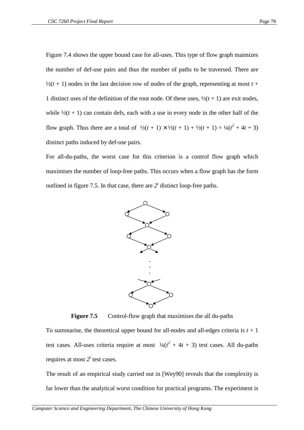Figure 7.4 shows the upper bound case for all-uses. This type of flow graph maimizes the number of def-use pairs and thus the number of paths to be traversed. There are  $\frac{1}{2}(t+1)$  nodes in the last decision row of nodes of the graph, representing at most  $t +$ 1 distinct uses of the definition of the root node. Of these uses,  $\frac{1}{2}(t+1)$  are exit nodes, while  $\frac{1}{2}(t+1)$  can contain defs, each with a use in every node in the other half of the flow graph. Thus there are a total of  $\frac{1}{2}(t+1) \times \frac{1}{2}(t+1) + \frac{1}{2}(t+1) = \frac{1}{4}(t^2 + 4t + 3)$ distinct paths induced by def-use pairs.

For all-du-paths, the worst case for this criterion is a control flow graph which maximises the number of loop-free paths. This occurs when a flow graph has the form outlined in figure 7.5. In that case, there are  $2<sup>t</sup>$  distinct loop-free paths.



**Figure 7.5** Control-flow graph that maximises the all du-paths

To summarise, the theoretical upper bound for all-nodes and all-edges criteria is  $t + 1$ test cases. All-uses criteria require at most  $\frac{1}{4}(t^2 + 4t + 3)$  test cases. All du-paths requires at most  $2^t$  test cases.

The result of an empirical study carried out in [Wey90] reveals that the complexity is far lower than the analytical worst condition for practical programs. The experiment is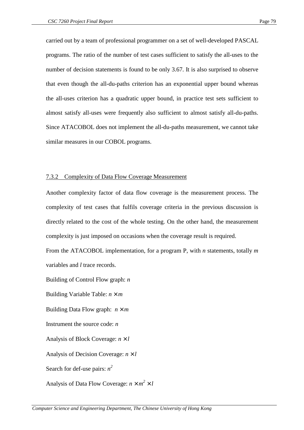carried out by a team of professional programmer on a set of well-developed PASCAL programs. The ratio of the number of test cases sufficient to satisfy the all-uses to the number of decision statements is found to be only 3.67. It is also surprised to observe that even though the all-du-paths criterion has an exponential upper bound whereas the all-uses criterion has a quadratic upper bound, in practice test sets sufficient to almost satisfy all-uses were frequently also sufficient to almost satisfy all-du-paths. Since ATACOBOL does not implement the all-du-paths measurement, we cannot take similar measures in our COBOL programs.

#### 7.3.2 Complexity of Data Flow Coverage Measurement

Another complexity factor of data flow coverage is the measurement process. The complexity of test cases that fulfils coverage criteria in the previous discussion is directly related to the cost of the whole testing. On the other hand, the measurement complexity is just imposed on occasions when the coverage result is required.

From the ATACOBOL implementation, for a program P, with *n* statements, totally *m* variables and *l* trace records.

Building of Control Flow graph: *n*

Building Variable Table:  $n \times m$ 

Building Data Flow graph:  $n \times m$ 

Instrument the source code: *n*

Analysis of Block Coverage: *n* × *l*

Analysis of Decision Coverage: *n* × *l*

Search for def-use pairs: *n 2*

Analysis of Data Flow Coverage:  $n \times m^2 \times l$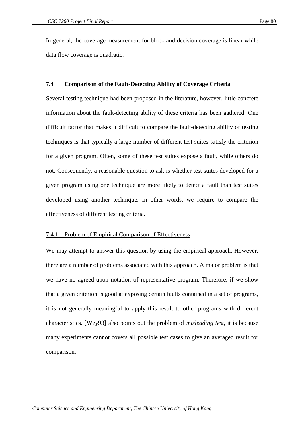In general, the coverage measurement for block and decision coverage is linear while data flow coverage is quadratic.

## **7.4 Comparison of the Fault-Detecting Ability of Coverage Criteria**

Several testing technique had been proposed in the literature, however, little concrete information about the fault-detecting ability of these criteria has been gathered. One difficult factor that makes it difficult to compare the fault-detecting ability of testing techniques is that typically a large number of different test suites satisfy the criterion for a given program. Often, some of these test suites expose a fault, while others do not. Consequently, a reasonable question to ask is whether test suites developed for a given program using one technique are more likely to detect a fault than test suites developed using another technique. In other words, we require to compare the effectiveness of different testing criteria.

#### 7.4.1 Problem of Empirical Comparison of Effectiveness

We may attempt to answer this question by using the empirical approach. However, there are a number of problems associated with this approach. A major problem is that we have no agreed-upon notation of representative program. Therefore, if we show that a given criterion is good at exposing certain faults contained in a set of programs, it is not generally meaningful to apply this result to other programs with different characteristics. [Wey93] also points out the problem of *misleading test*, it is because many experiments cannot covers all possible test cases to give an averaged result for comparison.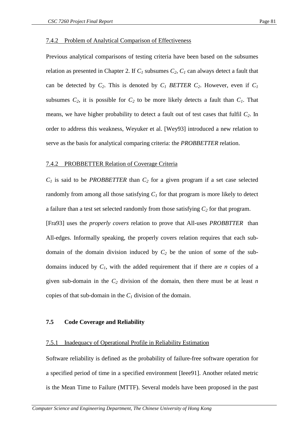Previous analytical comparisons of testing criteria have been based on the subsumes relation as presented in Chapter 2. If  $C_I$  subsumes  $C_2$ ,  $C_I$  can always detect a fault that can be detected by  $C_2$ . This is denoted by  $C_1$  BETTER  $C_2$ . However, even if  $C_1$ subsumes  $C_2$ , it is possible for  $C_2$  to be more likely detects a fault than  $C_1$ . That means, we have higher probability to detect a fault out of test cases that fulfil *C2*. In order to address this weakness, Weyuker et al. [Wey93] introduced a new relation to serve as the basis for analytical comparing criteria: the *PROBBETTER* relation.

#### 7.4.2 PROBBETTER Relation of Coverage Criteria

 $C_1$  is said to be *PROBBETTER* than  $C_2$  for a given program if a set case selected randomly from among all those satisfying  $C_I$  for that program is more likely to detect a failure than a test set selected randomly from those satisfying *C<sup>2</sup>* for that program. [Fra93] uses the *properly covers* relation to prove that All-uses *PROBBTTER* than All-edges. Informally speaking, the properly covers relation requires that each subdomain of the domain division induced by  $C_2$  be the union of some of the subdomains induced by  $C_I$ , with the added requirement that if there are *n* copies of a given sub-domain in the *C<sup>2</sup>* division of the domain, then there must be at least *n* copies of that sub-domain in the *C<sup>1</sup>* division of the domain.

#### **7.5 Code Coverage and Reliability**

#### 7.5.1 Inadequacy of Operational Profile in Reliability Estimation

Software reliability is defined as the probability of failure-free software operation for a specified period of time in a specified environment [Ieee91]. Another related metric is the Mean Time to Failure (MTTF). Several models have been proposed in the past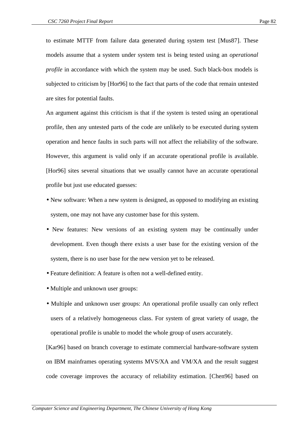to estimate MTTF from failure data generated during system test [Mus87]. These models assume that a system under system test is being tested using an *operational profile* in accordance with which the system may be used. Such black-box models is subjected to criticism by [Hor96] to the fact that parts of the code that remain untested are sites for potential faults.

An argument against this criticism is that if the system is tested using an operational profile, then any untested parts of the code are unlikely to be executed during system operation and hence faults in such parts will not affect the reliability of the software. However, this argument is valid only if an accurate operational profile is available. [Hor96] sites several situations that we usually cannot have an accurate operational profile but just use educated guesses:

- New software: When a new system is designed, as opposed to modifying an existing system, one may not have any customer base for this system.
- New features: New versions of an existing system may be continually under development. Even though there exists a user base for the existing version of the system, there is no user base for the new version yet to be released.
- Feature definition: A feature is often not a well-defined entity.
- Multiple and unknown user groups:
- Multiple and unknown user groups: An operational profile usually can only reflect users of a relatively homogeneous class. For system of great variety of usage, the operational profile is unable to model the whole group of users accurately.

[Kar96] based on branch coverage to estimate commercial hardware-software system on IBM mainframes operating systems MVS/XA and VM/XA and the result suggest code coverage improves the accuracy of reliability estimation. [Chen96] based on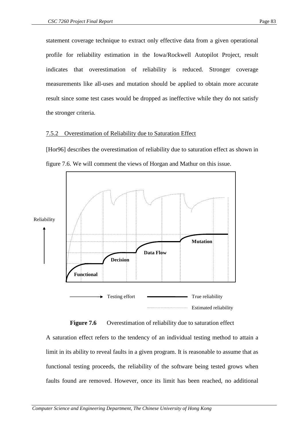statement coverage technique to extract only effective data from a given operational profile for reliability estimation in the Iowa/Rockwell Autopilot Project, result indicates that overestimation of reliability is reduced. Stronger coverage measurements like all-uses and mutation should be applied to obtain more accurate result since some test cases would be dropped as ineffective while they do not satisfy the stronger criteria.

### 7.5.2 Overestimation of Reliability due to Saturation Effect

[Hor96] describes the overestimation of reliability due to saturation effect as shown in figure 7.6. We will comment the views of Horgan and Mathur on this issue.





A saturation effect refers to the tendency of an individual testing method to attain a limit in its ability to reveal faults in a given program. It is reasonable to assume that as functional testing proceeds, the reliability of the software being tested grows when faults found are removed. However, once its limit has been reached, no additional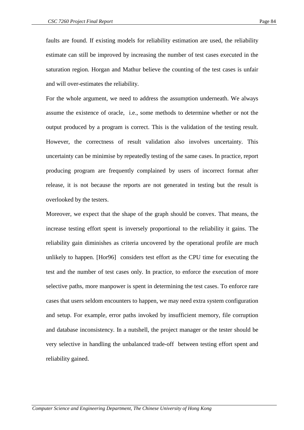faults are found. If existing models for reliability estimation are used, the reliability estimate can still be improved by increasing the number of test cases executed in the saturation region. Horgan and Mathur believe the counting of the test cases is unfair and will over-estimates the reliability.

For the whole argument, we need to address the assumption underneath. We always assume the existence of oracle, i.e., some methods to determine whether or not the output produced by a program is correct. This is the validation of the testing result. However, the correctness of result validation also involves uncertainty. This uncertainty can be minimise by repeatedly testing of the same cases. In practice, report producing program are frequently complained by users of incorrect format after release, it is not because the reports are not generated in testing but the result is overlooked by the testers.

Moreover, we expect that the shape of the graph should be convex. That means, the increase testing effort spent is inversely proportional to the reliability it gains. The reliability gain diminishes as criteria uncovered by the operational profile are much unlikely to happen. [Hor96] considers test effort as the CPU time for executing the test and the number of test cases only. In practice, to enforce the execution of more selective paths, more manpower is spent in determining the test cases. To enforce rare cases that users seldom encounters to happen, we may need extra system configuration and setup. For example, error paths invoked by insufficient memory, file corruption and database inconsistency. In a nutshell, the project manager or the tester should be very selective in handling the unbalanced trade-off between testing effort spent and reliability gained.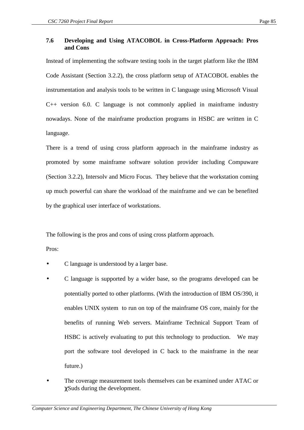# **7.6 Developing and Using ATACOBOL in Cross-Platform Approach: Pros and Cons**

Instead of implementing the software testing tools in the target platform like the IBM Code Assistant (Section 3.2.2), the cross platform setup of ATACOBOL enables the instrumentation and analysis tools to be written in C language using Microsoft Visual C++ version 6.0. C language is not commonly applied in mainframe industry nowadays. None of the mainframe production programs in HSBC are written in C language.

There is a trend of using cross platform approach in the mainframe industry as promoted by some mainframe software solution provider including Compuware (Section 3.2.2), Intersolv and Micro Focus. They believe that the workstation coming up much powerful can share the workload of the mainframe and we can be benefited by the graphical user interface of workstations.

The following is the pros and cons of using cross platform approach.

Pros:

- C language is understood by a larger base.
- C language is supported by a wider base, so the programs developed can be potentially ported to other platforms. (With the introduction of IBM OS/390, it enables UNIX system to run on top of the mainframe OS core, mainly for the benefits of running Web servers. Mainframe Technical Support Team of HSBC is actively evaluating to put this technology to production. We may port the software tool developed in C back to the mainframe in the near future.)
- The coverage measurement tools themselves can be examined under ATAC or χSuds during the development.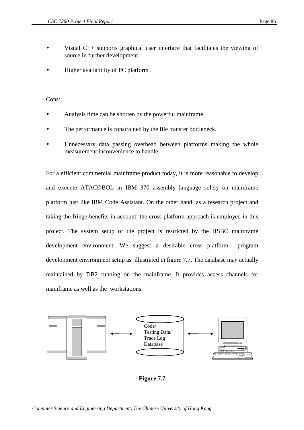- Visual C++ supports graphical user interface that facilitates the viewing of source in further development.
- Higher availability of PC platform .

Cons:

- Analysis time can be shorten by the powerful mainframe.
- The performance is constrained by the file transfer bottleneck.
- Unnecessary data passing overhead between platforms making the whole measurement inconvenience to handle.

For a efficient commercial mainframe product today, it is more reasonable to develop and execute ATACOBOL in IBM 370 assembly language solely on mainframe platform just like IBM Code Assistant. On the other hand, as a research project and taking the fringe benefits in account, the cross platform approach is employed in this project. The system setup of the project is restricted by the HSBC mainframe development environment. We suggest a desirable cross platform program development environment setup as illustrated in figure 7.7. The database may actually maintained by DB2 running on the mainframe. It provides access channels for mainframe as well as the workstations.



## **Figure 7.7**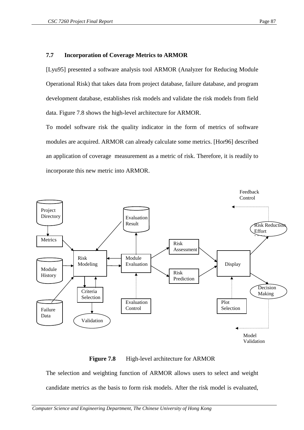## **7.7 Incorporation of Coverage Metrics to ARMOR**

[Lyu95] presented a software analysis tool ARMOR (Analyzer for Reducing Module Operational Risk) that takes data from project database, failure database, and program development database, establishes risk models and validate the risk models from field data. Figure 7.8 shows the high-level architecture for ARMOR.

To model software risk the quality indicator in the form of metrics of software modules are acquired. ARMOR can already calculate some metrics. [Hor96] described an application of coverage measurement as a metric of risk. Therefore, it is readily to incorporate this new metric into ARMOR.



## **Figure 7.8** High-level architecture for ARMOR

The selection and weighting function of ARMOR allows users to select and weight candidate metrics as the basis to form risk models. After the risk model is evaluated,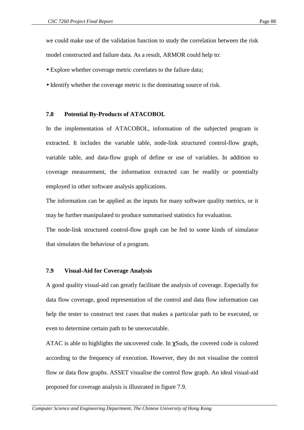we could make use of the validation function to study the correlation between the risk model constructed and failure data. As a result, ARMOR could help to:

- Explore whether coverage metric correlates to the failure data;
- Identify whether the coverage metric is the dominating source of risk.

#### **7.8 Potential By-Products of ATACOBOL**

In the implementation of ATACOBOL, information of the subjected program is extracted. It includes the variable table, node-link structured control-flow graph, variable table, and data-flow graph of define or use of variables. In addition to coverage measurement, the information extracted can be readily or potentially employed in other software analysis applications.

The information can be applied as the inputs for many software quality metrics, or it may be further manipulated to produce summarised statistics for evaluation.

The node-link structured control-flow graph can be fed to some kinds of simulator that simulates the behaviour of a program.

#### **7.9 Visual-Aid for Coverage Analysis**

A good quality visual-aid can greatly facilitate the analysis of coverage. Especially for data flow coverage, good representation of the control and data flow information can help the tester to construct test cases that makes a particular path to be executed, or even to determine certain path to be unexecutable.

ATAC is able to highlights the uncovered code. In  $\gamma$ Suds, the covered code is colored according to the frequency of execution. However, they do not visualise the control flow or data flow graphs. ASSET visualise the control flow graph. An ideal visual-aid proposed for coverage analysis is illustrated in figure 7.9.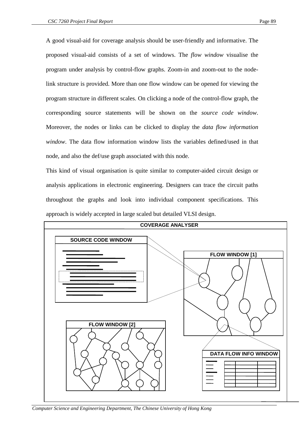A good visual-aid for coverage analysis should be user-friendly and informative. The proposed visual-aid consists of a set of windows. The *flow window* visualise the program under analysis by control-flow graphs. Zoom-in and zoom-out to the nodelink structure is provided. More than one flow window can be opened for viewing the program structure in different scales. On clicking a node of the control-flow graph, the corresponding source statements will be shown on the *source code window*. Moreover, the nodes or links can be clicked to display the *data flow information window*. The data flow information window lists the variables defined/used in that node, and also the def/use graph associated with this node.

This kind of visual organisation is quite similar to computer-aided circuit design or analysis applications in electronic engineering. Designers can trace the circuit paths throughout the graphs and look into individual component specifications. This approach is widely accepted in large scaled but detailed VLSI design.



*Computer Science and Engineering Department, The Chinese University of Hong Kong*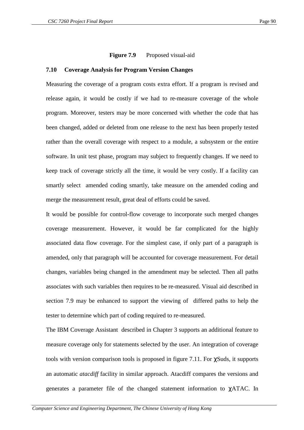## **Figure 7.9** Proposed visual-aid

### **7.10 Coverage Analysis for Program Version Changes**

Measuring the coverage of a program costs extra effort. If a program is revised and release again, it would be costly if we had to re-measure coverage of the whole program. Moreover, testers may be more concerned with whether the code that has been changed, added or deleted from one release to the next has been properly tested rather than the overall coverage with respect to a module, a subsystem or the entire software. In unit test phase, program may subject to frequently changes. If we need to keep track of coverage strictly all the time, it would be very costly. If a facility can smartly select amended coding smartly, take measure on the amended coding and merge the measurement result, great deal of efforts could be saved.

It would be possible for control-flow coverage to incorporate such merged changes coverage measurement. However, it would be far complicated for the highly associated data flow coverage. For the simplest case, if only part of a paragraph is amended, only that paragraph will be accounted for coverage measurement. For detail changes, variables being changed in the amendment may be selected. Then all paths associates with such variables then requires to be re-measured. Visual aid described in section 7.9 may be enhanced to support the viewing of differed paths to help the tester to determine which part of coding required to re-measured.

The IBM Coverage Assistant described in Chapter 3 supports an additional feature to measure coverage only for statements selected by the user. An integration of coverage tools with version comparison tools is proposed in figure 7.11. For χSuds, it supports an automatic *atacdiff* facility in similar approach. Atacdiff compares the versions and generates a parameter file of the changed statement information to χATAC. In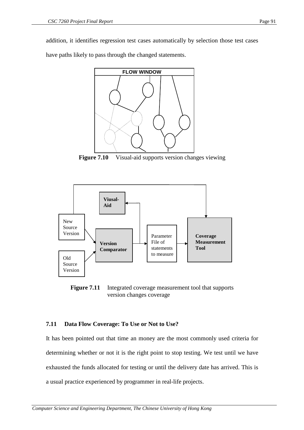addition, it identifies regression test cases automatically by selection those test cases

have paths likely to pass through the changed statements.



**Figure 7.10** Visual-aid supports version changes viewing



**Figure 7.11** Integrated coverage measurement tool that supports version changes coverage

## **7.11 Data Flow Coverage: To Use or Not to Use?**

It has been pointed out that time an money are the most commonly used criteria for determining whether or not it is the right point to stop testing. We test until we have exhausted the funds allocated for testing or until the delivery date has arrived. This is a usual practice experienced by programmer in real-life projects.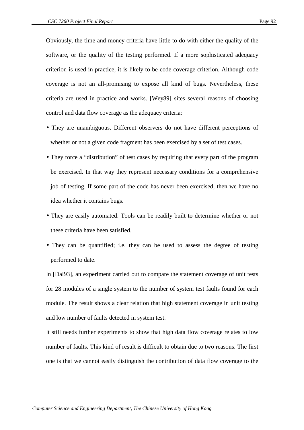Obviously, the time and money criteria have little to do with either the quality of the software, or the quality of the testing performed. If a more sophisticated adequacy criterion is used in practice, it is likely to be code coverage criterion. Although code coverage is not an all-promising to expose all kind of bugs. Nevertheless, these criteria are used in practice and works. [Wey89] sites several reasons of choosing control and data flow coverage as the adequacy criteria:

- They are unambiguous. Different observers do not have different perceptions of whether or not a given code fragment has been exercised by a set of test cases.
- They force a "distribution" of test cases by requiring that every part of the program be exercised. In that way they represent necessary conditions for a comprehensive job of testing. If some part of the code has never been exercised, then we have no idea whether it contains bugs.
- They are easily automated. Tools can be readily built to determine whether or not these criteria have been satisfied.
- They can be quantified; i.e. they can be used to assess the degree of testing performed to date.

In [Dal93], an experiment carried out to compare the statement coverage of unit tests for 28 modules of a single system to the number of system test faults found for each module. The result shows a clear relation that high statement coverage in unit testing and low number of faults detected in system test.

It still needs further experiments to show that high data flow coverage relates to low number of faults. This kind of result is difficult to obtain due to two reasons. The first one is that we cannot easily distinguish the contribution of data flow coverage to the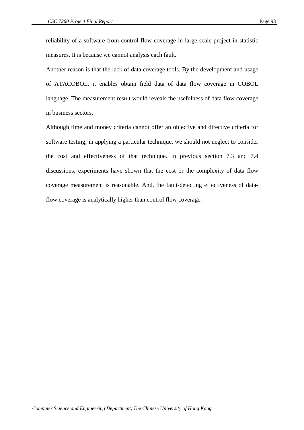reliability of a software from control flow coverage in large scale project in statistic measures. It is because we cannot analysis each fault.

Another reason is that the lack of data coverage tools. By the development and usage of ATACOBOL, it enables obtain field data of data flow coverage in COBOL language. The measurement result would reveals the usefulness of data flow coverage in business sectors.

Although time and money criteria cannot offer an objective and directive criteria for software testing, in applying a particular technique, we should not neglect to consider the cost and effectiveness of that technique. In previous section 7.3 and 7.4 discussions, experiments have shown that the cost or the complexity of data flow coverage measurement is reasonable. And, the fault-detecting effectiveness of dataflow coverage is analytically higher than control flow coverage.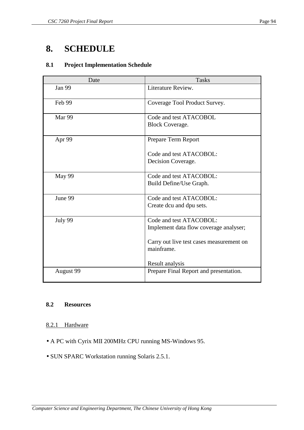# **8. SCHEDULE**

# **8.1 Project Implementation Schedule**

| Date      | <b>Tasks</b>                                                                                                                |
|-----------|-----------------------------------------------------------------------------------------------------------------------------|
| Jan 99    | Literature Review.                                                                                                          |
| Feb 99    | Coverage Tool Product Survey.                                                                                               |
| Mar 99    | Code and test ATACOBOL<br><b>Block Coverage.</b>                                                                            |
| Apr 99    | Prepare Term Report                                                                                                         |
|           | Code and test ATACOBOL:<br>Decision Coverage.                                                                               |
| May 99    | Code and test ATACOBOL:<br>Build Define/Use Graph.                                                                          |
| June 99   | Code and test ATACOBOL:<br>Create dcu and dpu sets.                                                                         |
| July 99   | Code and test ATACOBOL:<br>Implement data flow coverage analyser;<br>Carry out live test cases measurement on<br>mainframe. |
| August 99 | Result analysis<br>Prepare Final Report and presentation.                                                                   |

# **8.2 Resources**

## 8.2.1 Hardware

- A PC with Cyrix MII 200MHz CPU running MS-Windows 95.
- SUN SPARC Workstation running Solaris 2.5.1.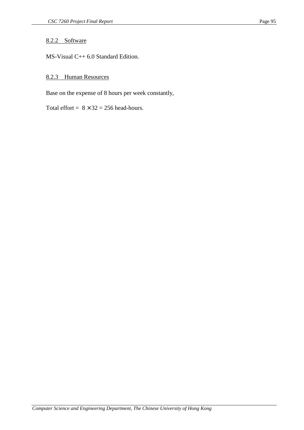## 8.2.2 Software

MS-Visual C++ 6.0 Standard Edition.

# 8.2.3 Human Resources

Base on the expense of 8 hours per week constantly,

Total effort =  $8 \times 32 = 256$  head-hours.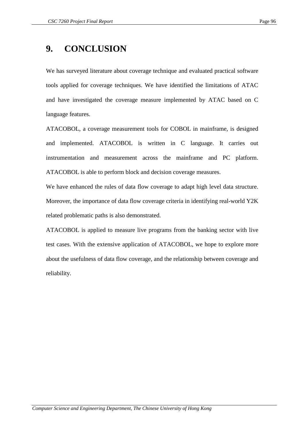# **9. CONCLUSION**

We has surveyed literature about coverage technique and evaluated practical software tools applied for coverage techniques. We have identified the limitations of ATAC and have investigated the coverage measure implemented by ATAC based on C language features.

ATACOBOL, a coverage measurement tools for COBOL in mainframe, is designed and implemented. ATACOBOL is written in C language. It carries out instrumentation and measurement across the mainframe and PC platform. ATACOBOL is able to perform block and decision coverage measures.

We have enhanced the rules of data flow coverage to adapt high level data structure. Moreover, the importance of data flow coverage criteria in identifying real-world Y2K related problematic paths is also demonstrated.

ATACOBOL is applied to measure live programs from the banking sector with live test cases. With the extensive application of ATACOBOL, we hope to explore more about the usefulness of data flow coverage, and the relationship between coverage and reliability.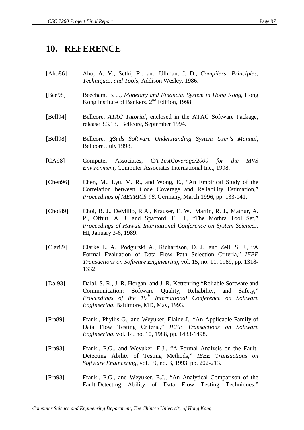# **10. REFERENCE**

- [Aho86] Aho, A. V., Sethi, R., and Ullman, J. D., *Compilers: Principles, Techniques, and Tools*, Addison Wesley, 1986.
- [Bee98] Beecham, B. J., *Monetary and Financial System in Hong Kong*, Hong Kong Institute of Bankers, 2<sup>nd</sup> Edition, 1998.
- [Bell94] Bellcore, *ATAC Tutorial*, enclosed in the ATAC Software Package, release 3.3.13, Bellcore, September 1994.
- [Bell98] Bellcore, χ*Suds Software Understanding System User's Manual*, Bellcore, July 1998.
- [CA98] Computer Associates, *CA-TestCoverage/2000 for the MVS Environment*, Computer Associates International Inc., 1998.
- [Chen96] Chen, M., Lyu, M. R., and Wong, E., "An Empirical Study of the Correlation between Code Coverage and Reliability Estimation," *Proceedings of METRICS'96*, Germany, March 1996, pp. 133-141.
- [Choi89] Choi, B. J., DeMillo, R.A., Krauser, E. W., Martin, R. J., Mathur, A. P., Offutt, A. J. and Spafford, E. H., "The Mothra Tool Set," *Proceedings of Hawaii International Conference on System Sciences*, HI, January 3-6, 1989.
- [Clar89] Clarke L. A., Podgurski A., Richardson, D. J., and Zeil, S. J., "A Formal Evaluation of Data Flow Path Selection Criteria," *IEEE Transactions on Software Engineering*, vol. 15, no. 11, 1989, pp. 1318- 1332.
- [Dal93] Dalal, S. R., J. R. Horgan, and J. R. Kettenring "Reliable Software and Communication: Software Quality, Reliability, and Safety," *Proceedings of the 15 th International Conference on Software Engineering,* Baltimore, MD, May, 1993.
- [Fra89] Frankl, Phyllis G., and Weyuker, Elaine J., "An Applicable Family of Data Flow Testing Criteria," *IEEE Transactions on Software Engineering*, vol. 14, no. 10, 1988, pp. 1483-1498.
- [Fra93] Frankl, P.G., and Weyuker, E.J., "A Formal Analysis on the Fault-Detecting Ability of Testing Methods," *IEEE Transactions on Software Engineering*, vol. 19, no. 3, 1993, pp. 202-213.
- [Fra93] Frankl, P.G., and Weyuker, E.J., "An Analytical Comparison of the Fault-Detecting Ability of Data Flow Testing Techniques,"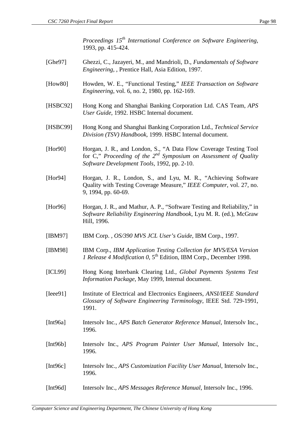*Proceedings 15 th International Conference on Software Engineering*, 1993, pp. 415-424.

- [Ghe97] Ghezzi, C., Jazayeri, M., and Mandrioli, D., *Fundamentals of Software Engineering*, , Prentice Hall, Asia Edition, 1997.
- [How80] Howden, W. E., "Functional Testing," *IEEE Transaction on Software Engineering*, vol. 6, no. 2, 1980, pp. 162-169.
- [HSBC92] Hong Kong and Shanghai Banking Corporation Ltd. CAS Team, *APS User Guide*, 1992. HSBC Internal document.
- [HSBC99] Hong Kong and Shanghai Banking Corporation Ltd., *Technical Service Division (TSV) Handbook*, 1999. HSBC Internal document.
- [Hor90] Horgan, J. R., and London, S., "A Data Flow Coverage Testing Tool for C," *Proceeding of the 2 nd Symposium on Assessment of Quality Software Development Tools*, 1992, pp. 2-10.
- [Hor94] Horgan, J. R., London, S., and Lyu, M. R., "Achieving Software Quality with Testing Coverage Measure," *IEEE Computer*, vol. 27, no. 9, 1994, pp. 60-69.
- [Hor96] Horgan, J. R., and Mathur, A. P., "Software Testing and Reliability," in *Software Reliability Engineering Handbook*, Lyu M. R. (ed.), McGraw Hill, 1996.
- [IBM97] IBM Corp. , *OS/390 MVS JCL User's Guide*, IBM Corp., 1997.
- [IBM98] IBM Corp., *IBM Application Testing Collection for MVS/ESA Version 1 Release 4 Modification 0*, 5 th Edition, IBM Corp., December 1998.
- [ICL99] Hong Kong Interbank Clearing Ltd., *Global Payments Systems Test Information Package*, May 1999, Internal document.
- [Ieee91] Institute of Electrical and Electronics Engineers, *ANSI/IEEE Standard Glossary of Software Engineering Terminology*, IEEE Std. 729-1991, 1991.
- [Int96a] Intersolv Inc., *APS Batch Generator Reference Manual*, Intersolv Inc., 1996.
- [Int96b] Intersolv Inc., *APS Program Painter User Manual*, Intersolv Inc., 1996.
- [Int96c] Intersolv Inc., *APS Customization Facility User Manual*, Intersolv Inc., 1996.
- [Int96d] Intersolv Inc., *APS Messages Reference Manual*, Intersolv Inc., 1996.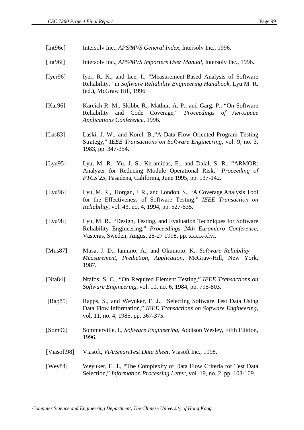- [Int96e] Intersolv Inc., *APS/MVS General Index*, Intersolv Inc., 1996.
- [Int96f] Intersolv Inc., *APS/MVS Importers User Manual*, Intersolv Inc., 1996.
- [Iyer96] Iyer, R. K., and Lee, I., "Measurement-Based Analysis of Software Reliability," in *Software Reliability Engineering Handbook*, Lyu M. R. (ed.), McGraw Hill, 1996.
- [Kar96] Karcich R. M., Skibbe R., Mathur, A. P., and Garg, P., "On Software" Reliability and Code Coverage," *Proceedings of Aerospace Applications Conference*, 1996.
- [Las83] Laski, J. W., and Korel, B.,"A Data Flow Oriented Program Testing Strategy," *IEEE Transactions on Software Engineering*, vol. 9, no. 3, 1983, pp. 347-354.
- [Lyu95] Lyu, M. R., Yu, J. S., Keramidas, E., and Dalal, S. R., "ARMOR: Analyzer for Reducing Module Operational Risk," *Proceeding of FTCS'25*, Pasadena, California, June 1995, pp. 137-142.
- [Lyu96] Lyu, M. R., Horgan, J. R., and London, S., "A Coverage Analysis Tool for the Effectiveness of Software Testing," *IEEE Transaction on Reliability*, vol. 43, no. 4, 1994, pp. 527-535.
- [Lyu98] Lyu, M. R., "Design, Testing, and Evaluation Techniques for Software Reliability Engineering," *Proceedings 24th Euromicro Conference*, Vasteras, Sweden, August 25-27 1998, pp. xxxix-xlvi.
- [Mus87] Musa, J. D., Iannino, A., and Okumoto, K., *Software Reliability Measurement, Prediction, Application*, McGraw-Hill, New York, 1987.
- [Nta84] Ntafos, S. C., "On Required Element Testing," *IEEE Transactions on Software Engineering*, vol. 10, no. 6, 1984, pp. 795-803.
- [Rap85] Rapps, S., and Weyuker, E. J., "Selecting Software Test Data Using Data Flow Information," *IEEE Transactions on Software Engineering*, vol. 11, no. 4, 1985, pp. 367-375.
- [Som96] Sommerville, I., *Software Engineering*, Addison Wesley, Fifth Edition, 1996.
- [Viasoft98] Viasoft, *VIA/SmartTest Data Sheet*, Viasoft Inc., 1998.
- [Wey84] Weyuker, E. J., "The Complexity of Data Flow Criteria for Test Data Selection," *Information Processing Letter*, vol. 19, no. 2, pp. 103-109.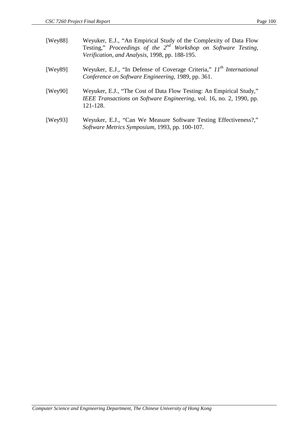| [WeV88] | Weyuker, E.J., "An Empirical Study of the Complexity of Data Flow<br>Testing," Proceedings of the $2^{nd}$ Workshop on Software Testing,<br>Verification, and Analysis, 1998, pp. 188-195. |
|---------|--------------------------------------------------------------------------------------------------------------------------------------------------------------------------------------------|
| [Wey89] | Weyuker, E.J., "In Defense of Coverage Criteria," 11 <sup>th</sup> International<br>Conference on Software Engineering, 1989, pp. 361.                                                     |
| [Wey90] | Weyuker, E.J., "The Cost of Data Flow Testing: An Empirical Study,"<br>IEEE Transactions on Software Engineering, vol. 16, no. 2, 1990, pp.<br>121-128.                                    |
| [Wey93] | Weyuker, E.J., "Can We Measure Software Testing Effectiveness?,"<br>Software Metrics Symposium, 1993, pp. 100-107.                                                                         |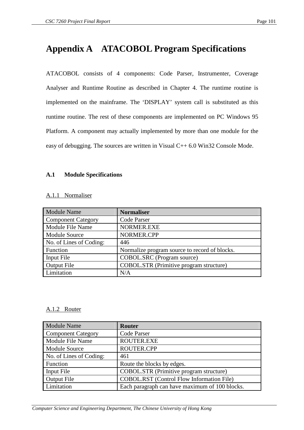# **Appendix A ATACOBOL Program Specifications**

ATACOBOL consists of 4 components: Code Parser, Instrumenter, Coverage Analyser and Runtime Routine as described in Chapter 4. The runtime routine is implemented on the mainframe. The 'DISPLAY' system call is substituted as this runtime routine. The rest of these components are implemented on PC Windows 95 Platform. A component may actually implemented by more than one module for the easy of debugging. The sources are written in Visual  $C++ 6.0$  Win32 Console Mode.

## **A.1 Module Specifications**

## A.1.1 Normaliser

| <b>Module Name</b>        | <b>Normaliser</b>                             |
|---------------------------|-----------------------------------------------|
| <b>Component Category</b> | Code Parser                                   |
| Module File Name          | NORMER.EXE                                    |
| <b>Module Source</b>      | NORMER.CPP                                    |
| No. of Lines of Coding:   | 446                                           |
| Function                  | Normalize program source to record of blocks. |
| Input File                | COBOL.SRC (Program source)                    |
| Output File               | COBOL.STR (Primitive program structure)       |
| Limitation                | N/A                                           |

## A.1.2 Router

| <b>Module Name</b>        | <b>Router</b>                                    |
|---------------------------|--------------------------------------------------|
| <b>Component Category</b> | Code Parser                                      |
| Module File Name          | <b>ROUTER.EXE</b>                                |
| <b>Module Source</b>      | <b>ROUTER.CPP</b>                                |
| No. of Lines of Coding:   | 461                                              |
| Function                  | Route the blocks by edges.                       |
| Input File                | COBOL.STR (Primitive program structure)          |
| <b>Output File</b>        | <b>COBOL.RST</b> (Control Flow Information File) |
| Limitation                | Each paragraph can have maximum of 100 blocks.   |

*Computer Science and Engineering Department, The Chinese University of Hong Kong*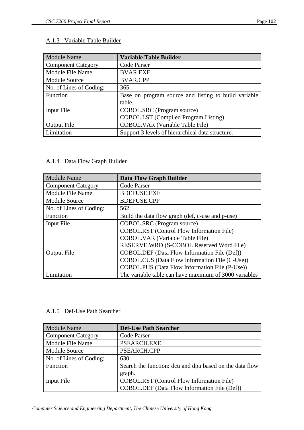## A.1.3 Variable Table Builder

| <b>Module Name</b>        | <b>Variable Table Builder</b>                        |
|---------------------------|------------------------------------------------------|
| <b>Component Category</b> | Code Parser                                          |
| Module File Name          | <b>BVAR.EXE</b>                                      |
| Module Source             | <b>BVAR.CPP</b>                                      |
| No. of Lines of Coding:   | 365                                                  |
| Function                  | Base on program source and listing to build variable |
|                           | table.                                               |
| Input File                | COBOL.SRC (Program source)                           |
|                           | COBOL.LST (Compiled Program Listing)                 |
| Output File               | <b>COBOL.VAR</b> (Variable Table File)               |
| Limitation                | Support 3 levels of hierarchical data structure.     |

# A.1.4 Data Flow Graph Builder

| <b>Module Name</b>        | <b>Data Flow Graph Builder</b>                        |
|---------------------------|-------------------------------------------------------|
| <b>Component Category</b> | Code Parser                                           |
| Module File Name          | <b>BDEFUSE.EXE</b>                                    |
| Module Source             | <b>BDEFUSE.CPP</b>                                    |
| No. of Lines of Coding:   | 562                                                   |
| Function                  | Build the data flow graph (def, c-use and p-use)      |
| Input File                | COBOL.SRC (Program source)                            |
|                           | <b>COBOL.RST</b> (Control Flow Information File)      |
|                           | <b>COBOL.VAR</b> (Variable Table File)                |
|                           | RESERVE.WRD (S-COBOL Reserved Word File)              |
| <b>Output File</b>        | COBOL.DEF (Data Flow Information File (Def))          |
|                           | COBOL.CUS (Data Flow Information File (C-Use))        |
|                           | COBOL.PUS (Data Flow Information File (P-Use))        |
| imitation                 | The variable table can have maximum of 3000 variables |

# A.1.5 Def-Use Path Searcher

| <b>Module Name</b>        | <b>Def-Use Path Searcher</b>                            |
|---------------------------|---------------------------------------------------------|
| <b>Component Category</b> | Code Parser                                             |
| Module File Name          | PSEARCH.EXE                                             |
| <b>Module Source</b>      | PSEARCH.CPP                                             |
| No. of Lines of Coding:   | 630                                                     |
| Function                  | Search the function: dcu and dpu based on the data flow |
|                           | graph.                                                  |
| Input File                | <b>COBOL.RST</b> (Control Flow Information File)        |
|                           | COBOL.DEF (Data Flow Information File (Def))            |

*Computer Science and Engineering Department, The Chinese University of Hong Kong*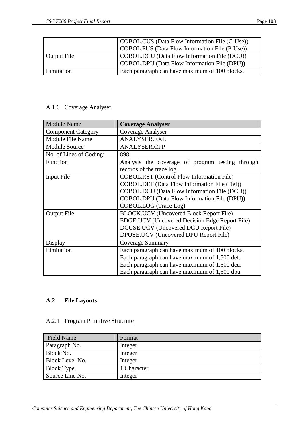|             | COBOL.CUS (Data Flow Information File (C-Use))<br>COBOL.PUS (Data Flow Information File (P-Use)) |
|-------------|--------------------------------------------------------------------------------------------------|
| Output File | COBOL.DCU (Data Flow Information File (DCU))<br>COBOL.DPU (Data Flow Information File (DPU))     |
| Limitation  | Each paragraph can have maximum of 100 blocks.                                                   |

# A.1.6 Coverage Analyser

| <b>Module Name</b>               | <b>Coverage Analyser</b>                                                                                                                                                                                                                                                                                                                                               |
|----------------------------------|------------------------------------------------------------------------------------------------------------------------------------------------------------------------------------------------------------------------------------------------------------------------------------------------------------------------------------------------------------------------|
| <b>Component Category</b>        | Coverage Analyser                                                                                                                                                                                                                                                                                                                                                      |
| Module File Name                 | <b>ANALYSER.EXE</b>                                                                                                                                                                                                                                                                                                                                                    |
| <b>Module Source</b>             | <b>ANALYSER.CPP</b>                                                                                                                                                                                                                                                                                                                                                    |
| No. of Lines of Coding:          | 898                                                                                                                                                                                                                                                                                                                                                                    |
| Function                         | Analysis the coverage of program testing through<br>records of the trace log.                                                                                                                                                                                                                                                                                          |
| Input File<br><b>Output File</b> | <b>COBOL.RST</b> (Control Flow Information File)<br>COBOL.DEF (Data Flow Information File (Def))<br>COBOL.DCU (Data Flow Information File (DCU))<br>COBOL.DPU (Data Flow Information File (DPU))<br>COBOL.LOG (Trace Log)<br><b>BLOCK.UCV</b> (Uncovered Block Report File)<br>EDGE.UCV (Uncovered Decision Edge Report File)<br>DCUSE.UCV (Uncovered DCU Report File) |
|                                  | DPUSE.UCV (Uncovered DPU Report File)                                                                                                                                                                                                                                                                                                                                  |
| Display                          | <b>Coverage Summary</b>                                                                                                                                                                                                                                                                                                                                                |
| Limitation                       | Each paragraph can have maximum of 100 blocks.                                                                                                                                                                                                                                                                                                                         |
|                                  | Each paragraph can have maximum of 1,500 def.                                                                                                                                                                                                                                                                                                                          |
|                                  | Each paragraph can have maximum of 1,500 dcu.                                                                                                                                                                                                                                                                                                                          |
|                                  | Each paragraph can have maximum of 1,500 dpu.                                                                                                                                                                                                                                                                                                                          |

# **A.2 File Layouts**

## A.2.1 Program Primitive Structure

| <b>Field Name</b> | Format      |
|-------------------|-------------|
| Paragraph No.     | Integer     |
| Block No.         | Integer     |
| Block Level No.   | Integer     |
| <b>Block Type</b> | 1 Character |
| Source Line No.   | Integer     |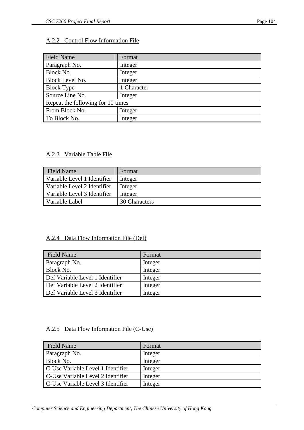## A.2.2 Control Flow Information File

| <b>Field Name</b>                 | Format      |  |
|-----------------------------------|-------------|--|
| Paragraph No.                     | Integer     |  |
| <b>Block No.</b>                  | Integer     |  |
| Block Level No.                   | Integer     |  |
| <b>Block Type</b>                 | 1 Character |  |
| Source Line No.                   | Integer     |  |
| Repeat the following for 10 times |             |  |
| From Block No.                    | Integer     |  |
| To Block No.                      | Integer     |  |

# A.2.3 Variable Table File

| Field Name                  | Format        |
|-----------------------------|---------------|
| Variable Level 1 Identifier | Integer       |
| Variable Level 2 Identifier | Integer       |
| Variable Level 3 Identifier | Integer       |
| Variable Label              | 30 Characters |

# A.2.4 Data Flow Information File (Def)

| <b>Field Name</b>               | Format  |
|---------------------------------|---------|
| Paragraph No.                   | Integer |
| Block No.                       | Integer |
| Def Variable Level 1 Identifier | Integer |
| Def Variable Level 2 Identifier | Integer |
| Def Variable Level 3 Identifier | Integer |

# A.2.5 Data Flow Information File (C-Use)

| <b>Field Name</b>                 | Format  |
|-----------------------------------|---------|
| Paragraph No.                     | Integer |
| Block No.                         | Integer |
| C-Use Variable Level 1 Identifier | Integer |
| C-Use Variable Level 2 Identifier | Integer |
| C-Use Variable Level 3 Identifier | Integer |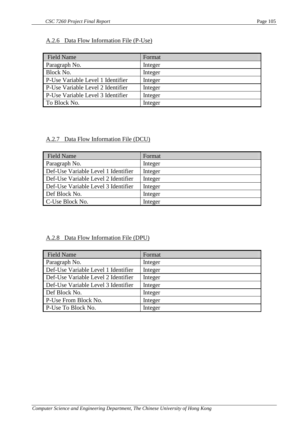# A.2.6 Data Flow Information File (P-Use)

| <b>Field Name</b>                 | Format  |
|-----------------------------------|---------|
| Paragraph No.                     | Integer |
| Block No.                         | Integer |
| P-Use Variable Level 1 Identifier | Integer |
| P-Use Variable Level 2 Identifier | Integer |
| P-Use Variable Level 3 Identifier | Integer |
| To Block No.                      | Integer |

## A.2.7 Data Flow Information File (DCU)

| Field Name                          | Format  |
|-------------------------------------|---------|
| Paragraph No.                       | Integer |
| Def-Use Variable Level 1 Identifier | Integer |
| Def-Use Variable Level 2 Identifier | Integer |
| Def-Use Variable Level 3 Identifier | Integer |
| Def Block No.                       | Integer |
| C-Use Block No.                     | Integer |

## A.2.8 Data Flow Information File (DPU)

| <b>Field Name</b>                   | Format  |
|-------------------------------------|---------|
| Paragraph No.                       | Integer |
| Def-Use Variable Level 1 Identifier | Integer |
| Def-Use Variable Level 2 Identifier | Integer |
| Def-Use Variable Level 3 Identifier | Integer |
| Def Block No.                       | Integer |
| P-Use From Block No.                | Integer |
| P-Use To Block No.                  | Integer |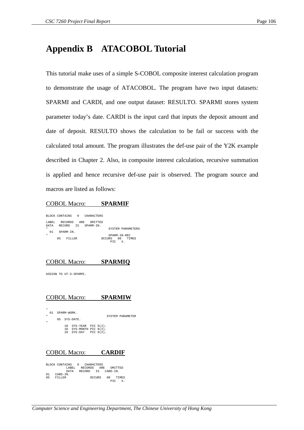# **Appendix B ATACOBOL Tutorial**

This tutorial make uses of a simple S-COBOL composite interest calculation program to demonstrate the usage of ATACOBOL. The program have two input datasets: SPARMI and CARDI, and one output dataset: RESULTO. SPARMI stores system parameter today's date. CARDI is the input card that inputs the deposit amount and date of deposit. RESULTO shows the calculation to be fail or success with the calculated total amount. The program illustrates the def-use pair of the Y2K example described in Chapter 2. Also, in composite interest calculation, recursive summation is applied and hence recursive def-use pair is observed. The program source and macros are listed as follows:

#### COBOL Macro: **SPARMIF**

BLOCK CONTAINS 0 CHARACTERS LABEL RECORDS ARE OMITTED DATA RECORD IS SPARM-IN. \* SYSTEM PARAMETERS 01 SPARM-IN. \* SPARM-IN-REC 05 FILLER OCCURS 80 TIMES PIC X.

## COBOL Macro: **SPARMIQ**

ASSIGN TO UT-S-SPARMI.

## COBOL Macro: **SPARMIW**

\* 01 SPARM-WORK. \* SYSTEM PARAMETER

05 SYS-DATE. \* 10 SYS-YEAR PIC 9(2). 10 SYS-MONTH PIC 9(2). 10 SYS-DAY PIC 9(2).

#### COBOL Macro: **CARDIF**

|     | BLOCK CONTAINS 0 |         |  | CHARACTERS  |        |          |              |    |
|-----|------------------|---------|--|-------------|--------|----------|--------------|----|
|     |                  |         |  |             |        |          |              |    |
|     |                  | T.ABET. |  | RECORDS ARE |        |          | OMTTTED      |    |
|     |                  | DATA    |  | RECORD IS   |        | CARD-TN. |              |    |
| 01  | CARD-IN.         |         |  |             |        |          |              |    |
| 0.5 | <b>FTLLER</b>    |         |  |             | OCCURS | 80       | <b>TIMES</b> |    |
|     |                  |         |  |             |        | PTC.     |              | Х. |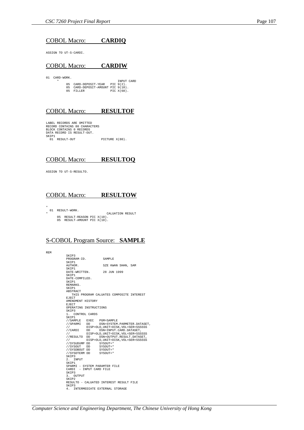#### COBOL Macro: **CARDIQ**

ASSIGN TO UT-S-CARDI.

#### COBOL Macro: **CARDIW**

01 CARD-WORK.

\* INPUT CARD 05 CARD-DEPOSIT-YEAR PIC 9(2). 05 CARD-DEPOSIT-AMOUNT PIC 9(10). 05 FILLER PIC X(68).

## COBOL Macro: **RESULTOF**

LABEL RECORDS ARE OMITTED RECORD CONTAINS 80 CHARACTERS BLOCK CONTAINS 0 RECORDS DATA RECORD IS RESULT-OUT. SKIP1<br>01 RESULT-OUT PICTURE X(80).

### COBOL Macro: **RESULTOQ**

ASSIGN TO UT-S-RESULTO.

#### COBOL Macro: **RESULTOW**

\* 01 RESULT-WORK.

- CALUATION RESULT 05 RESULT-REASON PIC X(10).
	- 05 RESULT-AMOUNT PIC X(10).

#### S-COBOL Program Source: **SAMPLE**

REM

```
SKIP3
 PROGRAM-ID. SAMPLE
SKIP1
                                      SZE KWAN SHAN, SAM
SK<sub>TP1</sub>
 DATE-WRITTEN. 28 JUN 1999
SKIP1
DATE-COMPILED.
SKIP1
 REMARKS.
SKIP1
ABSTRACT
     THIS PROGRAM CALUATES COMPOSITE INTEREST
 EJECT
AMENDMENT HISTORY
EJECT
OPERATING INSTRUCTIONS
 SKIP3
1. CONTROL CARDS
SKIP1
 \begin{tabular}{llllll} // SAMPLE & EXEC & PGM=SAMPLE\\ & DDD & DSSN = SYSTEM.PARMETER.DATASET, \\ // & DISP-OLD, UNIT=DISK, VOL=SER=SSSSSS\\ \\ // CARDI & DD & DSSN=INDUT-CARD.DATASET, \\ // & DISP-OLD, UNIT=DISK, VOL=SER=SSSSSS\\ // RESULTO & DD & DSN=OUTPUT. REST, VOL=SER=SSSSSS\\ \\ // & DISP-OLD, UNIT=DISK, VOL=SER=SSSSSS\\ // SYSTEM & DDS'SSOUT=* \\ \end{tabular}//SYSDBOUT DD SYSOUT=*
//SYSDTERM DD SYSOUT=*
SKIP3
2. INPUT
SKIP1
 SPARMI - SYSTEM PARAMTER FILE
CARDI - INPUT CARD FILE
 SKIP3
3. OUTPUT
3. OT<br>SKIP2
RESULTO - CALUATED INTEREST RESULT FILE
 SKIP3
4. INTERMEDIATE EXTERNAL STORAGE
```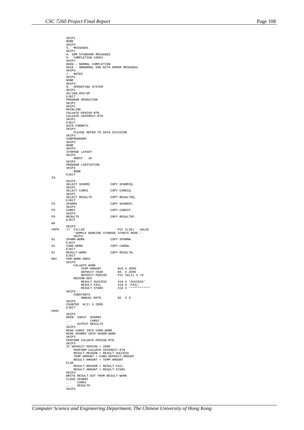|      | SKIP1                                                               |                      |
|------|---------------------------------------------------------------------|----------------------|
|      | NONE<br>SKIP3                                                       |                      |
|      | 5. MESSAGES                                                         |                      |
|      | SKIP1<br>A. IBM STANDARD MESSAGES                                   |                      |
|      | COMPLETION CODES<br>6.                                              |                      |
|      | SKIP1<br>0000 - NORMAL COMPLETION                                   |                      |
|      | 0016 - ABNORMAL END WITH ERROR MESSAGES                             |                      |
|      | SKIP3<br>7. NOTES                                                   |                      |
|      | SKIP1                                                               |                      |
|      | <b>NONE</b><br>SKIP3                                                |                      |
|      | 8. OPERATING SYSTEM                                                 |                      |
|      | SKIP1<br>OS/390, MVS/SP                                             |                      |
|      | EJECT                                                               |                      |
|      | PROGRAM OPERATION<br>SKIP2                                          |                      |
|      | SKIP2                                                               |                      |
|      | MAINLINE                                                            |                      |
|      | CALUATE-PERIOD-RTN<br>CALUATE-INTEREST-RTN                          |                      |
|      | SKIP1<br>EJECT                                                      |                      |
|      | DATA FORMATS                                                        |                      |
|      | SKIP3<br>PLEASE REFER TO DATA DIVISION                              |                      |
|      | SKIP3                                                               |                      |
|      | SUBPROGRAMS<br>SKIP3                                                |                      |
|      | NONE                                                                |                      |
|      | SKIP3<br>STORAGE LAYOUT                                             |                      |
|      | SKIP3                                                               |                      |
|      | ABOUT<br>1K<br>SKIP3                                                |                      |
|      | PROGRAM LIMITATION                                                  |                      |
|      | SKIP3<br><b>NONE</b>                                                |                      |
|      | <b>EJECT</b>                                                        |                      |
| IΟ   | SKIP3                                                               |                      |
|      | SELECT SPARMI                                                       | COPY SPARMIO.        |
|      | SKIP2<br>SELECT CARDI                                               | COPY CARDIQ.         |
|      | SKIP2                                                               |                      |
|      | SELECT RESULTO<br>EJECT                                             | COPY RESULTOO.       |
| FD   | SPARMI<br>SKIP3                                                     | COPY SPARMIF.        |
| FD   | CARDI                                                               | COPY CARDIF.         |
| FD   | SKIP3<br>RESULTO                                                    | COPY RESULTOF.       |
| WS   | EJECT                                                               |                      |
|      | SKIP3                                                               |                      |
| FRFM | 77<br>FILLER<br>'SAMPLE WORKING STORAGE STARTS HERE.'.              | PIC $X(35)$<br>VALUE |
|      | SKIP3                                                               |                      |
| 01   | SPARM-WORK<br>EJECT                                                 | COPY SPARMW.         |
| 01   | CARD-WORK<br>EJECT                                                  | COPY CARDW.          |
| 01   | RESULT-WORK                                                         | COPY RESULTW.        |
| REC  | EJECT<br>PGM-WORK-AREA                                              |                      |
|      | SKIP3                                                               |                      |
|      | CALUATE-WORK<br>TEMP-AMOUNT                                         | N10 V ZERO           |
|      | DEPOSIT-YEAR                                                        | N4 V ZERO            |
|      | DEPOSIT-PERIOD<br>REASON-DES                                        | PIC $S9(4) V + 0$    |
|      | RESULT-SUCCESS                                                      | X10 V 'SUCCESS'      |
|      | RESULT-FAIL<br>RESULT-STARS                                         | X10 V 'FAIL'         |
|      | SKTP3                                                               |                      |
|      | CONSTANTS<br>ANNUAL-RATE                                            | N2 V 4               |
|      | SKIP3                                                               |                      |
|      | COUNTER N(2) V ZERO<br>EJECT                                        |                      |
| PROC |                                                                     |                      |
|      | SKIP3<br>OPEN INPUT SPARMI                                          |                      |
|      | CARDI<br>.                                                          |                      |
|      | OUTPUT RESULTO<br>SKIP3                                             |                      |
|      | READ CARDI INTO CARD-WORK                                           |                      |
|      | READ SPARMI INTO SPARM-WORK<br>SKIP3                                |                      |
|      | PERFORM CALUATE-PERIOD-RTN                                          |                      |
|      | SKIP3<br>IF DEPOSIT-PERIOD > ZERO                                   |                      |
|      | PERFORM CALUATE-INTEREST-RTN                                        |                      |
|      | RESULT-REASON = RESULT-SUCCESS<br>TEMP-AMOUNT = CARD-DEPOSIT-AMOUNT |                      |
|      | RESULT-AMOUNT = TEMP-AMOUNT                                         |                      |
|      | ELSE<br>RESULT-REASON = RESULT-FAIL                                 |                      |
|      | RESULT-AMOUNT = RESULT-STARS                                        |                      |
|      | SKIP3<br>WRITE RESULT-OUT FROM RESULT-WORK                          |                      |
|      | CLOSE SPARMI                                                        |                      |
|      | $\ldots$ CARDI<br>RESULTO<br>.                                      |                      |
|      | SKIP3                                                               |                      |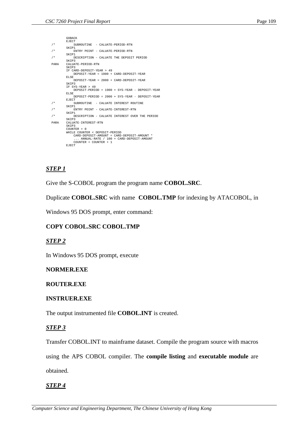```
GOBACK
EJECT
/* SUBROUTINE - CALUATE-PERIOD-RTN
        SKIP1
/* ENTRY POINT - CALUATE-PERIOD-RTN
SKIP1
/* DESCRIPTION - CALUATE THE DEPOSIT PERIOD
         SKIP3
PARA CALUATE-PERIOD-RTN
          SKIP3
IF CARD-DEPOSIT-YEAR > 49
             DEPOSIT-YEAR = 1900 + CARD-DEPOSIT-YEAR
         ELSE
              DEPOSIT-YEAR = 2000 + CARD-DEPOSIT-YEAR
          SKIP3
IF SYS-YEAR > 49
          DEPOSIT-PERIOD = 1900 + SYS-YEAR - DEPOSIT-YEAR
ELSE
             DEPOSIT-PERIOD = 2000 + SYS-YEAR - DEPOSIT-YEAR
         .<br>PJECT
/* SUBROUTINE - CALUATE INTEREST ROUTINE
SKIP1
/* ENTRY POINT - CALUATE-INTEREST-RTN
SKIP1
/* DESCRIPTION - CALUATE INTEREST OVER THE PERIOD
SKIP3
PARA CALUATE-INTEREST-RTN
SKIP3
COUNTER = 0
WHILE COUNTER < DEPOSIT-PERIOD
              CARD-DEPOSIT-AMOUNT = CARD-DEPOSIT-AMOUNT *
... ANNUAL-RATE / 100 + CARD-DEPOSIT-AMOUNT
COUNTER = COUNTER + 1
         EJECT.
```
# *STEP 1*

Give the S-COBOL program the program name **COBOL.SRC**.

Duplicate **COBOL.SRC** with name **COBOL.TMP** for indexing by ATACOBOL, in

Windows 95 DOS prompt, enter command:

### **COPY COBOL.SRC COBOL.TMP**

### *STEP 2*

In Windows 95 DOS prompt, execute

### **NORMER.EXE**

### **ROUTER.EXE**

### **INSTRUER.EXE**

The output instrumented file **COBOL.INT** is created.

### *STEP 3*

Transfer COBOL.INT to mainframe dataset. Compile the program source with macros

using the APS COBOL compiler. The **compile listing** and **executable module** are

obtained.

## *STEP 4*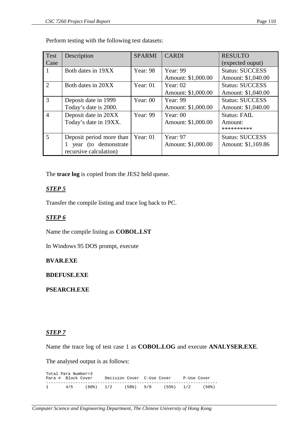Perform testing with the following test datasets:

| Test           | Description              | <b>SPARMI</b> | <b>CARDI</b>       | <b>RESULTO</b>         |
|----------------|--------------------------|---------------|--------------------|------------------------|
| Case           |                          |               |                    | (expected ouput)       |
| -1             | Both dates in 19XX       | Year: 98      | Year: 99           | <b>Status: SUCCESS</b> |
|                |                          |               | Amount: \$1,000.00 | Amount: \$1,040.00     |
| $\overline{2}$ | Both dates in 20XX       | Year: $01$    | Year: $02$         | <b>Status: SUCCESS</b> |
|                |                          |               | Amount: \$1,000.00 | Amount: \$1,040.00     |
| 3              | Deposit date in 1999     | Year: $00$    | Year: 99           | <b>Status: SUCCESS</b> |
|                | Today's date is 2000.    |               | Amount: \$1,000.00 | Amount: \$1,040.00     |
| $\overline{4}$ | Deposit date in 20XX     | Year: 99      | Year: $00$         | <b>Status: FAIL</b>    |
|                | Today's date in 19XX.    |               | Amount: \$1,000.00 | Amount:                |
|                |                          |               |                    | **********             |
| 5              | Deposit period more than | Year: 01      | Year: $97$         | <b>Status: SUCCESS</b> |
|                | (to demonstrate)<br>year |               | Amount: \$1,000.00 | Amount: \$1,169.86     |
|                | recursive calculation)   |               |                    |                        |

The **trace log** is copied from the JES2 held queue.

# *STEP 5*

Transfer the compile listing and trace log back to PC.

# *STEP 6*

Name the compile listing as **COBOL.LST**

In Windows 95 DOS prompt, execute

## **BVAR.EXE**

**BDEFUSE.EXE**

## **PSEARCH.EXE**

## *STEP 7*

Name the trace log of test case 1 as **COBOL.LOG** and execute **ANALYSER.EXE**.

The analysed output is as follows:

Total Para Number=3 Para # Block Cover Decision Cover C-Use Cover P-Use Cover ---------------------------------------------------------------------- 1 4/5 (80%) 1/2 (50%) 5/9 (55%) 1/2 (50%)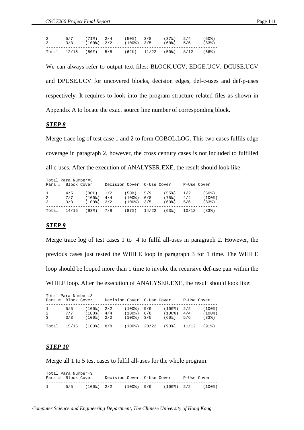| 2 | 5/7 (71.8) 2/4<br>3 3/3 (100%) 2/2 (100%) 3/5 |  | $(50\%)$ 3/8 | $(37\%)$ 2/4<br>(60%) 5/6 | $(50\%)$<br>(83%) |
|---|-----------------------------------------------|--|--------------|---------------------------|-------------------|
|   | Total 12/15 (80%) 5/8 (62%) 11/22 (50%) 8/12  |  |              |                           | $(66\%)$          |

We can always refer to output text files: BLOCK.UCV, EDGE.UCV, DCUSE.UCV and DPUSE.UCV for uncovered blocks, decision edges, def-c-uses and def-p-uses respectively. It requires to look into the program structure related files as shown in Appendix A to locate the exact source line number of corresponding block.

#### *STEP 8*

Merge trace log of test case 1 and 2 to form COBOL.LOG. This two cases fulfils edge coverage in paragraph 2, however, the cross century cases is not included to fulfilled all c-uses. After the execution of ANALYSER.EXE, the result should look like:

| Total Para Number=3<br>Para # Block Cover |                   | Decision Cover C-Use Cover                     |  |                                      |            | P-Use Cover                               |                   |                                           |
|-------------------------------------------|-------------------|------------------------------------------------|--|--------------------------------------|------------|-------------------------------------------|-------------------|-------------------------------------------|
| $\mathbf{1}$<br>2<br>3                    | 4/5<br>7/7<br>3/3 | $(80\%)$ 1/2<br>$(100\%)$ 4/4<br>$(100\%)$ 2/2 |  | (50%)<br>$(100$ $)$<br>$(100\%)$ 3/5 | 5/9<br>6/8 | (55%)<br>$(75$ <sup>8</sup> )<br>$(60\%)$ | 1/2<br>4/4<br>5/6 | $(50\%)$<br>$(100$ <sup>8</sup> )<br>(83) |
| Total                                     |                   | 14/15 (93%) 7/8                                |  | $(87\%)$ 14/22                       |            |                                           | $(63%)$ 10/12     | $(83\%)$                                  |

### *STEP 9*

Merge trace log of test cases 1 to 4 to fulfil all-uses in paragraph 2. However, the previous cases just tested the WHILE loop in paragraph 3 for 1 time. The WHILE loop should be looped more than 1 time to invoke the recursive def-use pair within the WHILE loop. After the execution of ANALYSER.EXE, the result should look like:

| Total Para Number=3<br>Para # Block Cover |                   | Decision Cover C-Use Cover                                    |  |                                                            |  | P-Use Cover                                    |  |                               |
|-------------------------------------------|-------------------|---------------------------------------------------------------|--|------------------------------------------------------------|--|------------------------------------------------|--|-------------------------------|
| $\mathbf{1}$<br>2<br>$\mathcal{E}$        | 5/5<br>7/7<br>3/3 | $(100$ <sup>2</sup> ) $2/2$<br>$(100\%)$ 4/4<br>$(100\%)$ 2/2 |  | $(100$ <sup>8</sup> ) $9/9$<br>(100%) 8/8<br>$(100\%)$ 3/5 |  | $(100\%)$ 2/2<br>$(100\%)$ 4/4<br>$(60\%)$ 5/6 |  | $(100$ $)$<br>(100%)<br>(83%) |
|                                           |                   | Total 15/15 (100%) 8/8                                        |  |                                                            |  | $(100\%)$ 20/22 (90%) 11/12 (91%)              |  |                               |

### *STEP 10*

 $T = \frac{1}{2}$ 

Merge all 1 to 5 test cases to fulfil all-uses for the whole program:

|              | Total Para Number=3<br>Para # Block Cover |            | Decision Cover C-Use Cover |            |            | P-Use Cover |        |
|--------------|-------------------------------------------|------------|----------------------------|------------|------------|-------------|--------|
| $\mathbf{1}$ | 5/5                                       | (100%) 2/2 |                            | (100%) 9/9 | (100%) 2/2 |             | (100%) |